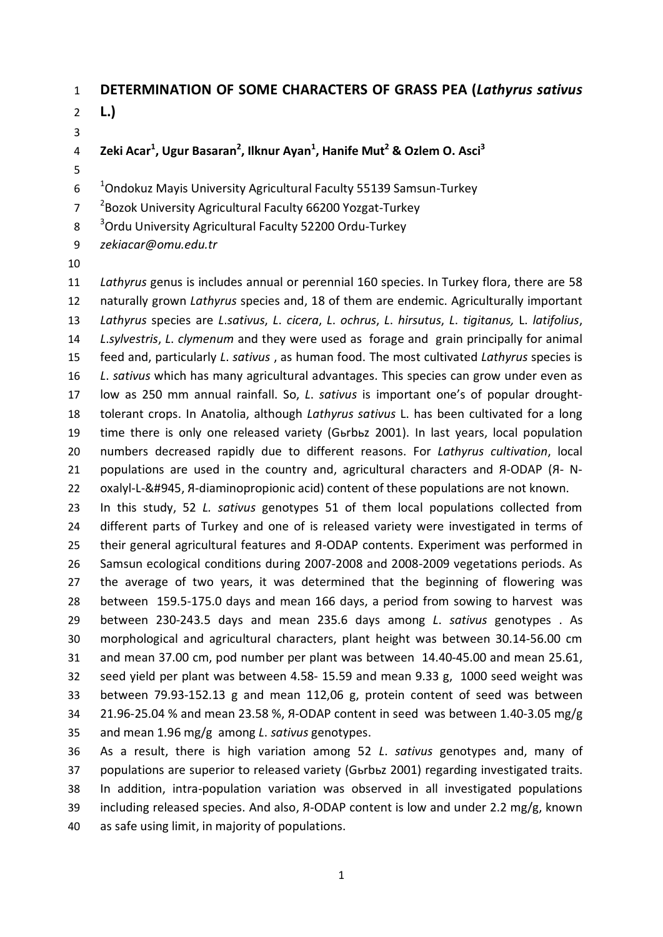### **DETERMINATION OF SOME CHARACTERS OF GRASS PEA (***Lathyrus sativus*

 **L.)** 

- **Zeki Acar<sup>1</sup> , Ugur Basaran<sup>2</sup> , Ilknur Ayan<sup>1</sup> , Hanife Mut2 & Ozlem O. Asci3**
- $10<sup>-1</sup>$ Ondokuz Mayis University Agricultural Faculty 55139 Samsun-Turkey
- <sup>2</sup> Bozok University Agricultural Faculty 66200 Yozgat-Turkey
- 8 <sup>3</sup> Ordu University Agricultural Faculty 52200 Ordu-Turkey
- *zekiacar@omu.edu.tr*
- 

 *Lathyrus* genus is includes annual or perennial 160 species. In Turkey flora, there are 58 naturally grown *Lathyrus* species and, 18 of them are endemic. Agriculturally important *Lathyrus* species are *L*.*sativus*, *L*. *cicera*, *L*. *ochrus*, *L*. *hirsutus*, *L*. *tigitanus,* L. *latifolius*, *L*.*sylvestris*, *L*. *clymenum* and they were used as forage and grain principally for animal feed and, particularly *L*. *sativus* , as human food. The most cultivated *Lathyrus* species is *L*. *sativus* which has many agricultural advantages. This species can grow under even as low as 250 mm annual rainfall. So, *L*. *sativus* is important one's of popular drought- tolerant crops. In Anatolia, although *Lathyrus sativus* L. has been cultivated for a long time there is only one released variety (Gьrbьz 2001). In last years, local population numbers decreased rapidly due to different reasons. For *Lathyrus cultivation*, local populations are used in the country and, agricultural characters and Я-ODAP (Я- N-22 oxalyl-L-&#945, *R*-diaminopropionic acid) content of these populations are not known.

 In this study, 52 *L. sativus* genotypes 51 of them local populations collected from different parts of Turkey and one of is released variety were investigated in terms of their general agricultural features and Я-ODAP contents. Experiment was performed in Samsun ecological conditions during 2007-2008 and 2008-2009 vegetations periods. As the average of two years, it was determined that the beginning of flowering was between 159.5-175.0 days and mean 166 days, a period from sowing to harvest was between 230-243.5 days and mean 235.6 days among *L*. *sativus* genotypes . As morphological and agricultural characters, plant height was between 30.14-56.00 cm and mean 37.00 cm, pod number per plant was between 14.40-45.00 and mean 25.61, seed yield per plant was between 4.58- 15.59 and mean 9.33 g, 1000 seed weight was between 79.93-152.13 g and mean 112,06 g, protein content of seed was between 21.96-25.04 % and mean 23.58 %, Я-ODAP content in seed was between 1.40-3.05 mg/g and mean 1.96 mg/g among *L*. *sativus* genotypes.

 As a result, there is high variation among 52 *L*. *sativus* genotypes and, many of populations are superior to released variety (Gьrbьz 2001) regarding investigated traits. In addition, intra-population variation was observed in all investigated populations 39 including released species. And also, A-ODAP content is low and under 2.2 mg/g, known as safe using limit, in majority of populations.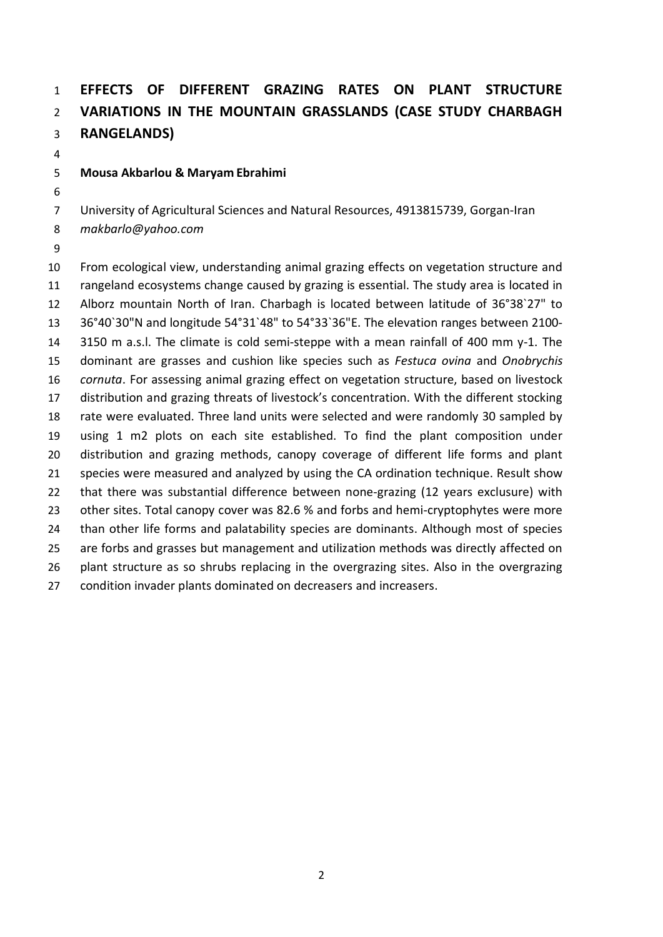# **EFFECTS OF DIFFERENT GRAZING RATES ON PLANT STRUCTURE VARIATIONS IN THE MOUNTAIN GRASSLANDS (CASE STUDY CHARBAGH RANGELANDS)**

#### **Mousa Akbarlou & Maryam Ebrahimi**

University of Agricultural Sciences and Natural Resources, 4913815739, Gorgan-Iran

- *makbarlo@yahoo.com*
- 

 From ecological view, understanding animal grazing effects on vegetation structure and rangeland ecosystems change caused by grazing is essential. The study area is located in Alborz mountain North of Iran. Charbagh is located between latitude of 36°38`27" to 36°40`30"N and longitude 54°31`48" to 54°33`36"E. The elevation ranges between 2100- 3150 m a.s.l. The climate is cold semi-steppe with a mean rainfall of 400 mm y-1. The dominant are grasses and cushion like species such as *Festuca ovina* and *Onobrychis cornuta*. For assessing animal grazing effect on vegetation structure, based on livestock distribution and grazing threats of livestock's concentration. With the different stocking rate were evaluated. Three land units were selected and were randomly 30 sampled by using 1 m2 plots on each site established. To find the plant composition under distribution and grazing methods, canopy coverage of different life forms and plant 21 species were measured and analyzed by using the CA ordination technique. Result show that there was substantial difference between none-grazing (12 years exclusure) with 23 other sites. Total canopy cover was 82.6 % and forbs and hemi-cryptophytes were more 24 than other life forms and palatability species are dominants. Although most of species are forbs and grasses but management and utilization methods was directly affected on plant structure as so shrubs replacing in the overgrazing sites. Also in the overgrazing condition invader plants dominated on decreasers and increasers.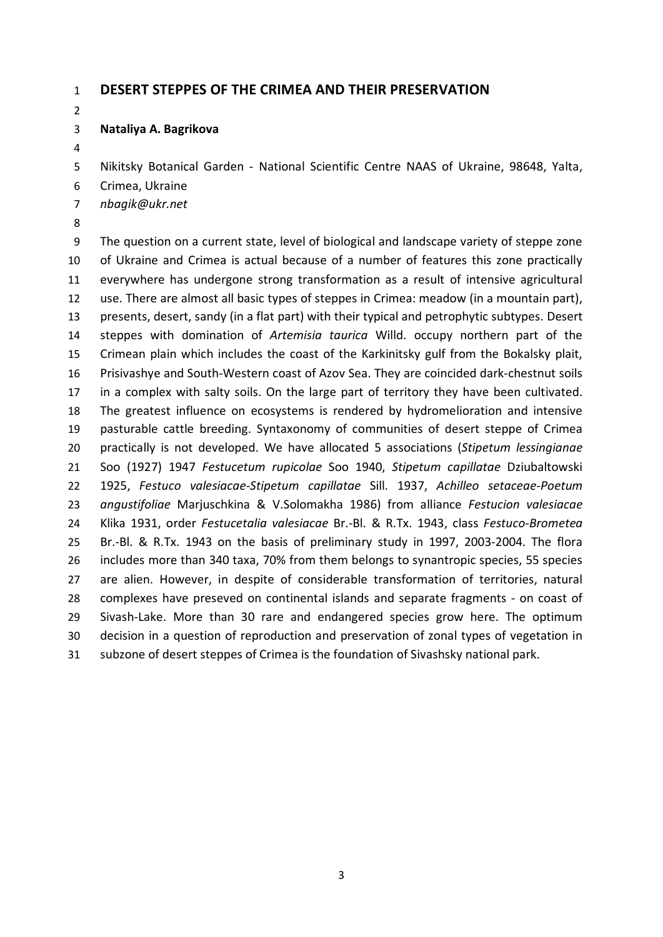#### **DESERT STEPPES OF THE CRIMEA AND THEIR PRESERVATION**

#### **Nataliya A. Bagrikova**

Nikitsky Botanical Garden - National Scientific Centre NAAS of Ukraine, 98648, Yalta,

- Crimea, Ukraine
- *nbagik@ukr.net*
- 

 The question on a current state, level of biological and landscape variety of steppe zone of Ukraine and Crimea is actual because of a number of features this zone practically everywhere has undergone strong transformation as a result of intensive agricultural use. There are almost all basic types of steppes in Crimea: meadow (in a mountain part), presents, desert, sandy (in a flat part) with their typical and petrophytic subtypes. Desert steppes with domination of *Artemisia taurica* Willd. occupy northern part of the Crimean plain which includes the coast of the Karkinitsky gulf from the Bokalsky plait, Prisivashye and South-Western coast of Azov Sea. They are coincided dark-chestnut soils in a complex with salty soils. On the large part of territory they have been cultivated. The greatest influence on ecosystems is rendered by hydromelioration and intensive pasturable cattle breeding. Syntaxonomy of communities of desert steppe of Crimea practically is not developed. We have allocated 5 associations (*Stipetum lessingianae* Soo (1927) 1947 *Festucetum rupicolae* Soo 1940, *Stipetum capillatae* Dziubaltowski 1925, *Festuco valesiacae-Stipetum capillatae* Sill. 1937, *Achilleo setaceae-Poetum angustifoliae* Marjuschkina & V.Solomakha 1986) from alliance *Festucion valesiacae* Klika 1931, order *Festucetalia valesiacae* Br.-Bl. & R.Tx. 1943, class *Festuco-Brometea* Br.-Bl. & R.Tx. 1943 on the basis of preliminary study in 1997, 2003-2004. The flora includes more than 340 taxa, 70% from them belongs to synantropic species, 55 species are alien. However, in despite of considerable transformation of territories, natural complexes have preseved on continental islands and separate fragments - on coast of Sivash-Lake. More than 30 rare and endangered species grow here. The optimum decision in a question of reproduction and preservation of zonal types of vegetation in subzone of desert steppes of Crimea is the foundation of Sivashsky national park.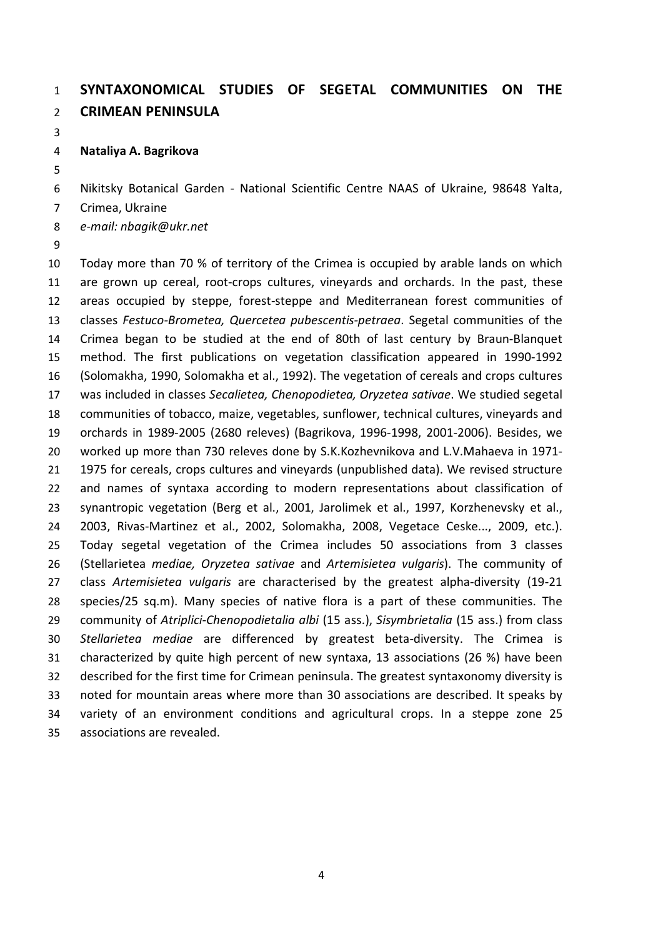## **SYNTAXONOMICAL STUDIES OF SEGETAL COMMUNITIES ON THE CRIMEAN PENINSULA**

**Nataliya A. Bagrikova**

Nikitsky Botanical Garden - National Scientific Centre NAAS of Ukraine, 98648 Yalta,

- Crimea, Ukraine
- *e-mail: nbagik@ukr.net*
- 

 Today more than 70 % of territory of the Crimea is occupied by arable lands on which are grown up cereal, root-crops cultures, vineyards and orchards. In the past, these areas occupied by steppe, forest-steppe and Mediterranean forest communities of classes *Festuco-Brometea, Quercetea pubescentis-petraea*. Segetal communities of the Crimea began to be studied at the end of 80th of last century by Braun-Blanquet method. The first publications on vegetation classification appeared in 1990-1992 (Solomakha, 1990, Solomakha et al., 1992). The vegetation of cereals and crops cultures was included in classes *Secalietea, Chenopodietea, Oryzetea sativae*. We studied segetal communities of tobacco, maize, vegetables, sunflower, technical cultures, vineyards and orchards in 1989-2005 (2680 releves) (Bagrikova, 1996-1998, 2001-2006). Besides, we worked up more than 730 releves done by S.K.Kozhevnikova and L.V.Mahaeva in 1971- 1975 for cereals, crops cultures and vineyards (unpublished data). We revised structure and names of syntaxa according to modern representations about classification of synantropic vegetation (Berg et al., 2001, Jarolimek et al., 1997, Korzhenevsky et al., 2003, Rivas-Martinez et al., 2002, Solomakha, 2008, Vegetace Ceske..., 2009, etc.). Today segetal vegetation of the Crimea includes 50 associations from 3 classes (Stellarietea *mediae, Oryzetea sativae* and *Artemisietea vulgaris*). The community of class *Artemisietea vulgaris* are characterised by the greatest alpha-diversity (19-21 species/25 sq.m). Many species of native flora is a part of these communities. The community of *Atriplici-Chenopodietalia albi* (15 ass.), *Sisymbrietalia* (15 ass.) from class *Stellarietea mediae* are differenced by greatest beta-diversity. The Crimea is characterized by quite high percent of new syntaxa, 13 associations (26 %) have been described for the first time for Crimean peninsula. The greatest syntaxonomy diversity is noted for mountain areas where more than 30 associations are described. It speaks by variety of an environment conditions and agricultural crops. In a steppe zone 25 associations are revealed.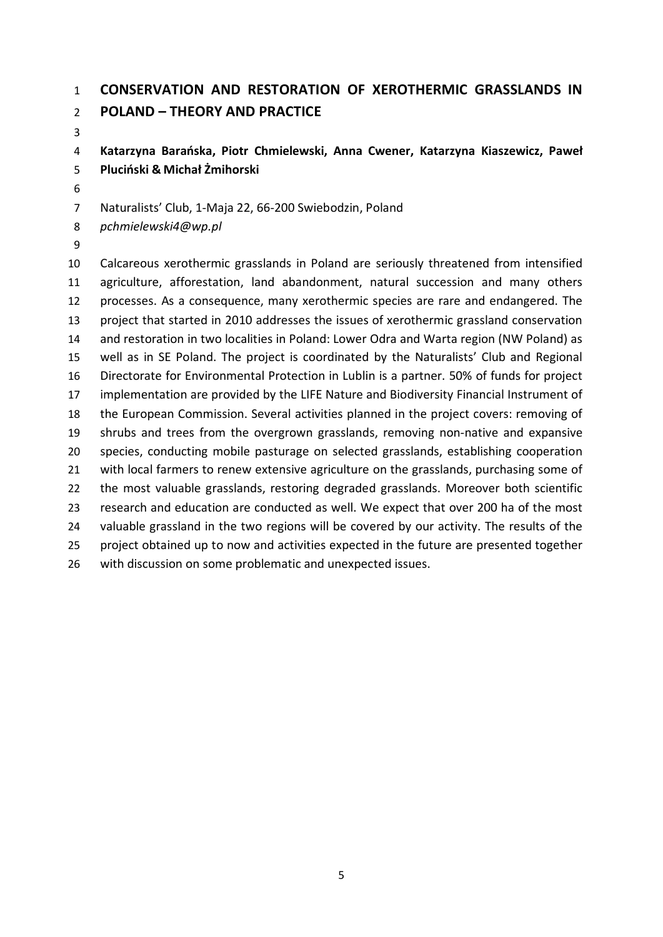### **CONSERVATION AND RESTORATION OF XEROTHERMIC GRASSLANDS IN POLAND – THEORY AND PRACTICE**

 **Katarzyna Barańska, Piotr Chmielewski, Anna Cwener, Katarzyna Kiaszewicz, Paweł Pluciński & Michał Żmihorski**

Naturalists' Club, 1-Maja 22, 66-200 Swiebodzin, Poland

*pchmielewski4@wp.pl*

 Calcareous xerothermic grasslands in Poland are seriously threatened from intensified agriculture, afforestation, land abandonment, natural succession and many others processes. As a consequence, many xerothermic species are rare and endangered. The project that started in 2010 addresses the issues of xerothermic grassland conservation and restoration in two localities in Poland: Lower Odra and Warta region (NW Poland) as well as in SE Poland. The project is coordinated by the Naturalists' Club and Regional Directorate for Environmental Protection in Lublin is a partner. 50% of funds for project implementation are provided by the LIFE Nature and Biodiversity Financial Instrument of the European Commission. Several activities planned in the project covers: removing of shrubs and trees from the overgrown grasslands, removing non-native and expansive species, conducting mobile pasturage on selected grasslands, establishing cooperation 21 with local farmers to renew extensive agriculture on the grasslands, purchasing some of the most valuable grasslands, restoring degraded grasslands. Moreover both scientific research and education are conducted as well. We expect that over 200 ha of the most 24 valuable grassland in the two regions will be covered by our activity. The results of the project obtained up to now and activities expected in the future are presented together with discussion on some problematic and unexpected issues.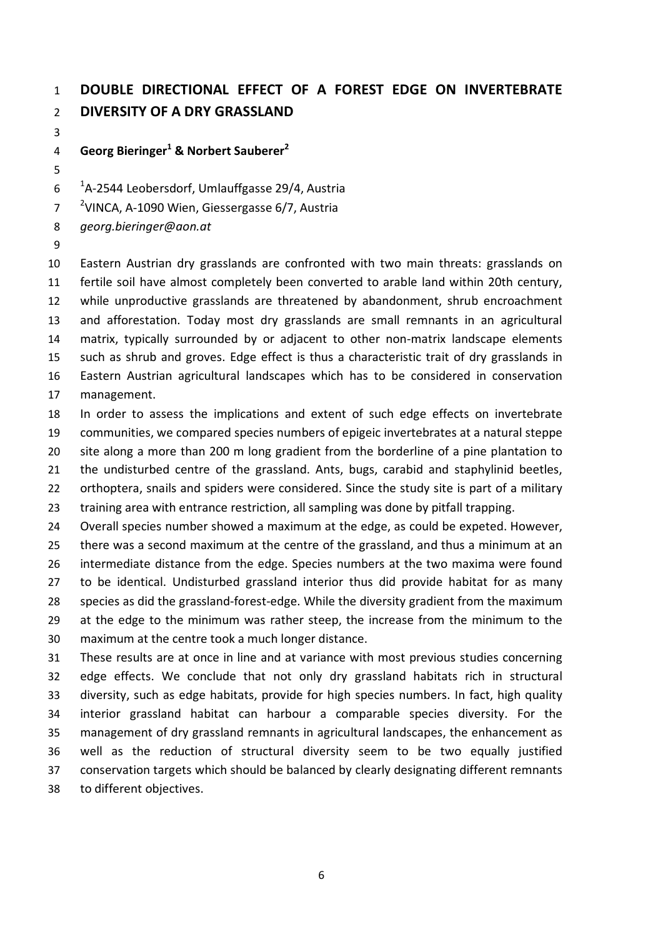## **DOUBLE DIRECTIONAL EFFECT OF A FOREST EDGE ON INVERTEBRATE DIVERSITY OF A DRY GRASSLAND**

**Georg Bieringer<sup>1</sup> & Norbert Sauberer<sup>2</sup>**

- <sup>1</sup>A-2544 Leobersdorf, Umlauffgasse 29/4, Austria
- <sup>2</sup> VINCA, A-1090 Wien, Giessergasse 6/7, Austria

*georg.bieringer@aon.at*

 Eastern Austrian dry grasslands are confronted with two main threats: grasslands on fertile soil have almost completely been converted to arable land within 20th century, while unproductive grasslands are threatened by abandonment, shrub encroachment and afforestation. Today most dry grasslands are small remnants in an agricultural matrix, typically surrounded by or adjacent to other non-matrix landscape elements such as shrub and groves. Edge effect is thus a characteristic trait of dry grasslands in Eastern Austrian agricultural landscapes which has to be considered in conservation management.

 In order to assess the implications and extent of such edge effects on invertebrate communities, we compared species numbers of epigeic invertebrates at a natural steppe site along a more than 200 m long gradient from the borderline of a pine plantation to the undisturbed centre of the grassland. Ants, bugs, carabid and staphylinid beetles, 22 orthoptera, snails and spiders were considered. Since the study site is part of a military training area with entrance restriction, all sampling was done by pitfall trapping.

 Overall species number showed a maximum at the edge, as could be expeted. However, there was a second maximum at the centre of the grassland, and thus a minimum at an intermediate distance from the edge. Species numbers at the two maxima were found to be identical. Undisturbed grassland interior thus did provide habitat for as many species as did the grassland-forest-edge. While the diversity gradient from the maximum 29 at the edge to the minimum was rather steep, the increase from the minimum to the maximum at the centre took a much longer distance.

 These results are at once in line and at variance with most previous studies concerning edge effects. We conclude that not only dry grassland habitats rich in structural diversity, such as edge habitats, provide for high species numbers. In fact, high quality interior grassland habitat can harbour a comparable species diversity. For the management of dry grassland remnants in agricultural landscapes, the enhancement as well as the reduction of structural diversity seem to be two equally justified conservation targets which should be balanced by clearly designating different remnants to different objectives.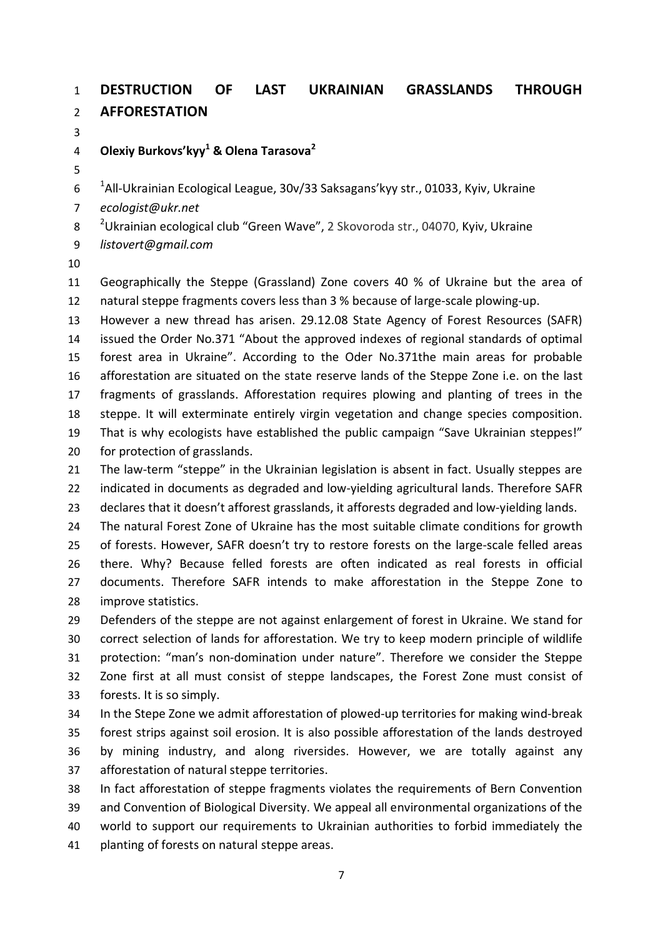### **DESTRUCTION OF LAST UKRAINIAN GRASSLANDS THROUGH AFFORESTATION**

**Olexiy Burkovs'kyy<sup>1</sup> & Olena Tarasova<sup>2</sup>**

 $^{-1}$ All-Ukrainian Ecological League, 30v/33 Saksagans'kyy str., 01033, Kyiv, Ukraine

*ecologist@ukr.net*

8 <sup>2</sup> Ukrainian ecological club "Green Wave", 2 Skovoroda str., 04070, Kyiv, Ukraine

- *listovert@gmail.com*
- 

 Geographically the Steppe (Grassland) Zone covers 40 % of Ukraine but the area of natural steppe fragments covers less than 3 % because of large-scale plowing-up.

 However a new thread has arisen. 29.12.08 State Agency of Forest Resources (SAFR) issued the Order No.371 "About the approved indexes of regional standards of optimal forest area in Ukraine". According to the Oder No.371the main areas for probable afforestation are situated on the state reserve lands of the Steppe Zone i.e. on the last fragments of grasslands. Afforestation requires plowing and planting of trees in the steppe. It will exterminate entirely virgin vegetation and change species composition. That is why ecologists have established the public campaign "Save Ukrainian steppes!" for protection of grasslands.

 The law-term "steppe" in the Ukrainian legislation is absent in fact. Usually steppes are indicated in documents as degraded and low-yielding agricultural lands. Therefore SAFR declares that it doesn't afforest grasslands, it afforests degraded and low-yielding lands.

24 The natural Forest Zone of Ukraine has the most suitable climate conditions for growth of forests. However, SAFR doesn't try to restore forests on the large-scale felled areas there. Why? Because felled forests are often indicated as real forests in official documents. Therefore SAFR intends to make afforestation in the Steppe Zone to improve statistics.

 Defenders of the steppe are not against enlargement of forest in Ukraine. We stand for correct selection of lands for afforestation. We try to keep modern principle of wildlife protection: "man's non-domination under nature". Therefore we consider the Steppe Zone first at all must consist of steppe landscapes, the Forest Zone must consist of forests. It is so simply.

 In the Stepe Zone we admit afforestation of plowed-up territories for making wind-break forest strips against soil erosion. It is also possible afforestation of the lands destroyed by mining industry, and along riversides. However, we are totally against any afforestation of natural steppe territories.

 In fact afforestation of steppe fragments violates the requirements of Bern Convention and Convention of Biological Diversity. We appeal all environmental organizations of the world to support our requirements to Ukrainian authorities to forbid immediately the

planting of forests on natural steppe areas.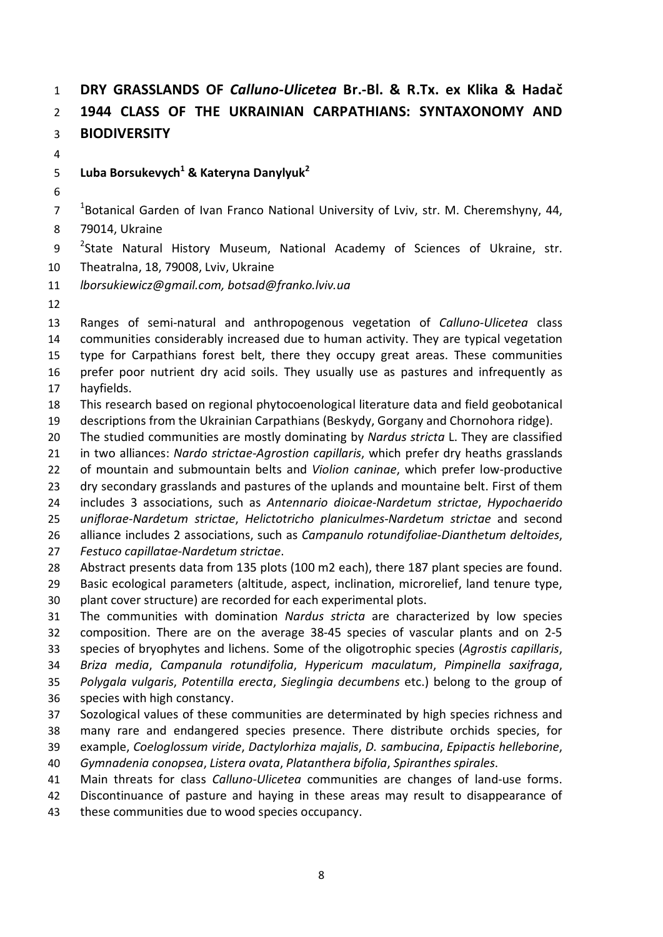# **DRY GRASSLANDS OF** *Calluno-Ulicetea* **Br.-Bl. & R.Tx. ex Klika & Hadač 1944 CLASS OF THE UKRAINIAN CARPATHIANS: SYNTAXONOMY AND BIODIVERSITY**

### **Luba Borsukevych<sup>1</sup> & Kateryna Danylyuk2**

  $18$ Otanical Garden of Ivan Franco National University of Lviv, str. M. Cheremshyny, 44, 79014, Ukraine

9 <sup>2</sup>State Natural History Museum, National Academy of Sciences of Ukraine, str. Theatralna, 18, 79008, Lviv, Ukraine

*lborsukiewicz@gmail.com, botsad@franko.lviv.ua*

 Ranges of semi-natural and anthropogenous vegetation of *Calluno-Ulicetea* class communities considerably increased due to human activity. They are typical vegetation type for Carpathians forest belt, there they occupy great areas. These communities prefer poor nutrient dry acid soils. They usually use as pastures and infrequently as hayfields.

This research based on regional phytocoenological literature data and field geobotanical

descriptions from the Ukrainian Carpathians (Beskydy, Gorgany and Chornohora ridge).

The studied communities are mostly dominating by *Nardus stricta* L. They are classified

 in two alliances: *Nardo strictae-Agrostion capillaris*, which prefer dry heaths grasslands of mountain and submountain belts and *Violion caninae*, which prefer low-productive

dry secondary grasslands and pastures of the uplands and mountaine belt. First of them

includes 3 associations, such as *Antennario dioicae*-*Nardetum strictae*, *Hypochaerido*

*uniflorae*-*Nardetum strictae*, *Helictotricho planiculmes*-*Nardetum strictae* and second

alliance includes 2 associations, such as *Campanulo rotundifoliae*-*Dianthetum deltoides*,

- *Festuco capillatae*-*Nardetum strictae*.
- Abstract presents data from 135 plots (100 m2 each), there 187 plant species are found.

 Basic ecological parameters (altitude, aspect, inclination, microrelief, land tenure type, plant cover structure) are recorded for each experimental plots.

The communities with domination *Nardus stricta* are characterized by low species

composition. There are on the average 38-45 species of vascular plants and on 2-5

species of bryophytes and lichens. Some of the oligotrophic species (*Agrostis capillaris*,

 *Briza media*, *Campanula rotundifolia*, *Hypericum maculatum*, *Pimpinella saxifraga*, *Polygala vulgaris*, *Potentilla erecta*, *Sieglingia decumbens* etc.) belong to the group of

- species with high constancy.
- Sozological values of these communities are determinated by high species richness and many rare and endangered species presence. There distribute orchids species, for example, *Coeloglossum viride*, *Dactylorhiza majalis*, *D. sambucina*, *Epipactis helleborine*,
- *Gymnadenia conopsea*, *Listera ovata*, *Platanthera bifolia*, *Spiranthes spirales*.
- Main threats for class *Calluno-Ulicetea* communities are changes of land-use forms.
- Discontinuance of pasture and haying in these areas may result to disappearance of
- these communities due to wood species occupancy.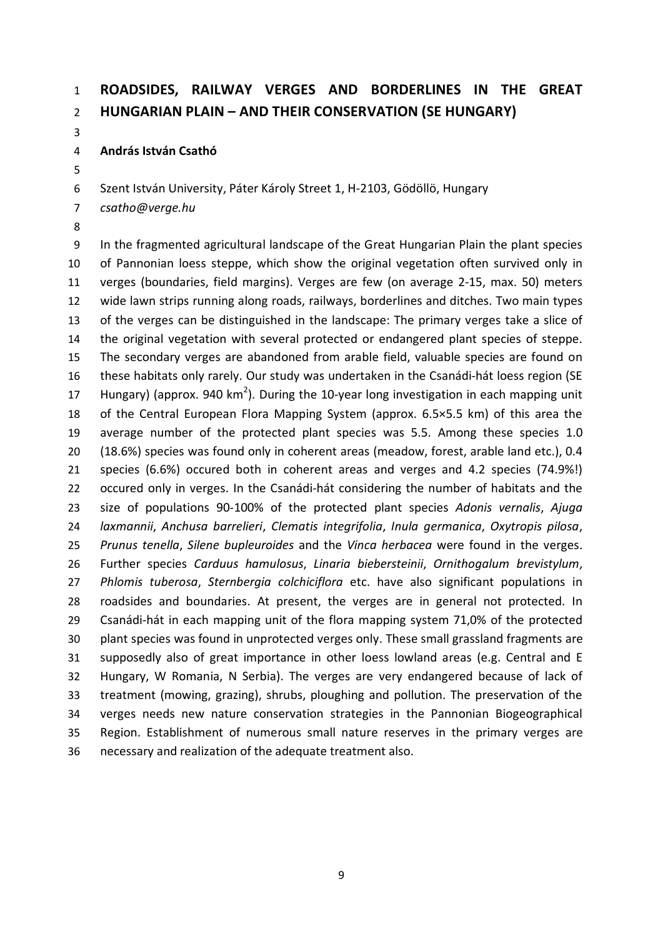## **ROADSIDES, RAILWAY VERGES AND BORDERLINES IN THE GREAT HUNGARIAN PLAIN – AND THEIR CONSERVATION (SE HUNGARY)**

**András István Csathó**

Szent István University, Páter Károly Street 1, H-2103, Gödöllö, Hungary

*csatho@verge.hu*

 In the fragmented agricultural landscape of the Great Hungarian Plain the plant species of Pannonian loess steppe, which show the original vegetation often survived only in verges (boundaries, field margins). Verges are few (on average 2-15, max. 50) meters wide lawn strips running along roads, railways, borderlines and ditches. Two main types of the verges can be distinguished in the landscape: The primary verges take a slice of the original vegetation with several protected or endangered plant species of steppe. The secondary verges are abandoned from arable field, valuable species are found on these habitats only rarely. Our study was undertaken in the Csanádi-hát loess region (SE 17 Hungary) (approx. 940 km<sup>2</sup>). During the 10-year long investigation in each mapping unit of the Central European Flora Mapping System (approx. 6.5×5.5 km) of this area the average number of the protected plant species was 5.5. Among these species 1.0 (18.6%) species was found only in coherent areas (meadow, forest, arable land etc.), 0.4 species (6.6%) occured both in coherent areas and verges and 4.2 species (74.9%!) occured only in verges. In the Csanádi-hát considering the number of habitats and the size of populations 90-100% of the protected plant species *Adonis vernalis*, *Ajuga laxmannii*, *Anchusa barrelieri*, *Clematis integrifolia*, *Inula germanica*, *Oxytropis pilosa*, *Prunus tenella*, *Silene bupleuroides* and the *Vinca herbacea* were found in the verges. Further species *Carduus hamulosus*, *Linaria biebersteinii*, *Ornithogalum brevistylum*, *Phlomis tuberosa*, *Sternbergia colchiciflora* etc. have also significant populations in roadsides and boundaries. At present, the verges are in general not protected. In Csanádi-hát in each mapping unit of the flora mapping system 71,0% of the protected plant species was found in unprotected verges only. These small grassland fragments are supposedly also of great importance in other loess lowland areas (e.g. Central and E Hungary, W Romania, N Serbia). The verges are very endangered because of lack of treatment (mowing, grazing), shrubs, ploughing and pollution. The preservation of the verges needs new nature conservation strategies in the Pannonian Biogeographical Region. Establishment of numerous small nature reserves in the primary verges are necessary and realization of the adequate treatment also.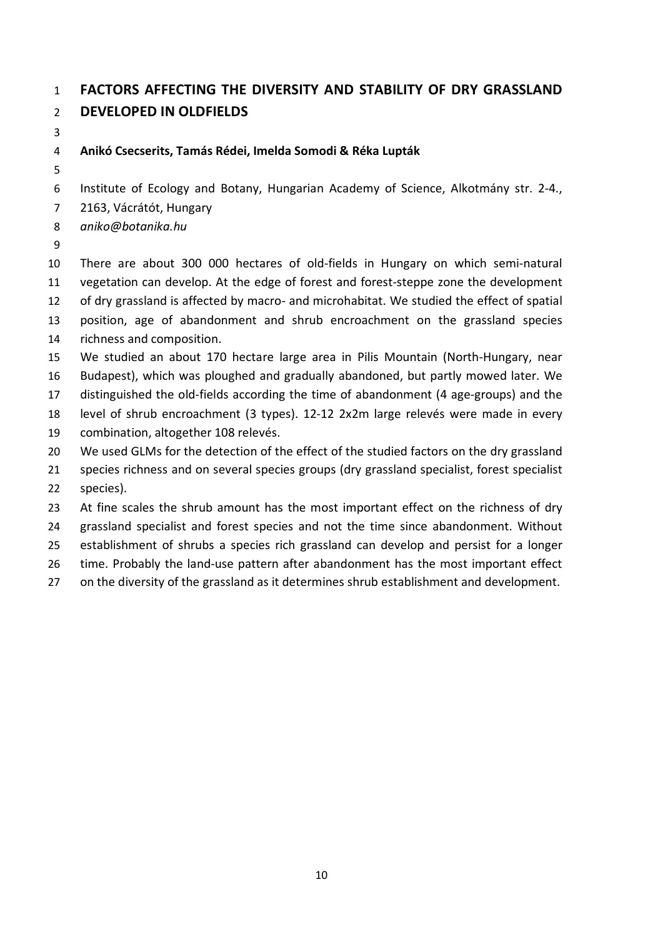## **FACTORS AFFECTING THE DIVERSITY AND STABILITY OF DRY GRASSLAND DEVELOPED IN OLDFIELDS**

### **Anikó Csecserits, Tamás Rédei, Imelda Somodi & Réka Lupták**

Institute of Ecology and Botany, Hungarian Academy of Science, Alkotmány str. 2-4.,

2163, Vácrátót, Hungary

*aniko@botanika.hu*

 There are about 300 000 hectares of old-fields in Hungary on which semi-natural vegetation can develop. At the edge of forest and forest-steppe zone the development of dry grassland is affected by macro- and microhabitat. We studied the effect of spatial position, age of abandonment and shrub encroachment on the grassland species richness and composition. We studied an about 170 hectare large area in Pilis Mountain (North-Hungary, near

Budapest), which was ploughed and gradually abandoned, but partly mowed later. We

distinguished the old-fields according the time of abandonment (4 age-groups) and the

- level of shrub encroachment (3 types). 12-12 2x2m large relevés were made in every
- combination, altogether 108 relevés.

20 We used GLMs for the detection of the effect of the studied factors on the dry grassland

21 species richness and on several species groups (dry grassland specialist, forest specialist species).

23 At fine scales the shrub amount has the most important effect on the richness of dry

grassland specialist and forest species and not the time since abandonment. Without

establishment of shrubs a species rich grassland can develop and persist for a longer

time. Probably the land-use pattern after abandonment has the most important effect

on the diversity of the grassland as it determines shrub establishment and development.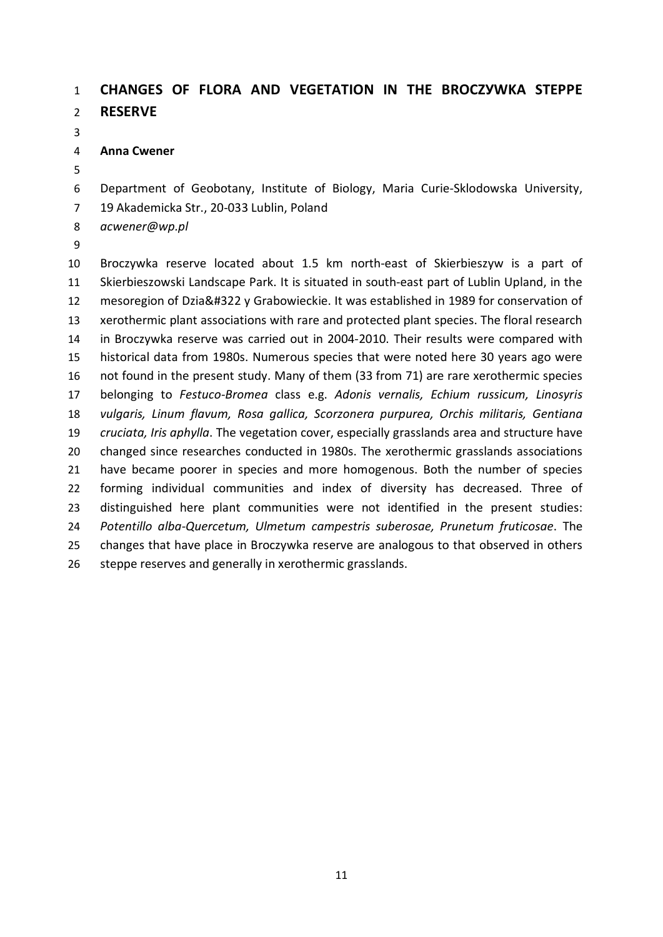### **CHANGES OF FLORA AND VEGETATION IN THE BROCZУWKA STEPPE RESERVE**

**Anna Cwener**

Department of Geobotany, Institute of Biology, Maria Curie-Sklodowska University,

19 Akademicka Str., 20-033 Lublin, Poland

*acwener@wp.pl*

 Broczуwka reserve located about 1.5 km north-east of Skierbieszуw is a part of Skierbieszowski Landscape Park. It is situated in south-east part of Lublin Upland, in the 12 mesoregion of Dzia&#322 y Grabowieckie. It was established in 1989 for conservation of xerothermic plant associations with rare and protected plant species. The floral research in Broczуwka reserve was carried out in 2004-2010. Their results were compared with historical data from 1980s. Numerous species that were noted here 30 years ago were not found in the present study. Many of them (33 from 71) are rare xerothermic species belonging to *Festuco*-*Bromea* class e.g. *Adonis vernalis, Echium russicum, Linosyris vulgaris, Linum flavum, Rosa gallica, Scorzonera purpurea, Orchis militaris, Gentiana cruciata, Iris aphylla*. The vegetation cover, especially grasslands area and structure have changed since researches conducted in 1980s. The xerothermic grasslands associations have became poorer in species and more homogenous. Both the number of species forming individual communities and index of diversity has decreased. Three of distinguished here plant communities were not identified in the present studies: *Potentillo alba-Quercetum, Ulmetum campestris suberosae, Prunetum fruticosae*. The changes that have place in Broczуwka reserve are analogous to that observed in others 26 steppe reserves and generally in xerothermic grasslands.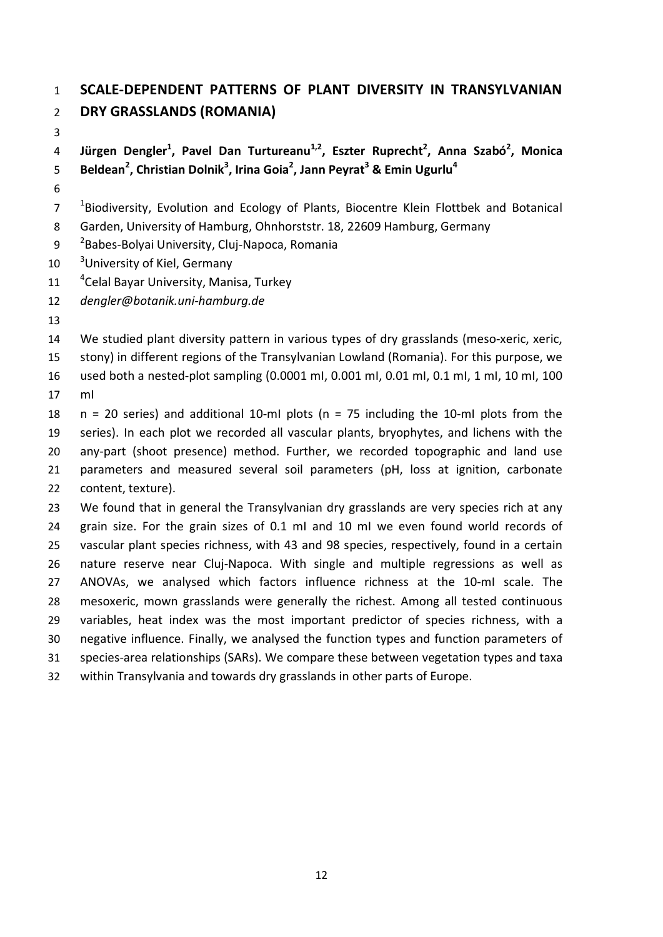## **SCALE-DEPENDENT PATTERNS OF PLANT DIVERSITY IN TRANSYLVANIAN DRY GRASSLANDS (ROMANIA)**

**Jürgen Dengler<sup>1</sup> , Pavel Dan Turtureanu1,2, Eszter Ruprecht2 , Anna Szabó<sup>2</sup> , Monica Beldean<sup>2</sup> , Christian Dolnik<sup>3</sup> , Irina Goia<sup>2</sup> , Jann Peyrat3 & Emin Ugurlu<sup>4</sup>**

 $18$ iodiversity, Evolution and Ecology of Plants, Biocentre Klein Flottbek and Botanical

Garden, University of Hamburg, Ohnhorststr. 18, 22609 Hamburg, Germany

9 <sup>2</sup> Babes-Bolyai University, Cluj-Napoca, Romania

10 University of Kiel, Germany

11 <sup>4</sup> Celal Bayar University, Manisa, Turkey

*dengler@botanik.uni-hamburg.de*

We studied plant diversity pattern in various types of dry grasslands (meso-xeric, xeric,

stony) in different regions of the Transylvanian Lowland (Romania). For this purpose, we

16 used both a nested-plot sampling (0.0001 ml, 0.001 ml, 0.01 ml, 0.1 ml, 1 ml, 10 ml, 100

mІ

 n = 20 series) and additional 10-mІ plots (n = 75 including the 10-mІ plots from the series). In each plot we recorded all vascular plants, bryophytes, and lichens with the any-part (shoot presence) method. Further, we recorded topographic and land use parameters and measured several soil parameters (pH, loss at ignition, carbonate content, texture).

 We found that in general the Transylvanian dry grasslands are very species rich at any grain size. For the grain sizes of 0.1 mІ and 10 mІ we even found world records of vascular plant species richness, with 43 and 98 species, respectively, found in a certain nature reserve near Cluj-Napoca. With single and multiple regressions as well as ANOVAs, we analysed which factors influence richness at the 10-mІ scale. The mesoxeric, mown grasslands were generally the richest. Among all tested continuous variables, heat index was the most important predictor of species richness, with a negative influence. Finally, we analysed the function types and function parameters of species-area relationships (SARs). We compare these between vegetation types and taxa within Transylvania and towards dry grasslands in other parts of Europe.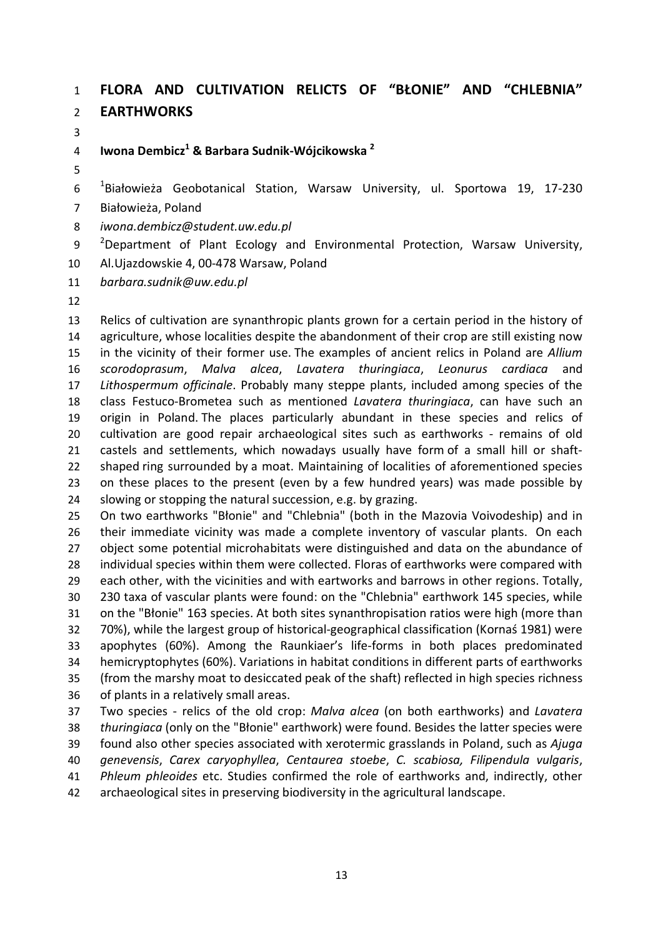### **FLORA AND CULTIVATION RELICTS OF "BŁONIE" AND "CHLEBNIA" EARTHWORKS**

**Iwona Dembicz<sup>1</sup> & Barbara Sudnik-Wójcikowska <sup>2</sup>**

 $10^{10}$ Białowieża Geobotanical Station, Warsaw University, ul. Sportowa 19, 17-230

Białowieża, Poland

*iwona.dembicz@student.uw.edu.pl*

<sup>2</sup> Department of Plant Ecology and Environmental Protection, Warsaw University, Al.Ujazdowskie 4, 00-478 Warsaw, Poland

*barbara.sudnik@uw.edu.pl*

 Relics of cultivation are synanthropic plants grown for a certain period in the history of 14 agriculture, whose localities despite the abandonment of their crop are still existing now in the vicinity of their former use. The examples of ancient relics in Poland are *Allium scorodoprasum*, *Malva alcea*, *Lavatera thuringiaca*, *Leonurus cardiaca* and *Lithospermum officinale*. Probably many steppe plants, included among species of the class Festuco-Brometea such as mentioned *Lavatera thuringiaca*, can have such an origin in Poland. The places particularly abundant in these species and relics of cultivation are good repair archaeological sites such as earthworks - remains of old castels and settlements, which nowadays usually have form of a small hill or shaft- shaped ring surrounded by a moat. Maintaining of localities of aforementioned species on these places to the present (even by a few hundred years) was made possible by slowing or stopping the natural succession, e.g. by grazing.

 On two earthworks "Błonie" and "Chlebnia" (both in the Mazovia Voivodeship) and in their immediate vicinity was made a complete inventory of vascular plants. On each 27 object some potential microhabitats were distinguished and data on the abundance of individual species within them were collected. Floras of earthworks were compared with each other, with the vicinities and with eartworks and barrows in other regions. Totally, 230 taxa of vascular plants were found: on the "Chlebnia" earthwork 145 species, while on the "Błonie" 163 species. At both sites synanthropisation ratios were high (more than 70%), while the largest group of historical-geographical classification (Kornaś 1981) were apophytes (60%). Among the Raunkiaer's life-forms in both places predominated hemicryptophytes (60%). Variations in habitat conditions in different parts of earthworks (from the marshy moat to desiccated peak of the shaft) reflected in high species richness of plants in a relatively small areas.

 Two species - relics of the old crop: *Malva alcea* (on both earthworks) and *Lavatera thuringiaca* (only on the "Błonie" earthwork) were found. Besides the latter species were found also other species associated with xerotermic grasslands in Poland, such as *Ajuga genevensis*, *Carex caryophyllea*, *Centaurea stoebe*, *C. scabiosa, Filipendula vulgaris*, *Phleum phleoides* etc. Studies confirmed the role of earthworks and, indirectly, other archaeological sites in preserving biodiversity in the agricultural landscape.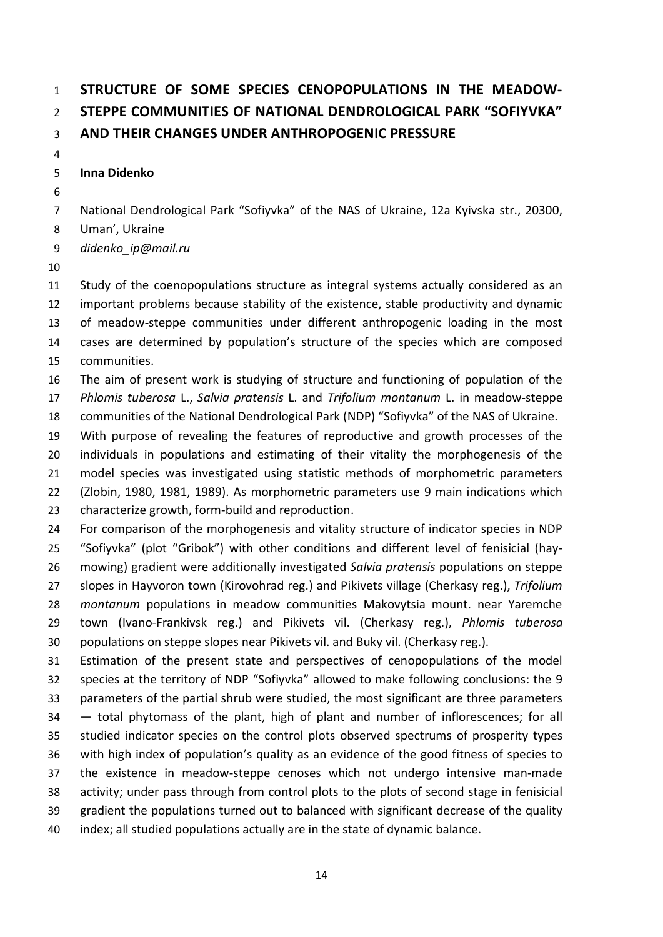# **STRUCTURE OF SOME SPECIES CENOPOPULATIONS IN THE MEADOW- STEPPE COMMUNITIES OF NATIONAL DENDROLOGICAL PARK "SOFIYVKA" AND THEIR CHANGES UNDER ANTHROPOGENIC PRESSURE**

### **Inna Didenko**

National Dendrological Park "Sofiyvka" of the NAS of Ukraine, 12a Kyivska str., 20300,

Uman', Ukraine

*didenko\_ip@mail.ru*

 Study of the coenopopulations structure as integral systems actually considered as an important problems because stability of the existence, stable productivity and dynamic of meadow-steppe communities under different anthropogenic loading in the most cases are determined by population's structure of the species which are composed communities.

 The aim of present work is studying of structure and functioning of population of the *Phlomis tuberosa* L., *Salvia pratensis* L. and *Trifolium montanum* L. in meadow-steppe communities of the National Dendrological Park (NDP) "Sofiyvka" of the NAS of Ukraine.

 With purpose of revealing the features of reproductive and growth processes of the individuals in populations and estimating of their vitality the morphogenesis of the model species was investigated using statistic methods of morphometric parameters (Zlobin, 1980, 1981, 1989). As morphometric parameters use 9 main indications which characterize growth, form-build and reproduction.

 For comparison of the morphogenesis and vitality structure of indicator species in NDP "Sofiyvka" (plot "Gribok") with other conditions and different level of fenisicial (hay- mowing) gradient were additionally investigated *Salvia pratensis* populations on steppe slopes in Hayvoron town (Kirovohrad reg.) and Pikivets village (Cherkasy reg.), *Trifolium montanum* populations in meadow communities Makovytsia mount. near Yaremche town (Ivano-Frankivsk reg.) and Pikivets vil. (Cherkasy reg.), *Phlomis tuberosa*  populations on steppe slopes near Pikivets vil. and Buky vil. (Cherkasy reg.).

 Estimation of the present state and perspectives of cenopopulations of the model species at the territory of NDP "Sofiyvka" allowed to make following conclusions: the 9 parameters of the partial shrub were studied, the most significant are three parameters — total phytomass of the plant, high of plant and number of inflorescences; for all studied indicator species on the control plots observed spectrums of prosperity types with high index of population's quality as an evidence of the good fitness of species to the existence in meadow-steppe cenoses which not undergo intensive man-made activity; under pass through from control plots to the plots of second stage in fenisicial gradient the populations turned out to balanced with significant decrease of the quality index; all studied populations actually are in the state of dynamic balance.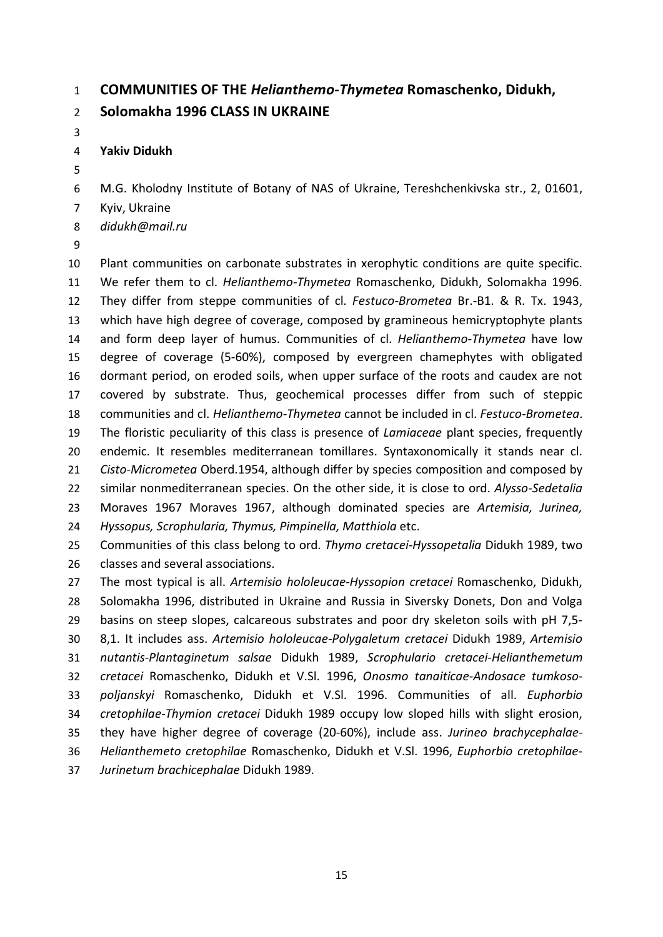### **COMMUNITIES OF THE** *Helianthemo-Thymetea* **Romaschenko, Didukh,**

### **Solomakha 1996 CLASS IN UKRAINE**

### **Yakiv Didukh**

M.G. Kholodny Institute of Botany of NAS of Ukraine, Tereshchenkivska str., 2, 01601,

- Kyiv, Ukraine
- *didukh@mail.ru*
- 

 Plant communities on carbonate substrates in xerophytic conditions are quite specific. We refer them to cl. *Helianthemo-Thymetea* Romaschenko, Didukh, Solomakha 1996. They differ from steppe communities of cl. *Festuco-Brometea* Br.-B1. & R. Tx. 1943, which have high degree of coverage, composed by gramineous hemicryptophyte plants and form deep layer of humus. Communities of cl. *Helianthemo-Thymetea* have low degree of coverage (5-60%), composed by evergreen chamephytes with obligated dormant period, on eroded soils, when upper surface of the roots and caudex are not covered by substrate. Thus, geochemical processes differ from such of steppic communities and cl. *Helianthemo-Thymetea* cannot be included in cl. *Festuco-Brometea*. The floristic peculiarity of this class is presence of *Lamiaceae* plant species, frequently endemic. It resembles mediterranean tomillares. Syntaxonomically it stands near cl. *Cisto-Micrometea* Oberd.1954, although differ by species composition and composed by similar nonmediterranean species. On the other side, it is close to ord. *Alysso-Sedetalia* Moraves 1967 Moraves 1967, although dominated species are *Artemisia, Jurinea, Hyssopus, Scrophularia, Thymus, Pimpinella, Matthiola* etc.

 Communities of this class belong to ord. *Thymo cretacei-Hyssopetalia* Didukh 1989, two classes and several associations.

 The most typical is all. *Artemisio hololeucae-Hyssopion cretacei* Romaschenko, Didukh, Solomakha 1996, distributed in Ukraine and Russia in Siversky Donets, Don and Volga basins on steep slopes, calcareous substrates and poor dry skeleton soils with pH 7,5- 8,1. It includes ass. *Artemisio hololeucae-Polygaletum cretacei* Didukh 1989, *Artemisio nutantis-Plantaginetum salsae* Didukh 1989, *Scrophulario cretacei-Helianthemetum cretacei* Romaschenko, Didukh et V.Sl. 1996, *Onosmo tanaiticae-Andosace tumkoso- poljanskyi* Romaschenko, Didukh et V.Sl. 1996. Communities of all. *Euphorbio cretophilae-Thymion cretacei* Didukh 1989 occupy low sloped hills with slight erosion, they have higher degree of coverage (20-60%), include ass. *Jurineo brachycephalae- Helianthemeto cretophilae* Romaschenko, Didukh et V.Sl. 1996, *Euphorbio cretophilae-Jurinetum brachicephalae* Didukh 1989.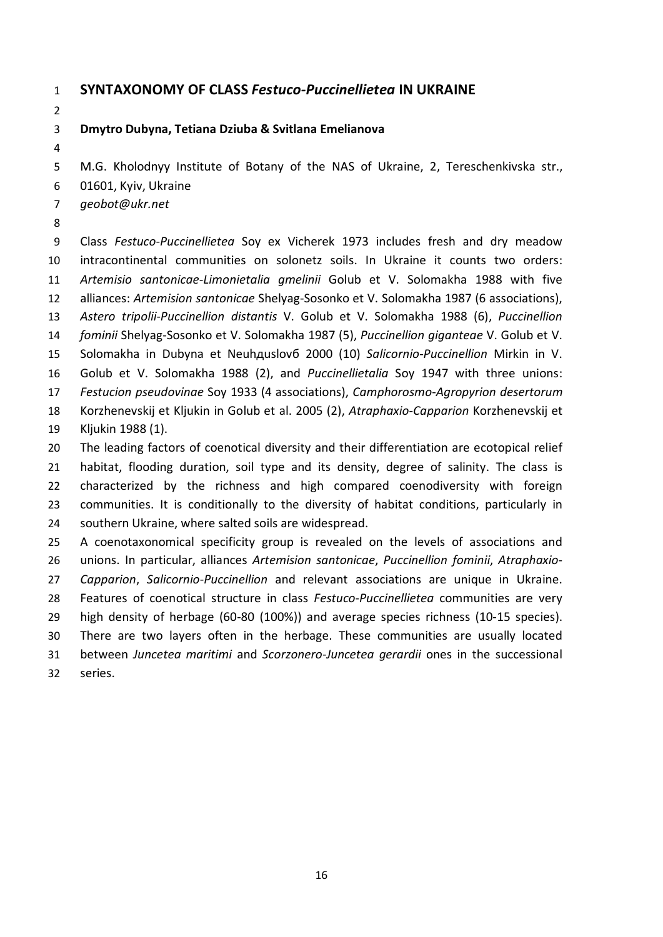### **SYNTAXONOMY OF CLASS** *Festuco-Puccinellietea* **IN UKRAINE**

**Dmytro Dubyna, Tetiana Dziuba & Svitlana Emelianova** 

M.G. Kholodnyy Institute of Botany of the NAS of Ukraine, 2, Tereschenkivska str.,

- 01601, Kyiv, Ukraine
- *geobot@ukr.net*
- 

 Class *Festuco-Puccinellietea* Soу ex Vicherek 1973 includes fresh and dry meadow intracontinental communities on solonetz soils. In Ukraine it counts two orders: *Artemisio santonicae-Limonietalia gmelinii* Golub et V. Solomakha 1988 with five alliances: *Artemision santonicae* Shelyag-Sosonko et V. Solomakha 1987 (6 associations), *Astero tripolii*-*Puccinellion distantis* V. Golub et V. Solomakha 1988 (6), *Puccinellion fominii* Shelyag-Sosonko et V. Solomakha 1987 (5), *Puccinellion giganteae* V. Golub et V. Solomakha in Dubyna et Neuhдuslovб 2000 (10) *Salicornio*-*Puccinellion* Mirkin in V. Golub et V. Solomakha 1988 (2), and *Puccinellietalia* Soу 1947 with three unions: *Festucion pseudovinae* Soу 1933 (4 associations), *Camphorosmo*-*Agropyrion desertorum* Korzhenevskij et Kljukin in Golub et al. 2005 (2), *Atraphaxio*-*Capparion* Korzhenevskij et Kljukin 1988 (1). The leading factors of coenotical diversity and their differentiation are ecotopical relief habitat, flooding duration, soil type and its density, degree of salinity. The class is characterized by the richness and high compared coenodiversity with foreign communities. It is conditionally to the diversity of habitat conditions, particularly in southern Ukraine, where salted soils are widespread. A coenotaxonomical specificity group is revealed on the levels of associations and unions. In particular, alliances *Artemision santonicae*, *Puccinellion fominii*, *Atraphaxio*- *Capparion*, *Salicornio*-*Puccinellion* and relevant associations are unique in Ukraine. Features of coenotical structure in class *Festuco*-*Puccinellietea* communities are very high density of herbage (60-80 (100%)) and average species richness (10-15 species). There are two layers often in the herbage. These communities are usually located between *Juncetea maritimi* and *Scorzonero*-*Juncetea gerardii* ones in the successional

series.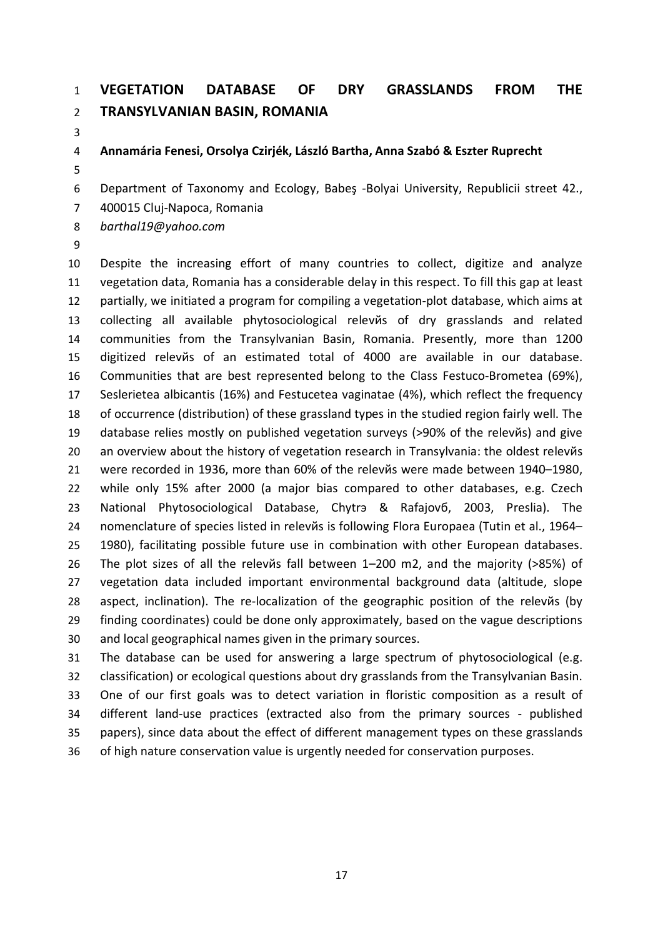# **VEGETATION DATABASE OF DRY GRASSLANDS FROM THE TRANSYLVANIAN BASIN, ROMANIA**

#### **Annamária Fenesi, Orsolya Czirjék, László Bartha, Anna Szabó & Eszter Ruprecht**

Department of Taxonomy and Ecology, Babeş -Bolyai University, Republicii street 42.,

400015 Cluj-Napoca, Romania

*barthal19@yahoo.com*

 Despite the increasing effort of many countries to collect, digitize and analyze vegetation data, Romania has a considerable delay in this respect. To fill this gap at least partially, we initiated a program for compiling a vegetation-plot database, which aims at collecting all available phytosociological relevйs of dry grasslands and related communities from the Transylvanian Basin, Romania. Presently, more than 1200 digitized relevйs of an estimated total of 4000 are available in our database. Communities that are best represented belong to the Class Festuco-Brometea (69%), Seslerietea albicantis (16%) and Festucetea vaginatae (4%), which reflect the frequency of occurrence (distribution) of these grassland types in the studied region fairly well. The database relies mostly on published vegetation surveys (>90% of the relevйs) and give an overview about the history of vegetation research in Transylvania: the oldest relevйs were recorded in 1936, more than 60% of the relevйs were made between 1940–1980, while only 15% after 2000 (a major bias compared to other databases, e.g. Czech National Phytosociological Database, Chytrэ & Rafajovб, 2003, Preslia). The nomenclature of species listed in relevйs is following Flora Europaea (Tutin et al., 1964– 1980), facilitating possible future use in combination with other European databases. The plot sizes of all the relevйs fall between 1–200 m2, and the majority (>85%) of vegetation data included important environmental background data (altitude, slope aspect, inclination). The re-localization of the geographic position of the relevйs (by finding coordinates) could be done only approximately, based on the vague descriptions and local geographical names given in the primary sources.

 The database can be used for answering a large spectrum of phytosociological (e.g. classification) or ecological questions about dry grasslands from the Transylvanian Basin. One of our first goals was to detect variation in floristic composition as a result of different land-use practices (extracted also from the primary sources - published papers), since data about the effect of different management types on these grasslands of high nature conservation value is urgently needed for conservation purposes.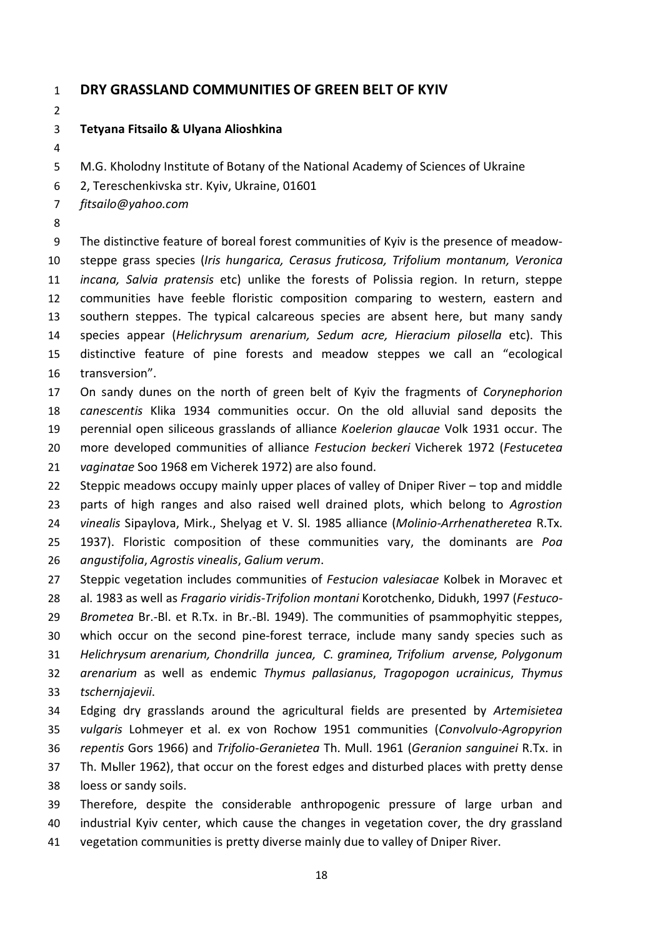### **DRY GRASSLAND COMMUNITIES OF GREEN BELT OF KYIV**

#### **Tetyana Fitsailo & Ulyana Alioshkina**

- M.G. Kholodny Institute of Botany of the National Academy of Sciences of Ukraine
- 2, Tereschenkivska str. Kyiv, Ukraine, 01601
- *fitsailo@yahoo.com*
- 

 The distinctive feature of boreal forest communities of Kyiv is the presence of meadow- steppe grass species (*Iris hungarica, Cerasus fruticosa, Trifolium montanum, Veronica incana, Salvia pratensis* etc) unlike the forests of Polissia region. In return, steppe communities have feeble floristic composition comparing to western, eastern and southern steppes. The typical calcareous species are absent here, but many sandy species appear (*Helichrysum arenarium, Sedum acre, Hieracium pilosella* etc). This distinctive feature of pine forests and meadow steppes we call an "ecological transversion".

 On sandy dunes on the north of green belt of Kyiv the fragments of *Corynephorion canescentis* Klika 1934 communities occur. On the old alluvial sand deposits the perennial open siliceous grasslands of alliance *Koelerion glaucae* Volk 1931 occur. The more developed communities of alliance *Festucion beckeri* Vicherek 1972 (*Festucetea vaginatae* Soo 1968 em Vicherek 1972) are also found.

 Steppic meadows occupy mainly upper places of valley of Dniper River – top and middle parts of high ranges and also raised well drained plots, which belong to *Agrostion vinealis* Sipaylova, Mirk., Shelyag et V. Sl. 1985 alliance (*Molinio*-*Arrhenatheretea* R.Tx. 1937). Floristic composition of these communities vary, the dominants are *Poa angustifolia*, *Agrostis vinealis*, *Galium verum*.

- Steppic vegetation includes communities of *Festucion valesiacae* Kolbek in Moravec et al. 1983 as well as *Fragario viridis*-*Trifolion montani* Korotchenko, Didukh, 1997 (*Festuco*- *Brometea* Br.-Bl. et R.Tx. in Br.-Bl. 1949). The communities of psammophyitic steppes, which occur on the second pine-forest terrace, include many sandy species such as *Helichrysum arenarium, Chondrilla juncea, C. graminea, Trifolium arvense, Polygonum arenarium* as well as endemic *Thymus pallasianus*, *Tragopogon ucrainicus*, *Thymus tschernjajevii*.
- Edging dry grasslands around the agricultural fields are presented by *Artemisietea vulgaris* Lohmeyer et al. ex von Rochow 1951 communities (*Convolvulo*-*Agropyrion repentis* Gors 1966) and *Trifolio*-*Geranietea* Th. Mull. 1961 (*Geranion sanguinei* R.Tx. in Th. Mьller 1962), that occur on the forest edges and disturbed places with pretty dense loess or sandy soils.
- Therefore, despite the considerable anthropogenic pressure of large urban and industrial Kyiv center, which cause the changes in vegetation cover, the dry grassland vegetation communities is pretty diverse mainly due to valley of Dniper River.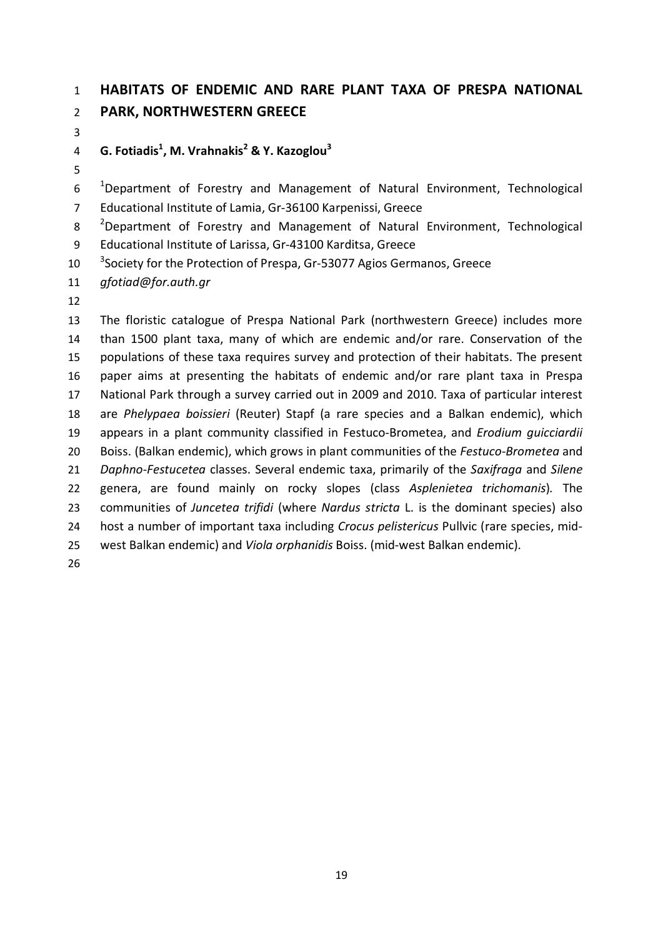## **HABITATS OF ENDEMIC AND RARE PLANT TAXA OF PRESPA NATIONAL PARK, NORTHWESTERN GREECE**

**G. Fotiadis<sup>1</sup> , M. Vrahnakis<sup>2</sup> & Y. Kazoglou<sup>3</sup>**

 $10<sup>-1</sup>$ Department of Forestry and Management of Natural Environment, Technological Educational Institute of Lamia, Gr-36100 Karpenissi, Greece

<sup>2</sup> Department of Forestry and Management of Natural Environment, Technological

Educational Institute of Larissa, Gr-43100 Karditsa, Greece

10 <sup>3</sup>Society for the Protection of Prespa, Gr-53077 Agios Germanos, Greece

*gfotiad@for.auth.gr*

 The floristic catalogue of Prespa National Park (northwestern Greece) includes more than 1500 plant taxa, many of which are endemic and/or rare. Conservation of the populations of these taxa requires survey and protection of their habitats. The present paper aims at presenting the habitats of endemic and/or rare plant taxa in Prespa National Park through a survey carried out in 2009 and 2010. Taxa of particular interest are *Phelypaea boissieri* (Reuter) Stapf (a rare species and a Balkan endemic), which appears in a plant community classified in Festuco-Brometea, and *Erodium guicciardii* Boiss. (Balkan endemic), which grows in plant communities of the *Festuco*-*Brometea* and *Daphno*-*Festucetea* classes. Several endemic taxa, primarily of the *Saxifraga* and *Silene* genera, are found mainly on rocky slopes (class *Asplenietea trichomanis*)*.* The communities of *Juncetea trifidi* (where *Nardus stricta* L. is the dominant species) also host a number of important taxa including *Crocus pelistericus* Pullvic (rare species, mid- west Balkan endemic) and *Viola orphanidis* Boiss. (mid-west Balkan endemic).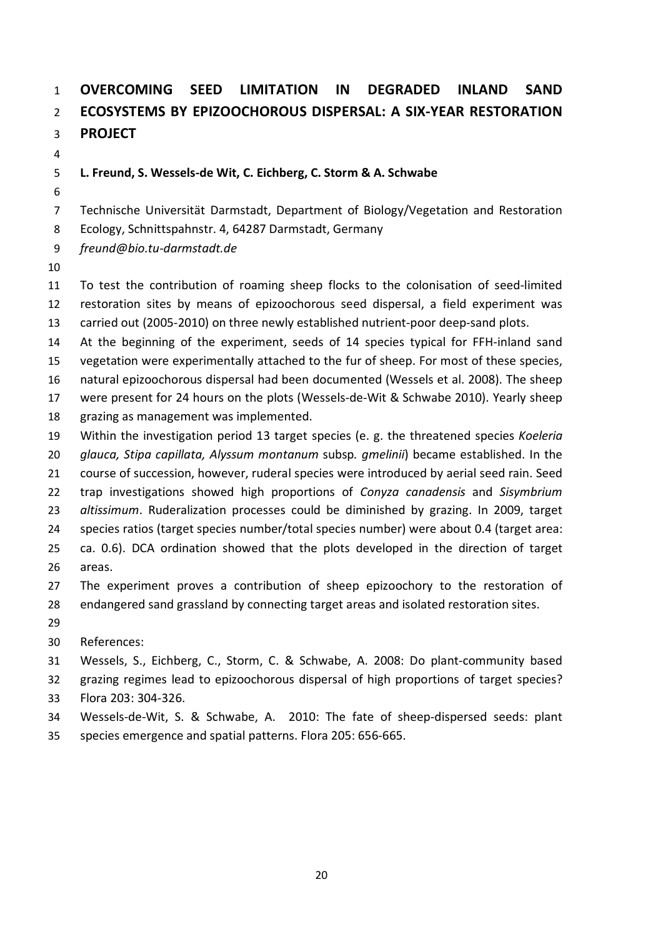# **OVERCOMING SEED LIMITATION IN DEGRADED INLAND SAND ECOSYSTEMS BY EPIZOOCHOROUS DISPERSAL: A SIX-YEAR RESTORATION PROJECT**

### **L. Freund, S. Wessels-de Wit, C. Eichberg, C. Storm & A. Schwabe**

- Technische Universität Darmstadt, Department of Biology/Vegetation and Restoration
- Ecology, Schnittspahnstr. 4, 64287 Darmstadt, Germany
- *freund@bio.tu-darmstadt.de*
- 

 To test the contribution of roaming sheep flocks to the colonisation of seed-limited restoration sites by means of epizoochorous seed dispersal, a field experiment was carried out (2005-2010) on three newly established nutrient-poor deep-sand plots.

At the beginning of the experiment, seeds of 14 species typical for FFH-inland sand

vegetation were experimentally attached to the fur of sheep. For most of these species,

natural epizoochorous dispersal had been documented (Wessels et al. 2008). The sheep

were present for 24 hours on the plots (Wessels-de-Wit & Schwabe 2010). Yearly sheep

grazing as management was implemented.

 Within the investigation period 13 target species (e. g. the threatened species *Koeleria glauca, Stipa capillata, Alyssum montanum* subsp*. gmelinii*) became established. In the course of succession, however, ruderal species were introduced by aerial seed rain. Seed trap investigations showed high proportions of *Conyza canadensis* and *Sisymbrium altissimum*. Ruderalization processes could be diminished by grazing. In 2009, target species ratios (target species number/total species number) were about 0.4 (target area: ca. 0.6). DCA ordination showed that the plots developed in the direction of target areas.

 The experiment proves a contribution of sheep epizoochory to the restoration of endangered sand grassland by connecting target areas and isolated restoration sites.

- 
- References:

Wessels, S., Eichberg, C., Storm, C. & Schwabe, A. 2008: Do plant-community based

 grazing regimes lead to epizoochorous dispersal of high proportions of target species? Flora 203: 304-326.

- Wessels-de-Wit, S. & Schwabe, A. 2010: The fate of sheep-dispersed seeds: plant
- species emergence and spatial patterns. Flora 205: 656-665.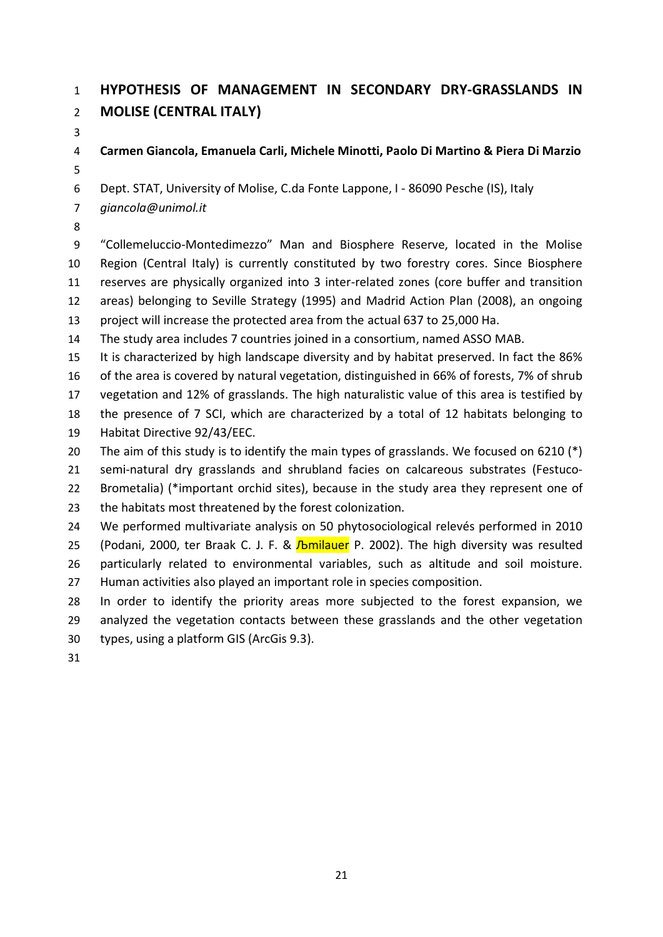# **HYPOTHESIS OF MANAGEMENT IN SECONDARY DRY-GRASSLANDS IN MOLISE (CENTRAL ITALY)**

**Carmen Giancola, Emanuela Carli, Michele Minotti, Paolo Di Martino & Piera Di Marzio**

Dept. STAT, University of Molise, C.da Fonte Lappone, I - 86090 Pesche (IS), Italy

- *giancola@unimol.it*
- 

 "Collemeluccio-Montedimezzo" Man and Biosphere Reserve, located in the Molise Region (Central Italy) is currently constituted by two forestry cores. Since Biosphere reserves are physically organized into 3 inter-related zones (core buffer and transition areas) belonging to Seville Strategy (1995) and Madrid Action Plan (2008), an ongoing project will increase the protected area from the actual 637 to 25,000 Ha.

The study area includes 7 countries joined in a consortium, named ASSO MAB.

 It is characterized by high landscape diversity and by habitat preserved. In fact the 86% of the area is covered by natural vegetation, distinguished in 66% of forests, 7% of shrub vegetation and 12% of grasslands. The high naturalistic value of this area is testified by the presence of 7 SCI, which are characterized by a total of 12 habitats belonging to

Habitat Directive 92/43/EEC.

20 The aim of this study is to identify the main types of grasslands. We focused on 6210 (\*)

 semi-natural dry grasslands and shrubland facies on calcareous substrates (Festuco-Brometalia) (\*important orchid sites), because in the study area they represent one of

the habitats most threatened by the forest colonization.

 We performed multivariate analysis on 50 phytosociological relevés performed in 2010 25 (Podani, 2000, ter Braak C. J. F. & *I*bmilauer P. 2002). The high diversity was resulted particularly related to environmental variables, such as altitude and soil moisture.

Human activities also played an important role in species composition.

 In order to identify the priority areas more subjected to the forest expansion, we analyzed the vegetation contacts between these grasslands and the other vegetation types, using a platform GIS (ArcGis 9.3).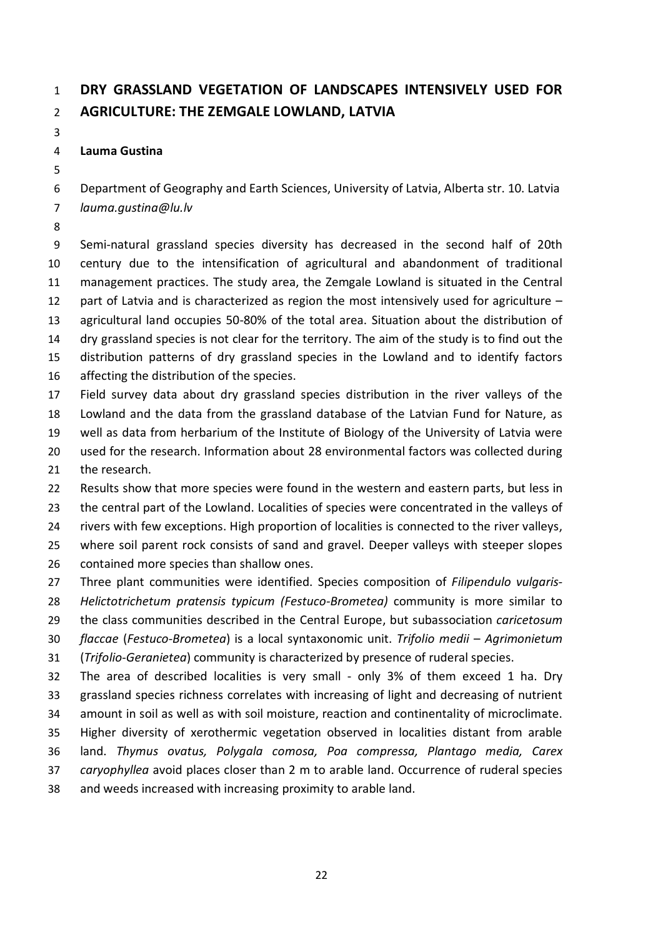# **DRY GRASSLAND VEGETATION OF LANDSCAPES INTENSIVELY USED FOR AGRICULTURE: THE ZEMGALE LOWLAND, LATVIA**

### **Lauma Gustina**

Department of Geography and Earth Sciences, University of Latvia, Alberta str. 10. Latvia

- *lauma.gustina@lu.lv*
- 

 Semi-natural grassland species diversity has decreased in the second half of 20th century due to the intensification of agricultural and abandonment of traditional management practices. The study area, the Zemgale Lowland is situated in the Central part of Latvia and is characterized as region the most intensively used for agriculture – agricultural land occupies 50-80% of the total area. Situation about the distribution of dry grassland species is not clear for the territory. The aim of the study is to find out the distribution patterns of dry grassland species in the Lowland and to identify factors affecting the distribution of the species.

 Field survey data about dry grassland species distribution in the river valleys of the Lowland and the data from the grassland database of the Latvian Fund for Nature, as well as data from herbarium of the Institute of Biology of the University of Latvia were used for the research. Information about 28 environmental factors was collected during the research.

 Results show that more species were found in the western and eastern parts, but less in 23 the central part of the Lowland. Localities of species were concentrated in the valleys of rivers with few exceptions. High proportion of localities is connected to the river valleys, where soil parent rock consists of sand and gravel. Deeper valleys with steeper slopes contained more species than shallow ones.

 Three plant communities were identified. Species composition of *Filipendulo vulgaris- Helictotrichetum pratensis typicum (Festuco-Brometea)* community is more similar to the class communities described in the Central Europe, but subassociation *caricetosum flaccae* (*Festuco*-*Brometea*) is a local syntaxonomic unit. *Trifolio medii* – *Agrimonietum* (*Trifolio*-*Geranietea*) community is characterized by presence of ruderal species. The area of described localities is very small - only 3% of them exceed 1 ha. Dry grassland species richness correlates with increasing of light and decreasing of nutrient amount in soil as well as with soil moisture, reaction and continentality of microclimate.

 Higher diversity of xerothermic vegetation observed in localities distant from arable land. *Thymus ovatus, Polygala comosa, Poa compressa, Plantago media, Carex caryophyllea* avoid places closer than 2 m to arable land. Occurrence of ruderal species

and weeds increased with increasing proximity to arable land.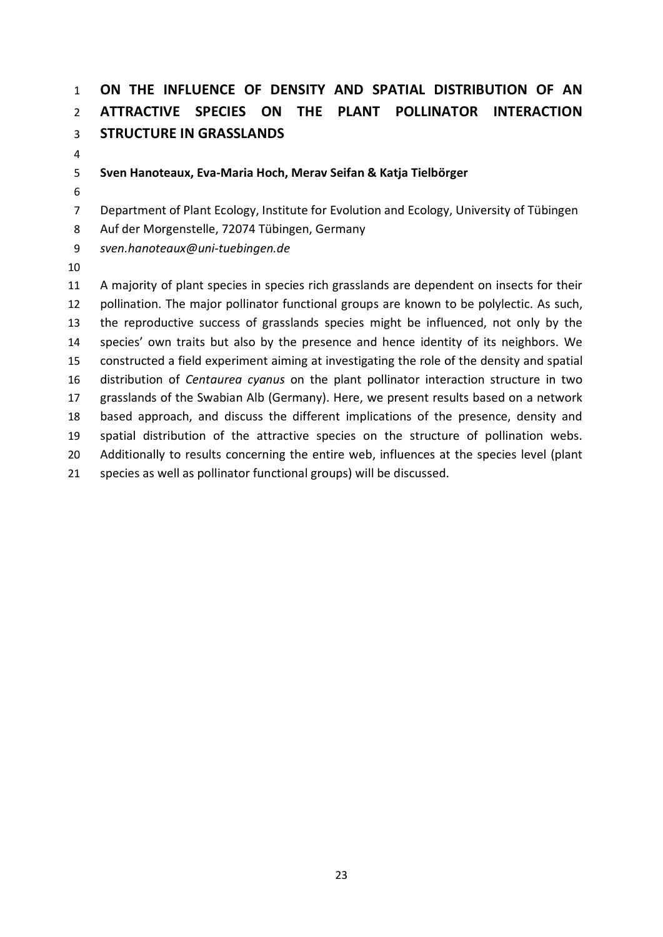# **ON THE INFLUENCE OF DENSITY AND SPATIAL DISTRIBUTION OF AN ATTRACTIVE SPECIES ON THE PLANT POLLINATOR INTERACTION STRUCTURE IN GRASSLANDS**

### **Sven Hanoteaux, Eva-Maria Hoch, Merav Seifan & Katja Tielbörger**

Department of Plant Ecology, Institute for Evolution and Ecology, University of Tübingen

Auf der Morgenstelle, 72074 Tübingen, Germany

*sven.hanoteaux@uni-tuebingen.de*

 A majority of plant species in species rich grasslands are dependent on insects for their pollination. The major pollinator functional groups are known to be polylectic. As such, the reproductive success of grasslands species might be influenced, not only by the species' own traits but also by the presence and hence identity of its neighbors. We constructed a field experiment aiming at investigating the role of the density and spatial distribution of *Centaurea cyanus* on the plant pollinator interaction structure in two grasslands of the Swabian Alb (Germany). Here, we present results based on a network based approach, and discuss the different implications of the presence, density and spatial distribution of the attractive species on the structure of pollination webs. Additionally to results concerning the entire web, influences at the species level (plant species as well as pollinator functional groups) will be discussed.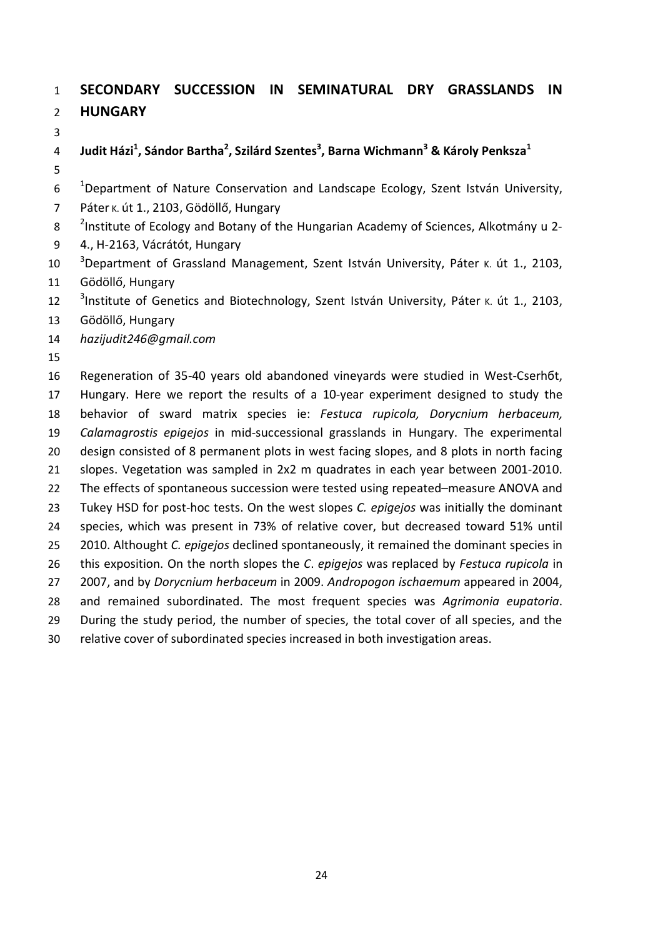# **SECONDARY SUCCESSION IN SEMINATURAL DRY GRASSLANDS IN HUNGARY**

**Judit Házi1 , Sándor Bartha<sup>2</sup> , Szilárd Szentes<sup>3</sup> , Barna Wichmann<sup>3</sup> & Károly Penksza<sup>1</sup>**

 $10<sup>-1</sup>$ Department of Nature Conservation and Landscape Ecology, Szent István University,

Páter K. út 1., 2103, Gödöllő, Hungary

8 <sup>2</sup>Institute of Ecology and Botany of the Hungarian Academy of Sciences, Alkotmány u 2-

- 4., H-2163, Vácrátót, Hungary
- <sup>3</sup> Department of Grassland Management, Szent István University, Páter k. út 1., 2103, Gödöllő, Hungary

<sup>3</sup>Institute of Genetics and Biotechnology, Szent István University, Páter K. út 1., 2103,

Gödöllő, Hungary

*hazijudit246@gmail.com*

 Regeneration of 35-40 years old abandoned vineyards were studied in West-Cserhбt, Hungary. Here we report the results of a 10-year experiment designed to study the behavior of sward matrix species ie: *Festuca rupicola, Dorycnium herbaceum, Calamagrostis epigejos* in mid-successional grasslands in Hungary. The experimental design consisted of 8 permanent plots in west facing slopes, and 8 plots in north facing slopes. Vegetation was sampled in 2x2 m quadrates in each year between 2001-2010. The effects of spontaneous succession were tested using repeated–measure ANOVA and Tukey HSD for post-hoc tests. On the west slopes *C. epigejos* was initially the dominant species, which was present in 73% of relative cover, but decreased toward 51% until 2010. Althought *C. epigejos* declined spontaneously, it remained the dominant species in this exposition. On the north slopes the *C*. *epigejos* was replaced by *Festuca rupicola* in 2007, and by *Dorycnium herbaceum* in 2009. *Andropogon ischaemum* appeared in 2004, and remained subordinated. The most frequent species was *Agrimonia eupatoria*. During the study period, the number of species, the total cover of all species, and the relative cover of subordinated species increased in both investigation areas.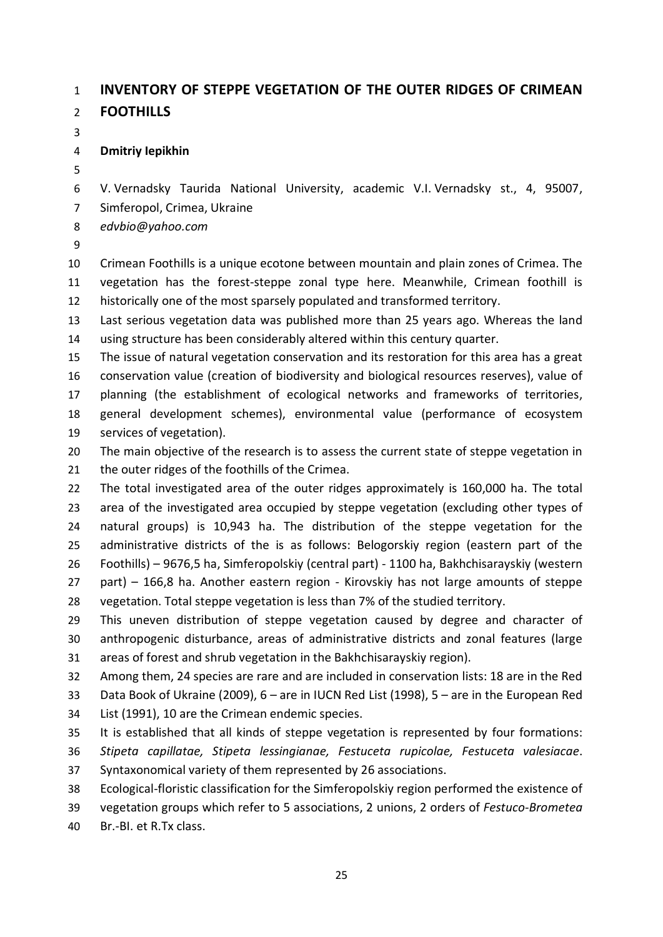## **INVENTORY OF STEPPE VEGETATION OF THE OUTER RIDGES OF CRIMEAN**

**FOOTHILLS**

### **Dmitriy Iepikhin**

 V. Vernadsky Taurida National University, academic V.I. Vernadsky st., 4, 95007, Simferopol, Crimea, Ukraine

*edvbio@yahoo.com* 

 Crimean Foothills is a unique ecotone between mountain and plain zones of Crimea. The vegetation has the forest-steppe zonal type here. Meanwhile, Crimean foothill is historically one of the most sparsely populated and transformed territory.

 Last serious vegetation data was published more than 25 years ago. Whereas the land using structure has been considerably altered within this century quarter.

 The issue of natural vegetation conservation and its restoration for this area has a great conservation value (creation of biodiversity and biological resources reserves), value of planning (the establishment of ecological networks and frameworks of territories, general development schemes), environmental value (performance of ecosystem services of vegetation).

20 The main objective of the research is to assess the current state of steppe vegetation in 21 the outer ridges of the foothills of the Crimea.

 The total investigated area of the outer ridges approximately is 160,000 ha. The total area of the investigated area occupied by steppe vegetation (excluding other types of natural groups) is 10,943 ha. The distribution of the steppe vegetation for the administrative districts of the is as follows: Belogorskiy region (eastern part of the Foothills) – 9676,5 ha, Simferopolskiy (central part) - 1100 ha, Bakhchisarayskiy (western part) – 166,8 ha. Another eastern region - Kirovskiy has not large amounts of steppe vegetation. Total steppe vegetation is less than 7% of the studied territory.

 This uneven distribution of steppe vegetation caused by degree and character of anthropogenic disturbance, areas of administrative districts and zonal features (large areas of forest and shrub vegetation in the Bakhchisarayskiy region).

 Among them, 24 species are rare and are included in conservation lists: 18 are in the Red Data Book of Ukraine (2009), 6 – are in IUCN Red List (1998), 5 – are in the European Red List (1991), 10 are the Crimean endemic species.

 It is established that all kinds of steppe vegetation is represented by four formations: *Stipeta capillatae, Stipeta lessingianae, Festuceta rupicolae, Festuceta valesiacae*. Syntaxonomical variety of them represented by 26 associations.

Ecological-floristic classification for the Simferopolskiy region performed the existence of

vegetation groups which refer to 5 associations, 2 unions, 2 orders of *Festuco*-*Brometea*

Br.-BI. et R.Tx class.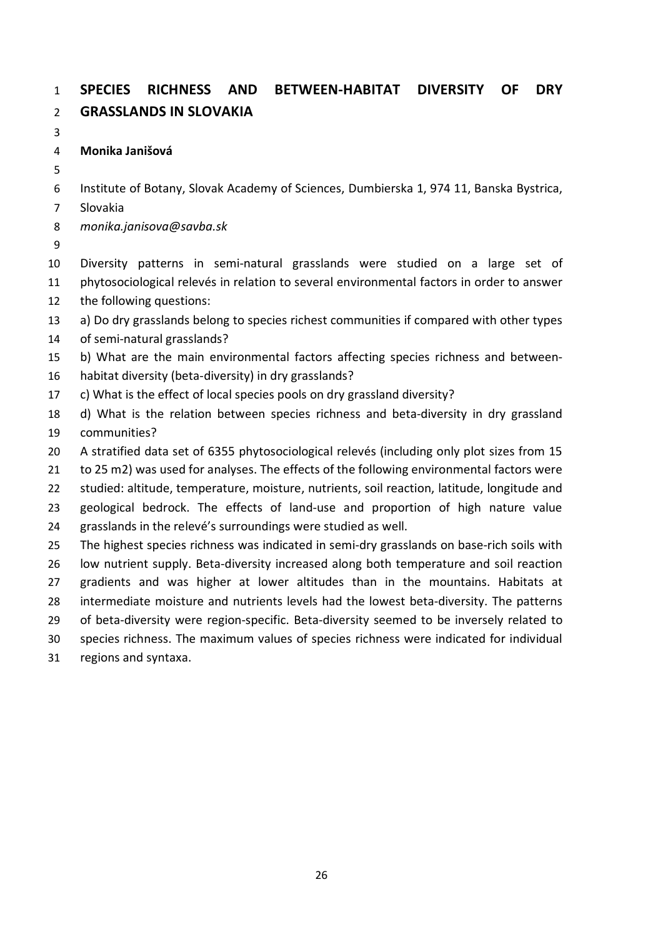## **SPECIES RICHNESS AND BETWEEN-HABITAT DIVERSITY OF DRY GRASSLANDS IN SLOVAKIA**

**Monika Janišová**

Institute of Botany, Slovak Academy of Sciences, Dumbierska 1, 974 11, Banska Bystrica,

Slovakia

*monika.janisova@savba.sk*

 Diversity patterns in semi-natural grasslands were studied on a large set of phytosociological relevés in relation to several environmental factors in order to answer

the following questions:

a) Do dry grasslands belong to species richest communities if compared with other types

of semi-natural grasslands?

b) What are the main environmental factors affecting species richness and between-

- habitat diversity (beta-diversity) in dry grasslands?
- c) What is the effect of local species pools on dry grassland diversity?

 d) What is the relation between species richness and beta-diversity in dry grassland communities?

A stratified data set of 6355 phytosociological relevés (including only plot sizes from 15

to 25 m2) was used for analyses. The effects of the following environmental factors were

 studied: altitude, temperature, moisture, nutrients, soil reaction, latitude, longitude and geological bedrock. The effects of land-use and proportion of high nature value

grasslands in the relevé's surroundings were studied as well.

 The highest species richness was indicated in semi-dry grasslands on base-rich soils with low nutrient supply. Beta-diversity increased along both temperature and soil reaction gradients and was higher at lower altitudes than in the mountains. Habitats at intermediate moisture and nutrients levels had the lowest beta-diversity. The patterns of beta-diversity were region-specific. Beta-diversity seemed to be inversely related to

species richness. The maximum values of species richness were indicated for individual

regions and syntaxa.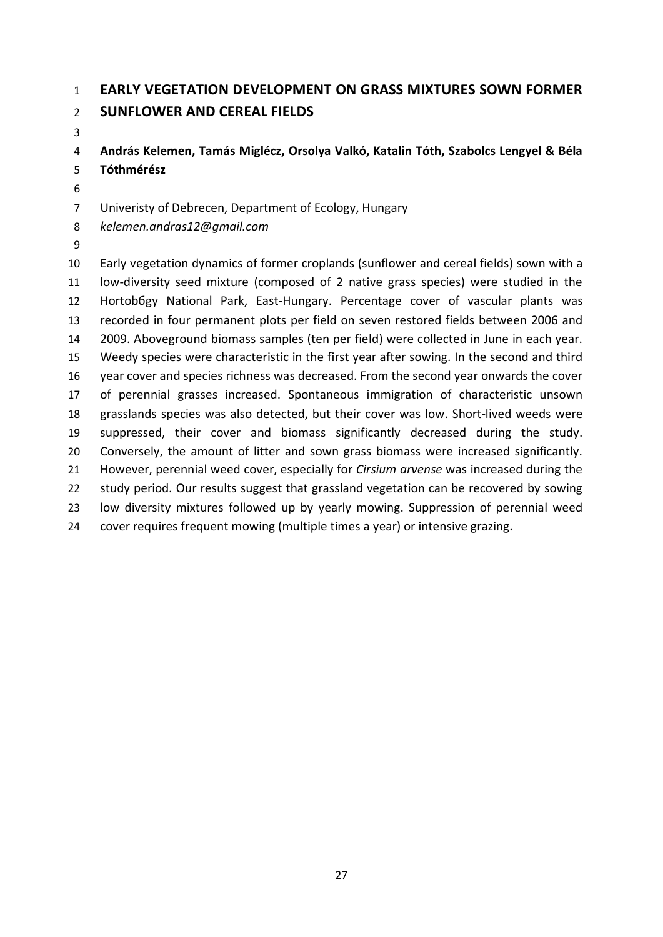## **EARLY VEGETATION DEVELOPMENT ON GRASS MIXTURES SOWN FORMER**

### **SUNFLOWER AND CEREAL FIELDS**

 **András Kelemen, Tamás Miglécz, Orsolya Valkó, Katalin Tóth, Szabolcs Lengyel & Béla Tóthmérész**

Univeristy of Debrecen, Department of Ecology, Hungary

*kelemen.andras12@gmail.com*

 Early vegetation dynamics of former croplands (sunflower and cereal fields) sown with a low-diversity seed mixture (composed of 2 native grass species) were studied in the Hortobбgy National Park, East-Hungary. Percentage cover of vascular plants was recorded in four permanent plots per field on seven restored fields between 2006 and 2009. Aboveground biomass samples (ten per field) were collected in June in each year. Weedy species were characteristic in the first year after sowing. In the second and third year cover and species richness was decreased. From the second year onwards the cover of perennial grasses increased. Spontaneous immigration of characteristic unsown grasslands species was also detected, but their cover was low. Short-lived weeds were suppressed, their cover and biomass significantly decreased during the study. Conversely, the amount of litter and sown grass biomass were increased significantly. However, perennial weed cover, especially for *Cirsium arvense* was increased during the study period. Our results suggest that grassland vegetation can be recovered by sowing low diversity mixtures followed up by yearly mowing. Suppression of perennial weed cover requires frequent mowing (multiple times a year) or intensive grazing.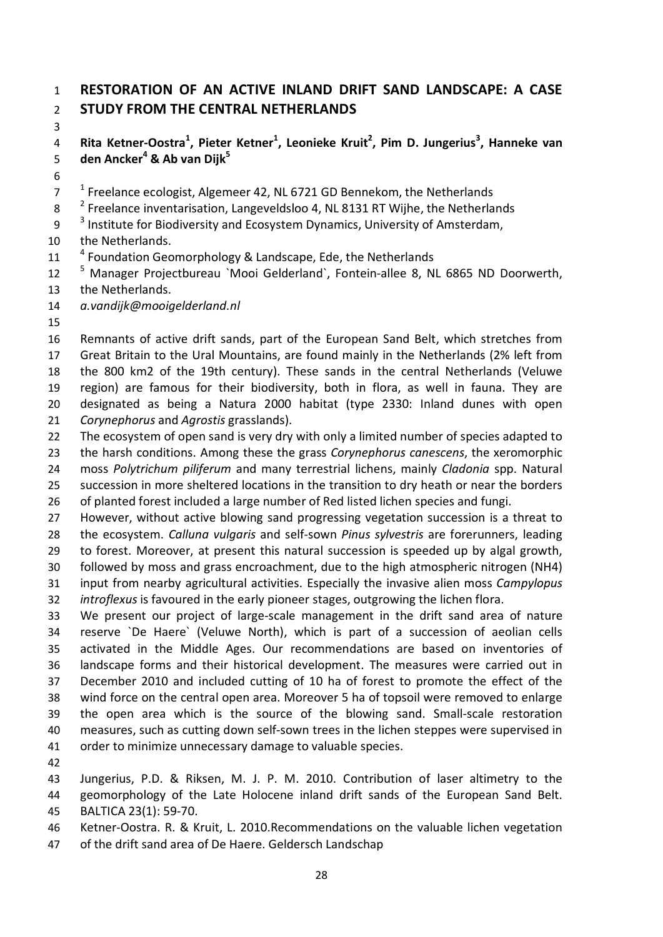### **RESTORATION OF AN ACTIVE INLAND DRIFT SAND LANDSCAPE: A CASE STUDY FROM THE CENTRAL NETHERLANDS**

**Rita Ketner-Oostra<sup>1</sup> , Pieter Ketner<sup>1</sup> , Leonieke Kruit2 , Pim D. Jungerius<sup>3</sup> , Hanneke van den Ancker<sup>4</sup> & Ab van Dijk<sup>5</sup>**

 $17<sup>-1</sup>$  Freelance ecologist, Algemeer 42, NL 6721 GD Bennekom, the Netherlands

8  $<sup>2</sup>$  Freelance inventarisation, Langeveldsloo 4, NL 8131 RT Wijhe, the Netherlands</sup>

 $3<sup>3</sup>$  Institute for Biodiversity and Ecosystem Dynamics, University of Amsterdam,

- the Netherlands.
- 11 <sup>4</sup> Foundation Geomorphology & Landscape, Ede, the Netherlands
- 12 <sup>5</sup> Manager Projectbureau `Mooi Gelderland`, Fontein-allee 8, NL 6865 ND Doorwerth, the Netherlands.

*a.vandijk@mooigelderland.nl*

 Remnants of active drift sands, part of the European Sand Belt, which stretches from Great Britain to the Ural Mountains, are found mainly in the Netherlands (2% left from the 800 km2 of the 19th century). These sands in the central Netherlands (Veluwe region) are famous for their biodiversity, both in flora, as well in fauna. They are designated as being a Natura 2000 habitat (type 2330: Inland dunes with open *Corynephorus* and *Agrostis* grasslands).

 The ecosystem of open sand is very dry with only a limited number of species adapted to the harsh conditions. Among these the grass *Corynephorus canescens*, the xeromorphic moss *Polytrichum piliferum* and many terrestrial lichens, mainly *Cladonia* spp. Natural succession in more sheltered locations in the transition to dry heath or near the borders

of planted forest included a large number of Red listed lichen species and fungi.

 However, without active blowing sand progressing vegetation succession is a threat to the ecosystem. *Calluna vulgaris* and self-sown *Pinus sylvestris* are forerunners, leading to forest. Moreover, at present this natural succession is speeded up by algal growth, followed by moss and grass encroachment, due to the high atmospheric nitrogen (NH4) input from nearby agricultural activities. Especially the invasive alien moss *Campylopus*

*introflexus* is favoured in the early pioneer stages, outgrowing the lichen flora.

 We present our project of large-scale management in the drift sand area of nature reserve `De Haere` (Veluwe North), which is part of a succession of aeolian cells activated in the Middle Ages. Our recommendations are based on inventories of landscape forms and their historical development. The measures were carried out in December 2010 and included cutting of 10 ha of forest to promote the effect of the wind force on the central open area. Moreover 5 ha of topsoil were removed to enlarge the open area which is the source of the blowing sand. Small-scale restoration measures, such as cutting down self-sown trees in the lichen steppes were supervised in order to minimize unnecessary damage to valuable species.

 Jungerius, P.D. & Riksen, M. J. P. M. 2010. Contribution of laser altimetry to the geomorphology of the Late Holocene inland drift sands of the European Sand Belt. BALTICA 23(1): 59-70.

Ketner-Oostra. R. & Kruit, L. 2010.Recommendations on the valuable lichen vegetation

of the drift sand area of De Haere. Geldersch Landschap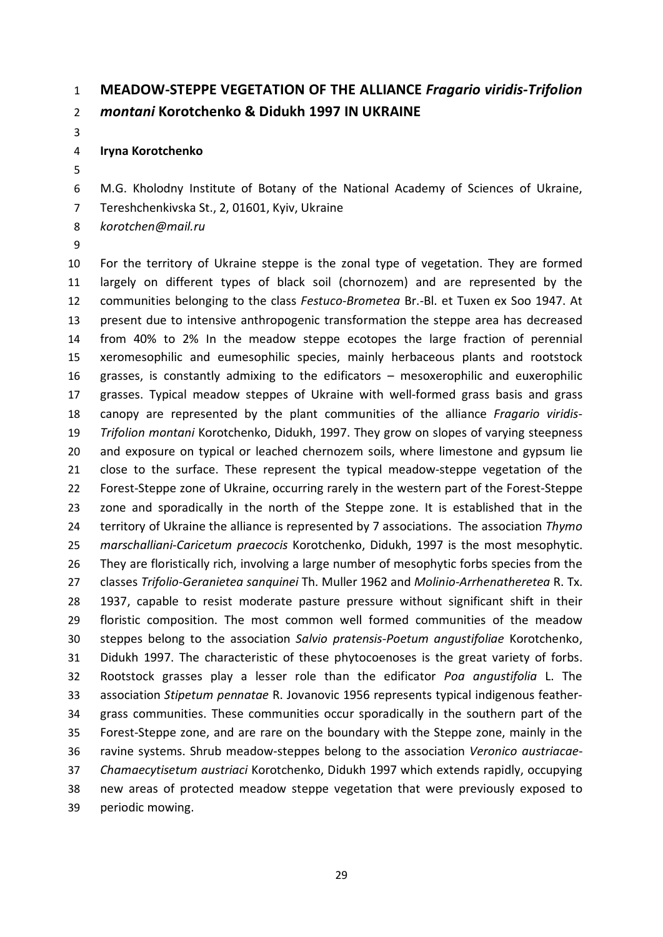### **MEADOW-STEPPE VEGETATION OF THE ALLIANCE** *Fragario viridis-Trifolion montani* **Korotchenko & Didukh 1997 IN UKRAINE**

### **Iryna Korotchenko**

- M.G. Kholodny Institute of Botany of the National Academy of Sciences of Ukraine,
- Tereshchenkivska St., 2, 01601, Kyiv, Ukraine
- *korotchen@mail.ru*
- 

 For the territory of Ukraine steppe is the zonal type of vegetation. They are formed largely on different types of black soil (chornozem) and are represented by the communities belonging to the class *Festuco*-*Brometea* Br.-Bl. et Tuxen ex Soo 1947. At present due to intensive anthropogenic transformation the steppe area has decreased from 40% to 2% In the meadow steppe ecotopes the large fraction of perennial xeromesophilic and eumesophilic species, mainly herbaceous plants and rootstock grasses, is constantly admixing to the edificators – mesoxerophilic and euxerophilic grasses. Typical meadow steppes of Ukraine with well-formed grass basis and grass canopy are represented by the plant communities of the alliance *Fragario viridis*- *Trifolion montani* Korotchenko, Didukh, 1997. They grow on slopes of varying steepness and exposure on typical or leached chernozem soils, where limestone and gypsum lie close to the surface. These represent the typical meadow-steppe vegetation of the Forest-Steppe zone of Ukraine, occurring rarely in the western part of the Forest-Steppe zone and sporadically in the north of the Steppe zone. It is established that in the territory of Ukraine the alliance is represented by 7 associations. The association *Thymo marschalliani*-*Caricetum praecocis* Korotchenko, Didukh, 1997 is the most mesophytic. 26 They are floristically rich, involving a large number of mesophytic forbs species from the classes *Trifolio*-*Geranietea sanquinei* Th. Muller 1962 and *Molinio*-*Arrhenatheretea* R. Tx. 1937, capable to resist moderate pasture pressure without significant shift in their floristic composition. The most common well formed communities of the meadow steppes belong to the association *Salvio pratensis*-*Poetum angustifoliae* Korotchenko, Didukh 1997. The characteristic of these phytocoenoses is the great variety of forbs. Rootstock grasses play a lesser role than the edificator *Poa angustifolia* L. The association *Stipetum pennatae* R. Jovanovic 1956 represents typical indigenous feather- grass communities. These communities occur sporadically in the southern part of the Forest-Steppe zone, and are rare on the boundary with the Steppe zone, mainly in the ravine systems. Shrub meadow-steppes belong to the association *Veronico austriacae*- *Chamaecytisetum austriaci* Korotchenko, Didukh 1997 which extends rapidly, occupying new areas of protected meadow steppe vegetation that were previously exposed to periodic mowing.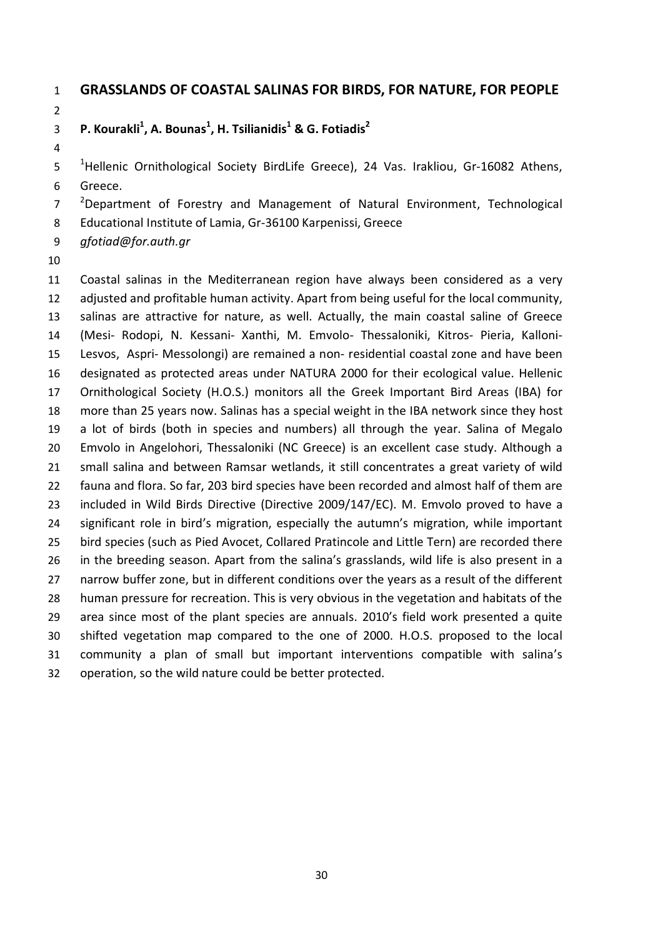### **GRASSLANDS OF COASTAL SALINAS FOR BIRDS, FOR NATURE, FOR PEOPLE**

### **P. Kourakli1 , A. Bounas<sup>1</sup> , H. Tsilianidis<sup>1</sup> & G. Fotiadis<sup>2</sup>**

 <sup>1</sup>Hellenic Ornithological Society BirdLife Greece), 24 Vas. Irakliou, Gr-16082 Athens, Greece.

 $2^2$  Pepartment of Forestry and Management of Natural Environment, Technological

Educational Institute of Lamia, Gr-36100 Karpenissi, Greece

*gfotiad@for.auth.gr*

 Coastal salinas in the Mediterranean region have always been considered as a very adjusted and profitable human activity. Apart from being useful for the local community, salinas are attractive for nature, as well. Actually, the main coastal saline of Greece (Mesi- Rodopi, N. Kessani- Xanthi, M. Emvolo- Thessaloniki, Kitros- Pieria, Kalloni- Lesvos, Aspri- Messolongi) are remained a non- residential coastal zone and have been designated as protected areas under NATURA 2000 for their ecological value. Hellenic Ornithological Society (H.O.S.) monitors all the Greek Important Bird Areas (IBA) for more than 25 years now. Salinas has a special weight in the IBA network since they host a lot of birds (both in species and numbers) all through the year. Salina of Megalo Emvolo in Angelohori, Thessaloniki (NC Greece) is an excellent case study. Although a small salina and between Ramsar wetlands, it still concentrates a great variety of wild fauna and flora. So far, 203 bird species have been recorded and almost half of them are included in Wild Birds Directive (Directive 2009/147/EC). M. Emvolo proved to have a significant role in bird's migration, especially the autumn's migration, while important bird species (such as Pied Avocet, Collared Pratincole and Little Tern) are recorded there in the breeding season. Apart from the salina's grasslands, wild life is also present in a narrow buffer zone, but in different conditions over the years as a result of the different human pressure for recreation. This is very obvious in the vegetation and habitats of the area since most of the plant species are annuals. 2010's field work presented a quite shifted vegetation map compared to the one of 2000. H.O.S. proposed to the local community a plan of small but important interventions compatible with salina's operation, so the wild nature could be better protected.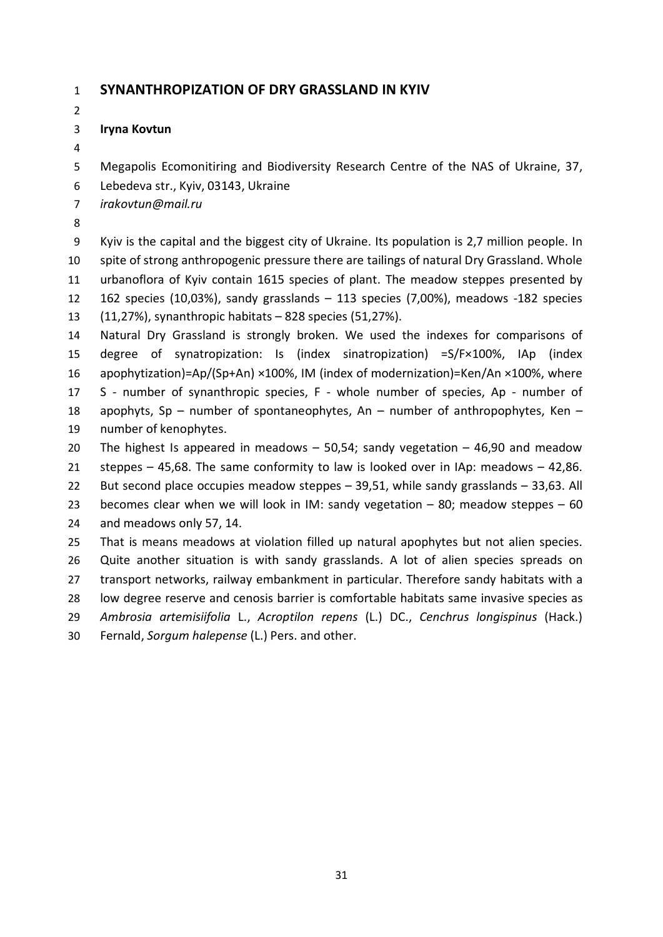### **SYNANTHROPIZATION OF DRY GRASSLAND IN KYIV**

#### **Iryna Kovtun**

Megapolis Ecomonitiring and Biodiversity Research Centre of the NAS of Ukraine, 37,

Lebedeva str., Kyiv, 03143, Ukraine

*irakovtun@mail.ru*

 Kyiv is the capital and the biggest city of Ukraine. Its population is 2,7 million people. In spite of strong anthropogenic pressure there are tailings of natural Dry Grassland. Whole urbanoflora of Kyiv contain 1615 species of plant. The meadow steppes presented by 162 species (10,03%), sandy grasslands – 113 species (7,00%), meadows -182 species (11,27%), synanthropic habitats – 828 species (51,27%).

 Natural Dry Grassland is strongly broken. We used the indexes for comparisons of degree of synatropization: Is (index sinatropization) =S/F×100%, IАp (index apophytization)=Ap/(Sp+An) ×100%, IM (index of modernization)=Ken/An ×100%, where S - number of synanthropic species, F - whole number of species, Ap - number of apophyts, Sp – number of spontaneophytes, An – number of anthropophytes, Ken – number of kenophytes.

 The highest Is appeared in meadows – 50,54; sandy vegetation – 46,90 and meadow steppes – 45,68. The same conformity to law is looked over in IАp: meadows – 42,86. But second place occupies meadow steppes – 39,51, while sandy grasslands – 33,63. All becomes clear when we will look in IM: sandy vegetation – 80; meadow steppes – 60 and meadows only 57, 14.

 That is means meadows at violation filled up natural apophytes but not alien species. Quite another situation is with sandy grasslands. A lot of alien species spreads on transport networks, railway embankment in particular. Therefore sandy habitats with a low degree reserve and cenosis barrier is comfortable habitats same invasive species as *Ambrosia artemisiifolia* L., *Acroptilon repens* (L.) DC., *Cenchrus longispinus* (Hack.) Fernald, *Sorgum halepense* (L.) Pers. and other.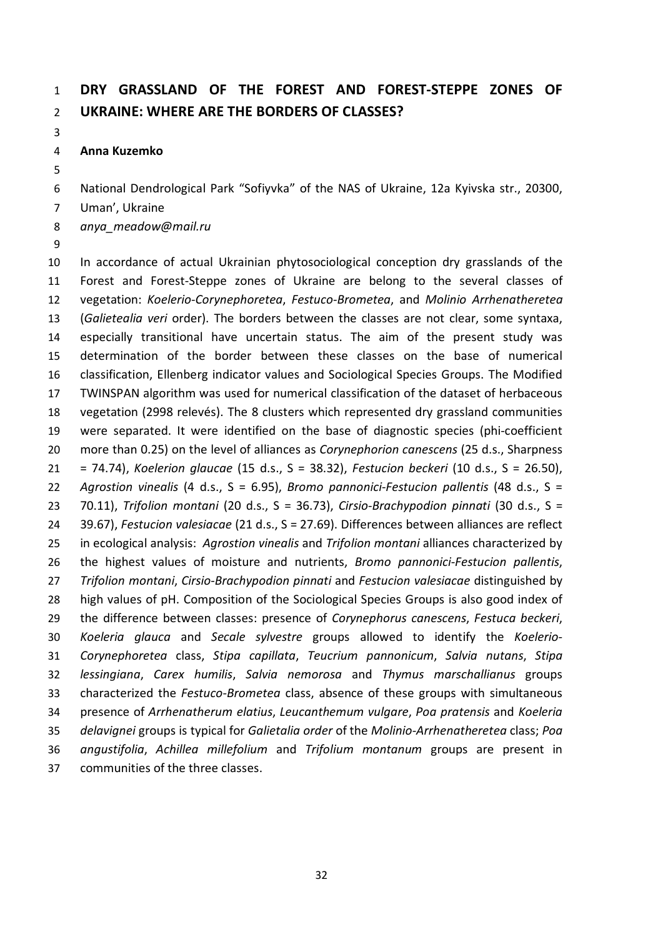## **DRY GRASSLAND OF THE FOREST AND FOREST-STEPPE ZONES OF UKRAINE: WHERE ARE THE BORDERS OF CLASSES?**

#### **Anna Kuzemko**

National Dendrological Park "Sofiyvka" of the NAS of Ukraine, 12a Kyivska str., 20300,

- Uman', Ukraine
- *anya\_meadow@mail.ru*
- 

 In accordance of actual Ukrainian phytosociological conception dry grasslands of the Forest and Forest-Steppe zones of Ukraine are belong to the several classes of vegetation: *Koelerio*-*Corynephoretea*, *Festuco*-*Brometea*, and *Molinio Arrhenatheretea* (*Galietealia veri* order). The borders between the classes are not clear, some syntaxa, especially transitional have uncertain status. The aim of the present study was determination of the border between these classes on the base of numerical classification, Ellenberg indicator values and Sociological Species Groups. The Modified TWINSPAN algorithm was used for numerical classification of the dataset of herbaceous vegetation (2998 relevés). The 8 clusters which represented dry grassland communities were separated. It were identified on the base of diagnostic species (phi-coefficient more than 0.25) on the level of alliances as *Corynephorion canescens* (25 d.s., Sharpness = 74.74), *Koelerion glaucae* (15 d.s., S = 38.32), *Festucion beckeri* (10 d.s., S = 26.50), *Agrostion vinealis* (4 d.s., S = 6.95), *Bromo pannonici*-*Festucion pallentis* (48 d.s., S = 70.11), *Trifolion montani* (20 d.s., S = 36.73), *Cirsio*-*Brachypodion pinnati* (30 d.s., S = 39.67), *Festucion valesiacae* (21 d.s., S = 27.69). Differences between alliances are reflect in ecological analysis: *Agrostion vinealis* and *Trifolion montani* alliances characterized by the highest values of moisture and nutrients, *Bromo pannonici*-*Festucion pallentis*, *Trifolion montani*, *Cirsio*-*Brachypodion pinnati* and *Festucion valesiacae* distinguished by high values of pH. Composition of the Sociological Species Groups is also good index of the difference between classes: presence of *Corynephorus canescens*, *Festuca beckeri*, *Koeleria glauca* and *Secale sylvestre* groups allowed to identify the *Koelerio*- *Corynephoretea* class, *Stipa capillata*, *Teucrium pannonicum*, *Salvia nutans*, *Stipa lessingiana*, *Carex humilis*, *Salvia nemorosa* and *Thymus marschallianus* groups characterized the *Festuco*-*Brometea* class, absence of these groups with simultaneous presence of *Arrhenatherum elatius*, *Leucanthemum vulgare*, *Poa pratensis* and *Koeleria delavignei* groups is typical for *Galietalia order* of the *Molinio*-*Arrhenatheretea* class; *Poa angustifolia*, *Achillea millefolium* and *Trifolium montanum* groups are present in communities of the three classes.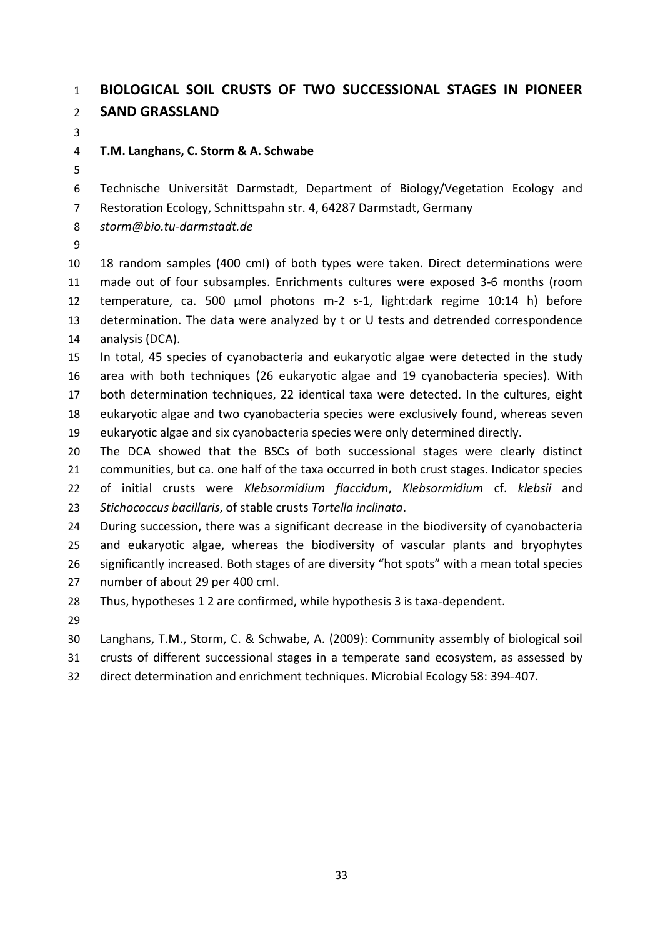### **BIOLOGICAL SOIL CRUSTS OF TWO SUCCESSIONAL STAGES IN PIONEER SAND GRASSLAND**

### **T.M. Langhans, C. Storm & A. Schwabe**

Technische Universität Darmstadt, Department of Biology/Vegetation Ecology and

Restoration Ecology, Schnittspahn str. 4, 64287 Darmstadt, Germany

*storm@bio.tu-darmstadt.de*

 18 random samples (400 cmІ) of both types were taken. Direct determinations were made out of four subsamples. Enrichments cultures were exposed 3-6 months (room temperature, ca. 500 µmol photons m-2 s-1, light:dark regime 10:14 h) before determination. The data were analyzed by t or U tests and detrended correspondence analysis (DCA).

 In total, 45 species of cyanobacteria and eukaryotic algae were detected in the study area with both techniques (26 eukaryotic algae and 19 cyanobacteria species). With both determination techniques, 22 identical taxa were detected. In the cultures, eight eukaryotic algae and two cyanobacteria species were exclusively found, whereas seven eukaryotic algae and six cyanobacteria species were only determined directly.

 The DCA showed that the BSCs of both successional stages were clearly distinct communities, but ca. one half of the taxa occurred in both crust stages. Indicator species of initial crusts were *Klebsormidium flaccidum*, *Klebsormidium* cf. *klebsii* and *Stichococcus bacillaris*, of stable crusts *Tortella inclinata*.

 During succession, there was a significant decrease in the biodiversity of cyanobacteria and eukaryotic algae, whereas the biodiversity of vascular plants and bryophytes significantly increased. Both stages of are diversity "hot spots" with a mean total species number of about 29 per 400 cmІ.

Thus, hypotheses 1 2 are confirmed, while hypothesis 3 is taxa-dependent.

Langhans, T.M., Storm, C. & Schwabe, A. (2009): Community assembly of biological soil

crusts of different successional stages in a temperate sand ecosystem, as assessed by

direct determination and enrichment techniques. Microbial Ecology 58: 394-407.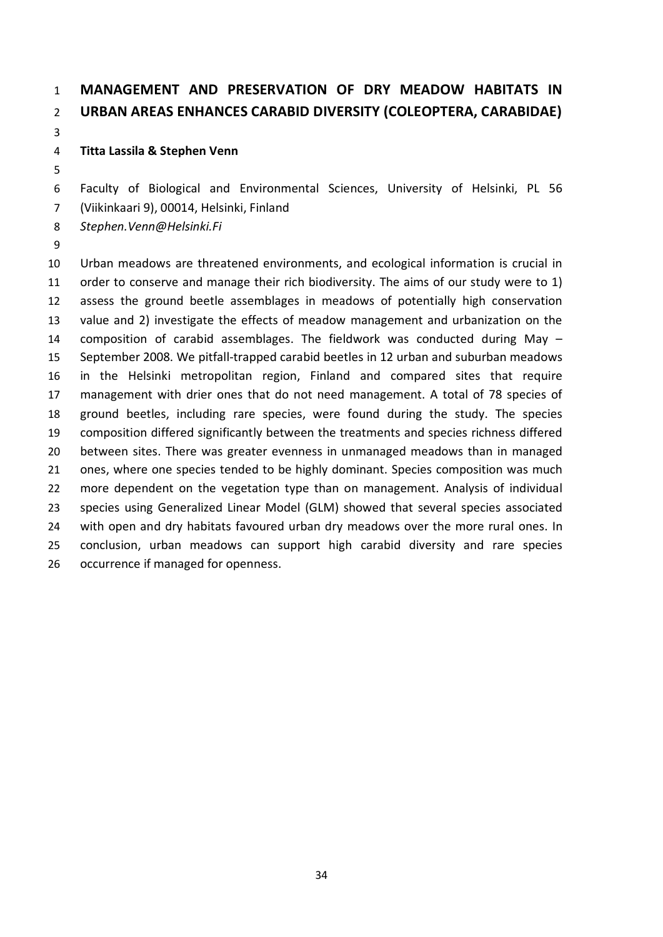# **MANAGEMENT AND PRESERVATION OF DRY MEADOW HABITATS IN URBAN AREAS ENHANCES CARABID DIVERSITY (COLEOPTERA, CARABIDAE)**

### **Titta Lassila & Stephen Venn**

Faculty of Biological and Environmental Sciences, University of Helsinki, PL 56

(Viikinkaari 9), 00014, Helsinki, Finland

*Stephen.Venn@Helsinki.Fi*

 Urban meadows are threatened environments, and ecological information is crucial in order to conserve and manage their rich biodiversity. The aims of our study were to 1) assess the ground beetle assemblages in meadows of potentially high conservation value and 2) investigate the effects of meadow management and urbanization on the composition of carabid assemblages. The fieldwork was conducted during May – September 2008. We pitfall-trapped carabid beetles in 12 urban and suburban meadows in the Helsinki metropolitan region, Finland and compared sites that require management with drier ones that do not need management. A total of 78 species of ground beetles, including rare species, were found during the study. The species composition differed significantly between the treatments and species richness differed between sites. There was greater evenness in unmanaged meadows than in managed ones, where one species tended to be highly dominant. Species composition was much more dependent on the vegetation type than on management. Analysis of individual species using Generalized Linear Model (GLM) showed that several species associated with open and dry habitats favoured urban dry meadows over the more rural ones. In conclusion, urban meadows can support high carabid diversity and rare species occurrence if managed for openness.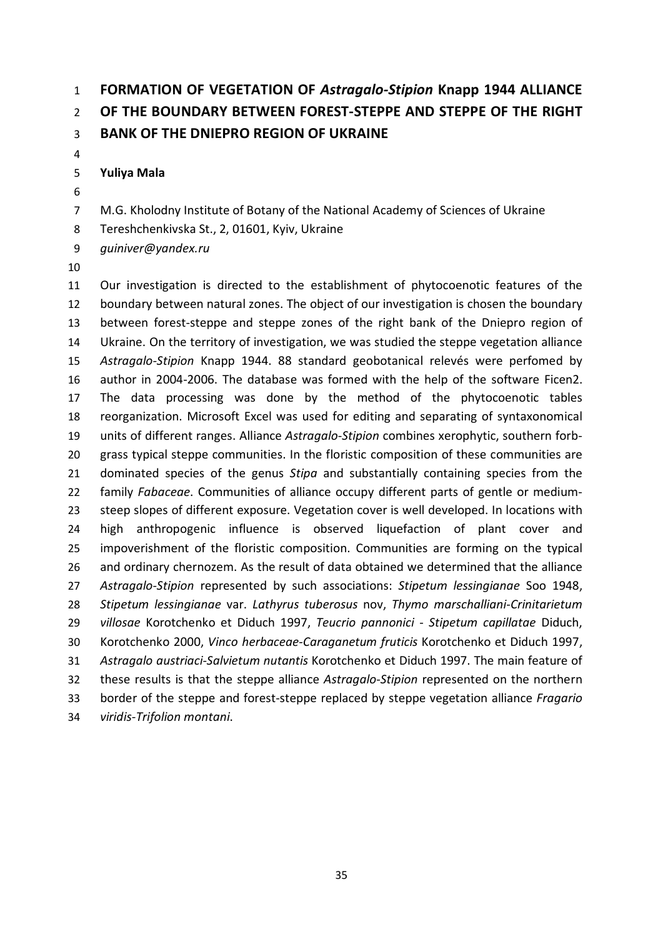# **FORMATION OF VEGETATION OF** *Astragalo-Stipion* **Knapp 1944 ALLIANCE OF THE BOUNDARY BETWEEN FOREST-STEPPE AND STEPPE OF THE RIGHT BANK OF THE DNIEPRO REGION OF UKRAINE**

#### **Yuliya Mala**

- 
- M.G. Kholodny Institute of Botany of the National Academy of Sciences of Ukraine
- Tereshchenkivska St., 2, 01601, Kyiv, Ukraine

*guiniver@yandex.ru*

 Our investigation is directed to the establishment of phytocoenotic features of the boundary between natural zones. The object of our investigation is chosen the boundary between forest-steppe and steppe zones of the right bank of the Dniepro region of Ukraine. On the territory of investigation, we was studied the steppe vegetation alliance *Astragalo-Stipion* Knapp 1944. 88 standard geobotanical relevés were perfomed by author in 2004-2006. The database was formed with the help of the software Ficen2. The data processing was done by the method of the phytocoenotic tables reorganization. Microsoft Excel was used for editing and separating of syntaxonomical units of different ranges. Alliance *Astragalo*-*Stipion* combines xerophytic, southern forb- grass typical steppe communities. In the floristic composition of these communities are dominated species of the genus *Stipa* and substantially containing species from the family *Fabaceae*. Communities of alliance occupy different parts of gentle or medium- steep slopes of different exposure. Vegetation cover is well developed. In locations with high anthropogenic influence is observed liquefaction of plant cover and impoverishment of the floristic composition. Communities are forming on the typical and ordinary chernozem. As the result of data obtained we determined that the alliance *Astragalo*-*Stipion* represented by such associations: *Stipetum lessingianae* Soo 1948, *Stipetum lessingianae* var. *Lathyrus tuberosus* nov, *Thymo marschalliani*-*Crinitarietum villosae* Korotchenko et Diduch 1997, *Teucrio pannonici* - *Stipetum capillatae* Diduch, Korotchenko 2000, *Vinco herbaceae*-*Caraganetum fruticis* Korotchenko et Diduch 1997, *Astragalo austriaci*-*Salvietum nutantis* Korotchenko et Diduch 1997. The main feature of these results is that the steppe alliance *Astragalo*-*Stipion* represented on the northern border of the steppe and forest-steppe replaced by steppe vegetation alliance *Fragario viridis*-*Trifolion montani*.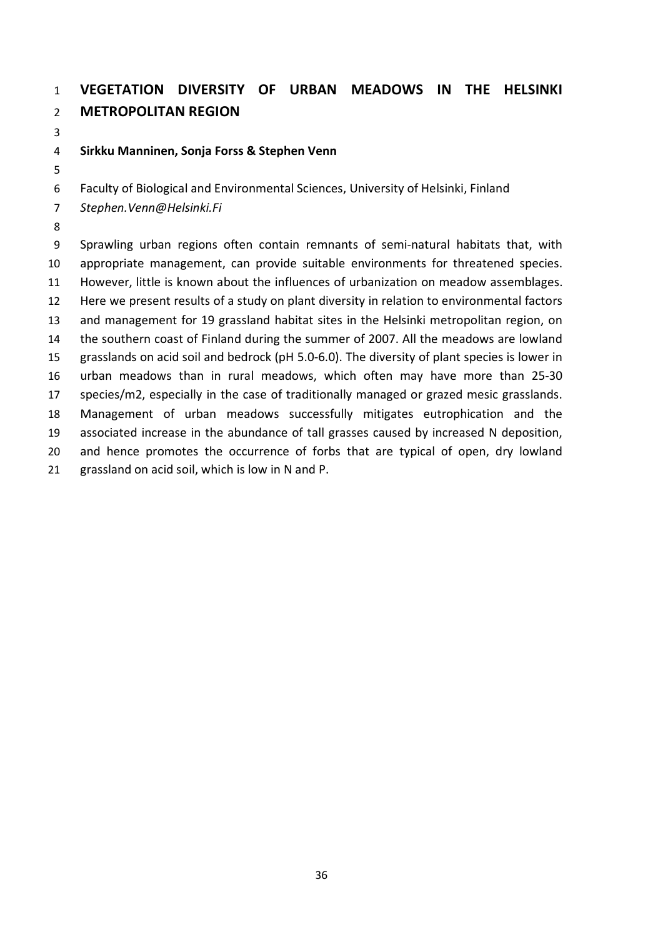# **VEGETATION DIVERSITY OF URBAN MEADOWS IN THE HELSINKI METROPOLITAN REGION**

### **Sirkku Manninen, Sonja Forss & Stephen Venn**

Faculty of Biological and Environmental Sciences, University of Helsinki, Finland

*Stephen.Venn@Helsinki.Fi*

 Sprawling urban regions often contain remnants of semi-natural habitats that, with appropriate management, can provide suitable environments for threatened species. However, little is known about the influences of urbanization on meadow assemblages. Here we present results of a study on plant diversity in relation to environmental factors and management for 19 grassland habitat sites in the Helsinki metropolitan region, on the southern coast of Finland during the summer of 2007. All the meadows are lowland grasslands on acid soil and bedrock (pH 5.0-6.0). The diversity of plant species is lower in urban meadows than in rural meadows, which often may have more than 25-30 species/m2, especially in the case of traditionally managed or grazed mesic grasslands. Management of urban meadows successfully mitigates eutrophication and the associated increase in the abundance of tall grasses caused by increased N deposition, and hence promotes the occurrence of forbs that are typical of open, dry lowland grassland on acid soil, which is low in N and P.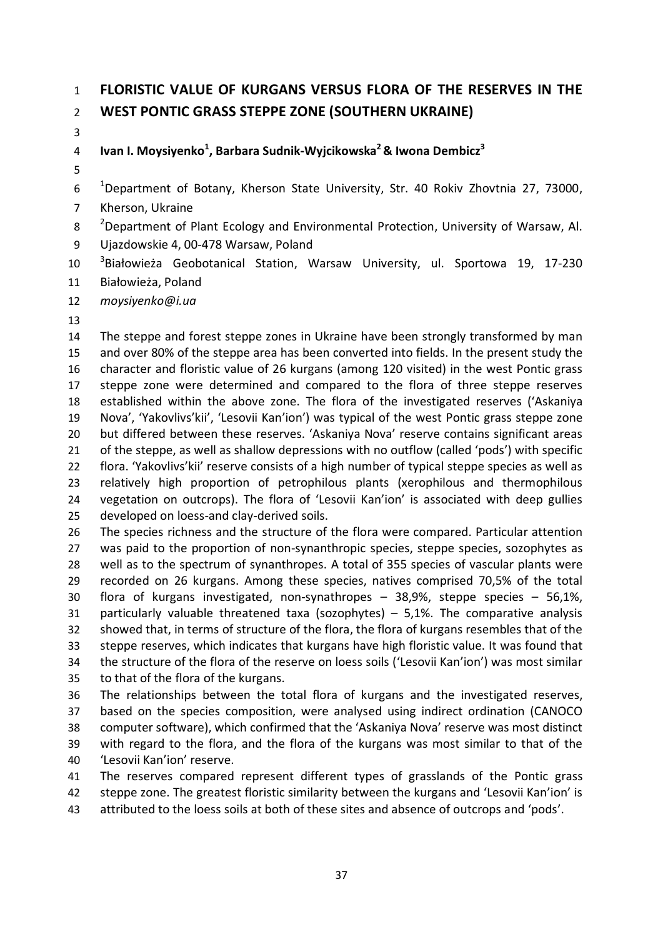## **FLORISTIC VALUE OF KURGANS VERSUS FLORA OF THE RESERVES IN THE WEST PONTIC GRASS STEPPE ZONE (SOUTHERN UKRAINE)**

**Ivan I. Moysiyenko<sup>1</sup> , Barbara Sudnik-Wуjcikowska<sup>2</sup> & Iwona Dembicz<sup>3</sup>**

 $10^{-1}$ Department of Botany, Kherson State University, Str. 40 Rokiv Zhovtnia 27, 73000,

Kherson, Ukraine

<sup>2</sup> Department of Plant Ecology and Environmental Protection, University of Warsaw, Al.

Ujazdowskie 4, 00-478 Warsaw, Poland

<sup>3</sup> Białowieża Geobotanical Station, Warsaw University, ul. Sportowa 19, 17-230 Białowieża, Poland

*moysiyenko@i.ua*

 The steppe and forest steppe zones in Ukraine have been strongly transformed by man and over 80% of the steppe area has been converted into fields. In the present study the character and floristic value of 26 kurgans (among 120 visited) in the west Pontic grass steppe zone were determined and compared to the flora of three steppe reserves established within the above zone. The flora of the investigated reserves ('Askaniya Nova', 'Yakovlivs'kii', 'Lesovii Kan'ion') was typical of the west Pontic grass steppe zone but differed between these reserves. 'Askaniya Nova' reserve contains significant areas 21 of the steppe, as well as shallow depressions with no outflow (called 'pods') with specific flora. 'Yakovlivs'kii' reserve consists of a high number of typical steppe species as well as relatively high proportion of petrophilous plants (xerophilous and thermophilous vegetation on outcrops). The flora of 'Lesovii Kan'ion' is associated with deep gullies developed on loess-and clay-derived soils.

 The species richness and the structure of the flora were compared. Particular attention was paid to the proportion of non-synanthropic species, steppe species, sozophytes as well as to the spectrum of synanthropes. A total of 355 species of vascular plants were recorded on 26 kurgans. Among these species, natives comprised 70,5% of the total flora of kurgans investigated, non-synathropes – 38,9%, steppe species – 56,1%, particularly valuable threatened taxa (sozophytes) – 5,1%. The comparative analysis showed that, in terms of structure of the flora, the flora of kurgans resembles that of the steppe reserves, which indicates that kurgans have high floristic value. It was found that the structure of the flora of the reserve on loess soils ('Lesovii Kan'ion') was most similar to that of the flora of the kurgans.

 The relationships between the total flora of kurgans and the investigated reserves, based on the species composition, were analysed using indirect ordination (CANOCO computer software), which confirmed that the 'Askaniya Nova' reserve was most distinct with regard to the flora, and the flora of the kurgans was most similar to that of the 'Lesovii Kan'ion' reserve.

 The reserves compared represent different types of grasslands of the Pontic grass steppe zone. The greatest floristic similarity between the kurgans and 'Lesovii Kan'ion' is attributed to the loess soils at both of these sites and absence of outcrops and 'pods'.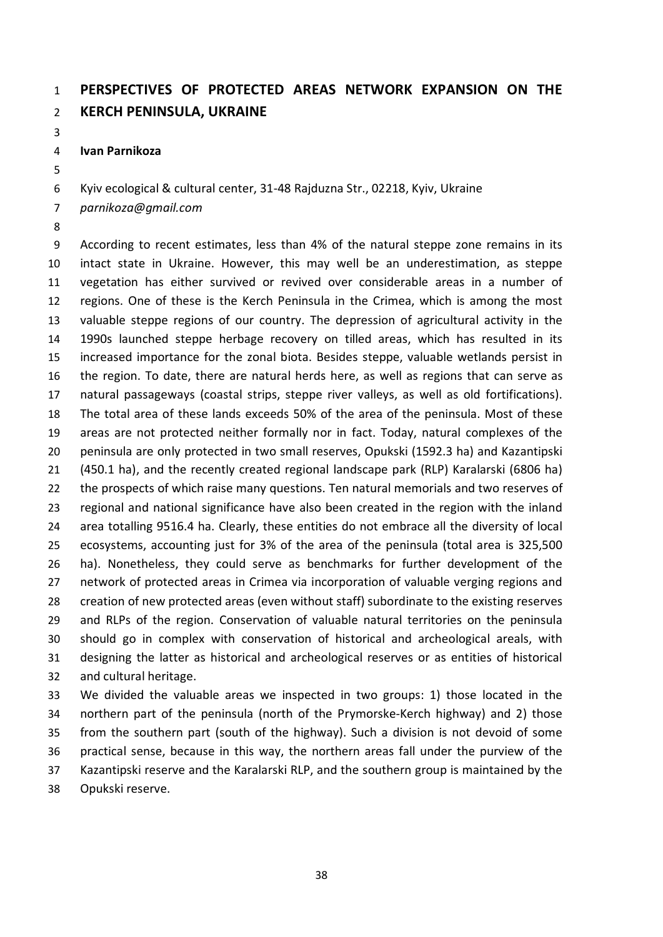## **PERSPECTIVES OF PROTECTED AREAS NETWORK EXPANSION ON THE KERCH PENINSULA, UKRAINE**

**Ivan Parnikoza**

Kyiv ecological & cultural center, 31-48 Rajduzna Str., 02218, Kyiv, Ukraine

*parnikoza@gmail.com* 

 According to recent estimates, less than 4% of the natural steppe zone remains in its intact state in Ukraine. However, this may well be an underestimation, as steppe vegetation has either survived or revived over considerable areas in a number of regions. One of these is the Kerch Peninsula in the Crimea, which is among the most valuable steppe regions of our country. The depression of agricultural activity in the 1990s launched steppe herbage recovery on tilled areas, which has resulted in its increased importance for the zonal biota. Besides steppe, valuable wetlands persist in the region. To date, there are natural herds here, as well as regions that can serve as natural passageways (coastal strips, steppe river valleys, as well as old fortifications). The total area of these lands exceeds 50% of the area of the peninsula. Most of these areas are not protected neither formally nor in fact. Today, natural complexes of the peninsula are only protected in two small reserves, Opukski (1592.3 ha) and Kazantipski (450.1 ha), and the recently created regional landscape park (RLP) Karalarski (6806 ha) the prospects of which raise many questions. Ten natural memorials and two reserves of regional and national significance have also been created in the region with the inland area totalling 9516.4 ha. Clearly, these entities do not embrace all the diversity of local ecosystems, accounting just for 3% of the area of the peninsula (total area is 325,500 ha). Nonetheless, they could serve as benchmarks for further development of the network of protected areas in Crimea via incorporation of valuable verging regions and creation of new protected areas (even without staff) subordinate to the existing reserves and RLPs of the region. Conservation of valuable natural territories on the peninsula should go in complex with conservation of historical and archeological areals, with designing the latter as historical and archeological reserves or as entities of historical and cultural heritage.

 We divided the valuable areas we inspected in two groups: 1) those located in the northern part of the peninsula (north of the Prymorske-Kerch highway) and 2) those from the southern part (south of the highway). Such a division is not devoid of some practical sense, because in this way, the northern areas fall under the purview of the Kazantipski reserve and the Karalarski RLP, and the southern group is maintained by the Opukski reserve.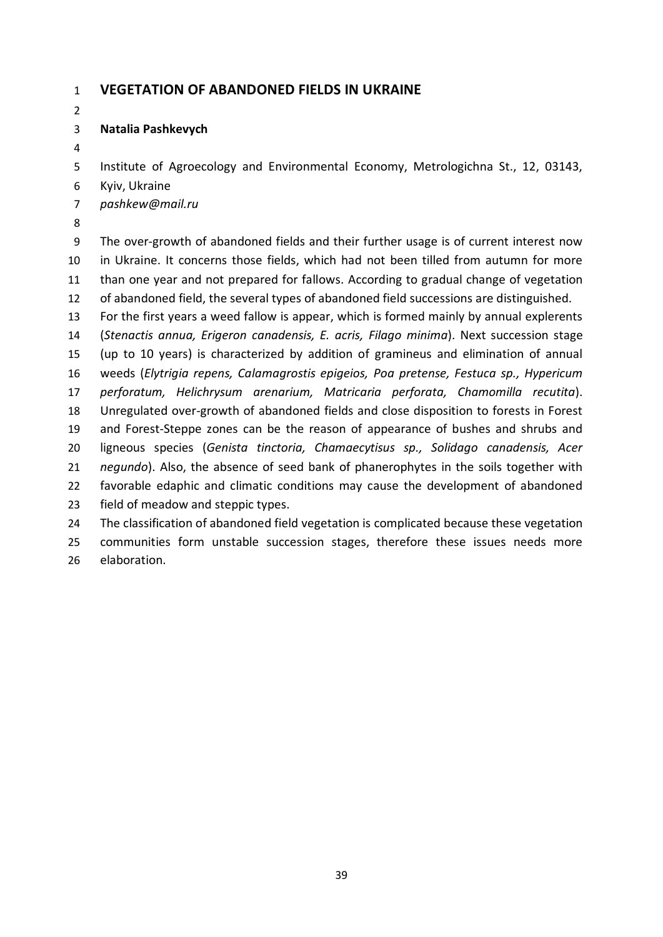#### **VEGETATION OF ABANDONED FIELDS IN UKRAINE**

#### **Natalia Pashkevych**

Institute of Agroecology and Environmental Economy, Metrologichna St., 12, 03143,

- Kyiv, Ukraine
- *pashkew@mail.ru*
- 

 The over-growth of abandoned fields and their further usage is of current interest now in Ukraine. It concerns those fields, which had not been tilled from autumn for more than one year and not prepared for fallows. According to gradual change of vegetation of abandoned field, the several types of abandoned field successions are distinguished.

 For the first years a weed fallow is appear, which is formed mainly by annual explerents (*Stenactis annua, Erigeron canadensis, E. acris, Filago minima*). Next succession stage (up to 10 years) is characterized by addition of gramineus and elimination of annual weeds (*Elytrigia repens, Calamagrostis epigeios, Poa pretense, Festuca sp., Hypericum perforatum, Helichrysum arenarium, Matricaria perforata, Chamomilla recutita*). Unregulated over-growth of abandoned fields and close disposition to forests in Forest and Forest-Steppe zones can be the reason of appearance of bushes and shrubs and ligneous species (*Genista tinctoria, Chamaecytisus sp., Solidago canadensis, Acer negundo*). Also, the absence of seed bank of phanerophytes in the soils together with favorable edaphic and climatic conditions may cause the development of abandoned field of meadow and steppic types. The classification of abandoned field vegetation is complicated because these vegetation

 communities form unstable succession stages, therefore these issues needs more elaboration.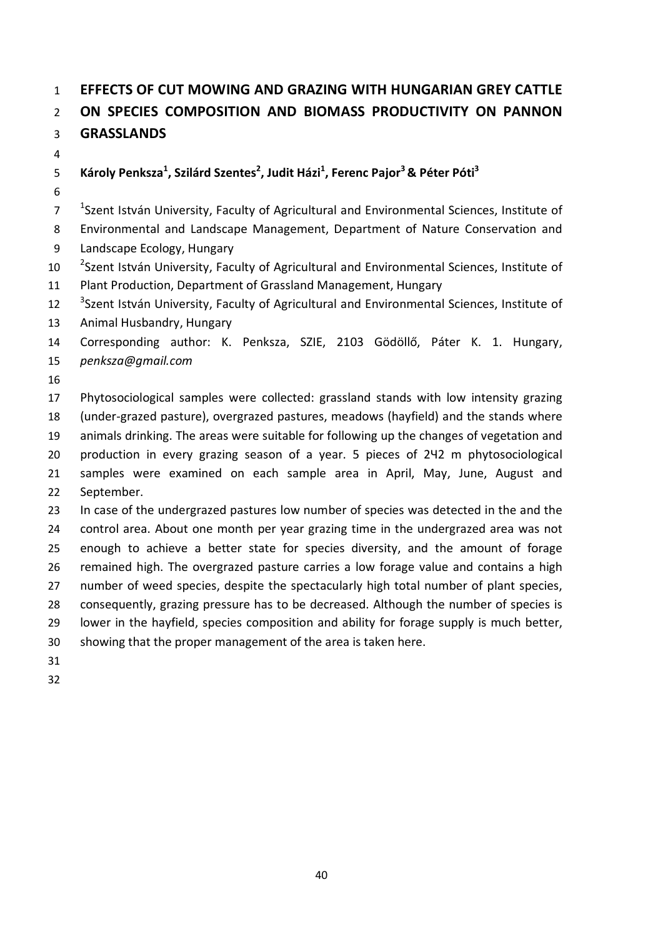## **EFFECTS OF CUT MOWING AND GRAZING WITH HUNGARIAN GREY CATTLE ON SPECIES COMPOSITION AND BIOMASS PRODUCTIVITY ON PANNON GRASSLANDS**

## **Károly Penksza<sup>1</sup> , Szilárd Szentes<sup>2</sup> , Judit Házi1 , Ferenc Pajor<sup>3</sup> & Péter Póti3**

<sup>1</sup> Szent István University, Faculty of Agricultural and Environmental Sciences, Institute of Environmental and Landscape Management, Department of Nature Conservation and

- Landscape Ecology, Hungary
- <sup>2</sup> Szent István University, Faculty of Agricultural and Environmental Sciences, Institute of Plant Production, Department of Grassland Management, Hungary
- <sup>3</sup> 3 12 <sup>3</sup> Szent István University, Faculty of Agricultural and Environmental Sciences, Institute of
- Animal Husbandry, Hungary

 Corresponding author: K. Penksza, SZIE, 2103 Gödöllő, Páter K. 1. Hungary, *[penksza@gmail.com](mailto:penksza@gmail.com)*

 Phytosociological samples were collected: grassland stands with low intensity grazing (under-grazed pasture), overgrazed pastures, meadows (hayfield) and the stands where animals drinking. The areas were suitable for following up the changes of vegetation and production in every grazing season of a year. 5 pieces of 2Ч2 m phytosociological samples were examined on each sample area in April, May, June, August and September.

 In case of the undergrazed pastures low number of species was detected in the and the control area. About one month per year grazing time in the undergrazed area was not enough to achieve a better state for species diversity, and the amount of forage remained high. The overgrazed pasture carries a low forage value and contains a high number of weed species, despite the spectacularly high total number of plant species, consequently, grazing pressure has to be decreased. Although the number of species is lower in the hayfield, species composition and ability for forage supply is much better, showing that the proper management of the area is taken here.

- 
-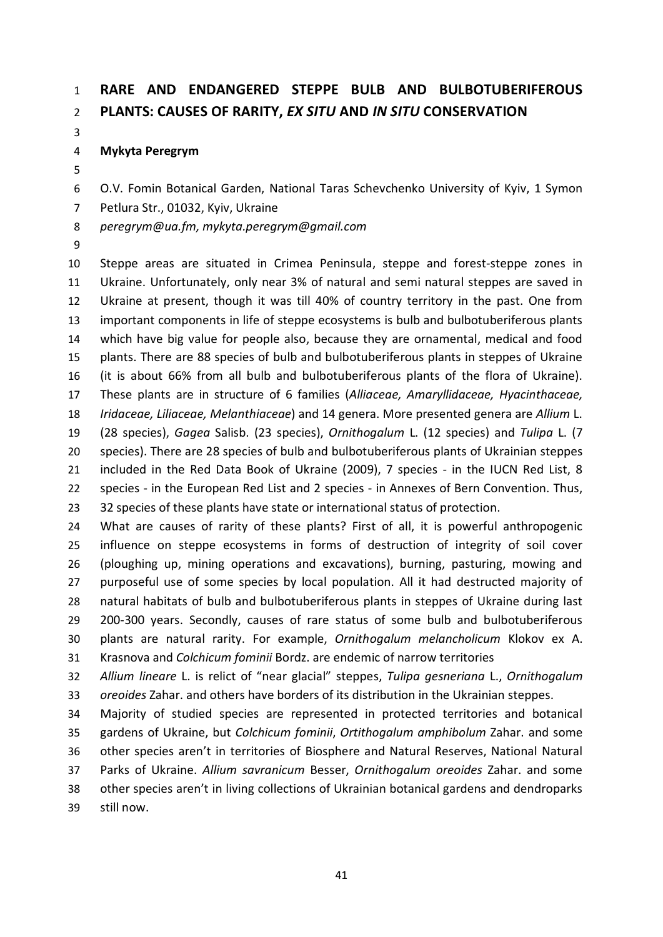## **RARE AND ENDANGERED STEPPE BULB AND BULBOTUBERIFEROUS PLANTS: CAUSES OF RARITY,** *EX SITU* **AND** *IN SITU* **CONSERVATION**

#### **Mykyta Peregrym**

- O.V. Fomin Botanical Garden, National Taras Schevchenko University of Kyiv, 1 Symon
- Petlura Str., 01032, Kyiv, Ukraine
- *peregrym@ua.fm, mykyta.peregrym@gmail.com*
- 

 Steppe areas are situated in Crimea Peninsula, steppe and forest-steppe zones in Ukraine. Unfortunately, only near 3% of natural and semi natural steppes are saved in Ukraine at present, though it was till 40% of country territory in the past. One from important components in life of steppe ecosystems is bulb and bulbotuberiferous plants which have big value for people also, because they are ornamental, medical and food plants. There are 88 species of bulb and bulbotuberiferous plants in steppes of Ukraine (it is about 66% from all bulb and bulbotuberiferous plants of the flora of Ukraine). These plants are in structure of 6 families (*Alliaceae, Amaryllidaceae, Hyacinthaceae, Iridaceae, Liliaceae, Melanthiaceae*) and 14 genera. More presented genera are *Allium* L. (28 species), *Gagea* Salisb. (23 species), *Ornithogalum* L. (12 species) and *Tulipa* L. (7 species). There are 28 species of bulb and bulbotuberiferous plants of Ukrainian steppes 21 included in the Red Data Book of Ukraine (2009), 7 species - in the IUCN Red List, 8 species - in the European Red List and 2 species - in Annexes of Bern Convention. Thus, 23 32 species of these plants have state or international status of protection.

 What are causes of rarity of these plants? First of all, it is powerful anthropogenic influence on steppe ecosystems in forms of destruction of integrity of soil cover (ploughing up, mining operations and excavations), burning, pasturing, mowing and purposeful use of some species by local population. All it had destructed majority of natural habitats of bulb and bulbotuberiferous plants in steppes of Ukraine during last 200-300 years. Secondly, causes of rare status of some bulb and bulbotuberiferous plants are natural rarity. For example, *Ornithogalum melancholicum* Klokov ex A. Krasnova and *Colchicum fominii* Bordz. are endemic of narrow territories

 *Allium lineare* L. is relict of "near glacial" steppes, *Tulipa gesneriana* L., *Ornithogalum oreoides* Zahar. and others have borders of its distribution in the Ukrainian steppes.

 Majority of studied species are represented in protected territories and botanical gardens of Ukraine, but *Colchicum fominii*, *Ortithogalum amphibolum* Zahar. and some other species aren't in territories of Biosphere and Natural Reserves, National Natural Parks of Ukraine. *Allium savranicum* Besser, *Ornithogalum oreoides* Zahar. and some other species aren't in living collections of Ukrainian botanical gardens and dendroparks still now.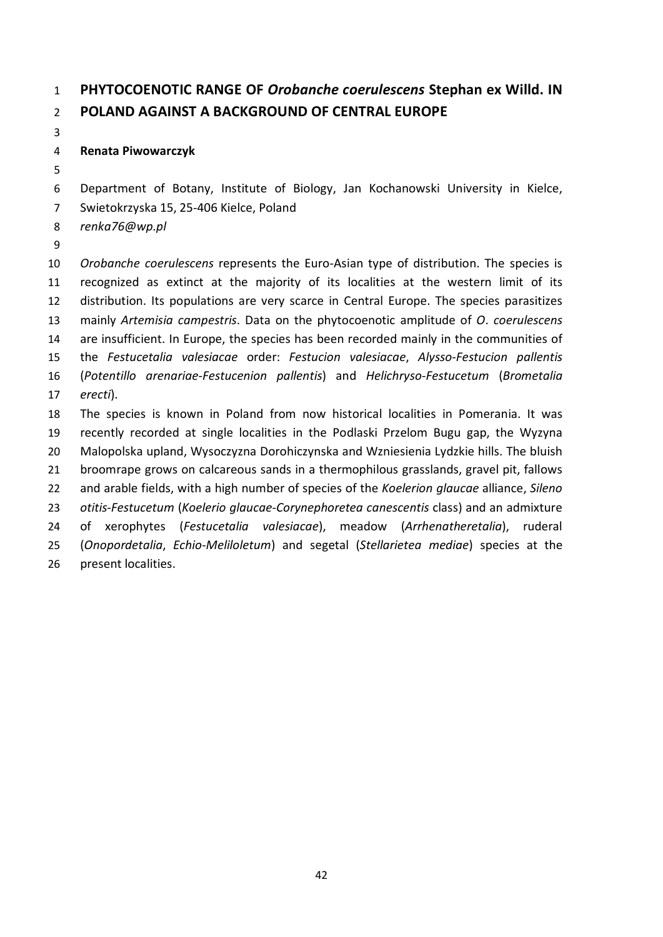## **PHYTOCOENOTIC RANGE OF** *Orobanche coerulescens* **Stephan ex Willd. IN POLAND AGAINST A BACKGROUND OF CENTRAL EUROPE**

### **Renata Piwowarczyk**

Department of Botany, Institute of Biology, Jan Kochanowski University in Kielce,

- Swietokrzyska 15, 25-406 Kielce, Poland
- *renka76@wp.pl*
- 

 *Orobanche coerulescens* represents the Euro-Asian type of distribution. The species is recognized as extinct at the majority of its localities at the western limit of its distribution. Its populations are very scarce in Central Europe. The species parasitizes mainly *Artemisia campestris*. Data on the phytocoenotic amplitude of *O*. *coerulescens* are insufficient. In Europe, the species has been recorded mainly in the communities of the *Festucetalia valesiacae* order: *Festucion valesiacae*, *Alysso*-*Festucion pallentis* (*Potentillo arenariae*-*Festucenion pallentis*) and *Helichryso*-*Festucetum* (*Brometalia erecti*). The species is known in Poland from now historical localities in Pomerania. It was recently recorded at single localities in the Podlaski Przelom Bugu gap, the Wyzyna

 Malopolska upland, Wysoczyzna Dorohiczynska and Wzniesienia Lуdzkie hills. The bluish broomrape grows on calcareous sands in a thermophilous grasslands, gravel pit, fallows

and arable fields, with a high number of species of the *Koelerion glaucae* alliance, *Sileno*

*otitis*-*Festucetum* (*Koelerio glaucae*-*Corynephoretea canescentis* class) and an admixture

of xerophytes (*Festucetalia valesiacae*), meadow (*Arrhenatheretalia*), ruderal

 (*Onopordetalia*, *Echio*-*Meliloletum*) and segetal (*Stellarietea mediae*) species at the present localities.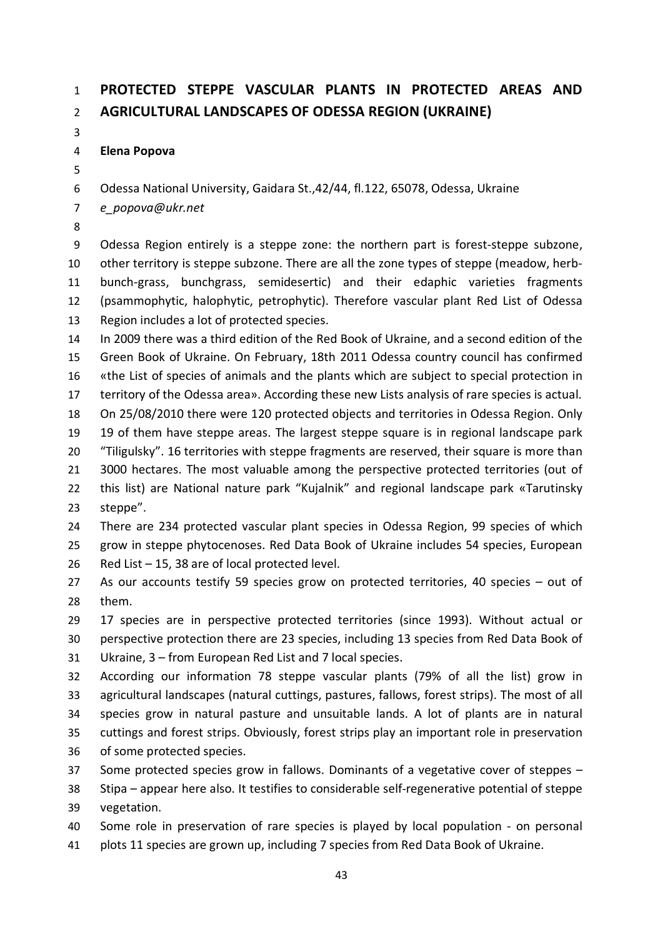# **PROTECTED STEPPE VASCULAR PLANTS IN PROTECTED AREAS AND AGRICULTURAL LANDSCAPES OF ODESSA REGION (UKRAINE)**

### **Elena Popova**

Odessa National University, Gaidara St.,42/44, fl.122, 65078, Odessa, Ukraine

*e\_popova@ukr.net*

 Odessa Region entirely is a steppe zone: the northern part is forest-steppe subzone, other territory is steppe subzone. There are all the zone types of steppe (meadow, herb- bunch-grass, bunchgrass, semidesertic) and their edaphic varieties fragments (psammophytic, halophytic, petrophytic). Therefore vascular plant Red List of Odessa Region includes a lot of protected species.

 In 2009 there was a third edition of the Red Book of Ukraine, and a second edition of the Green Book of Ukraine. On February, 18th 2011 Odessa country council has confirmed «the List of species of animals and the plants which are subject to special protection in territory of the Odessa area». According these new Lists analysis of rare species is actual. On 25/08/2010 there were 120 protected objects and territories in Odessa Region. Only 19 of them have steppe areas. The largest steppe square is in regional landscape park 20 "Tiligulsky". 16 territories with steppe fragments are reserved, their square is more than 21 3000 hectares. The most valuable among the perspective protected territories (out of this list) are National nature park "Kujalnik" and regional landscape park «Tarutinsky steppe".

 There are 234 protected vascular plant species in Odessa Region, 99 species of which grow in steppe phytocenoses. Red Data Book of Ukraine includes 54 species, European Red List – 15, 38 are of local protected level.

 As our accounts testify 59 species grow on protected territories, 40 species – out of them.

17 species are in perspective protected territories (since 1993). Without actual or

 perspective protection there are 23 species, including 13 species from Red Data Book of Ukraine, 3 – from European Red List and 7 local species.

 According our information 78 steppe vascular plants (79% of all the list) grow in agricultural landscapes (natural cuttings, pastures, fallows, forest strips). The most of all species grow in natural pasture and unsuitable lands. A lot of plants are in natural cuttings and forest strips. Obviously, forest strips play an important role in preservation of some protected species.

Some protected species grow in fallows. Dominants of a vegetative cover of steppes –

 Stipa – appear here also. It testifies to considerable self-regenerative potential of steppe vegetation.

 Some role in preservation of rare species is played by local population - on personal plots 11 species are grown up, including 7 species from Red Data Book of Ukraine.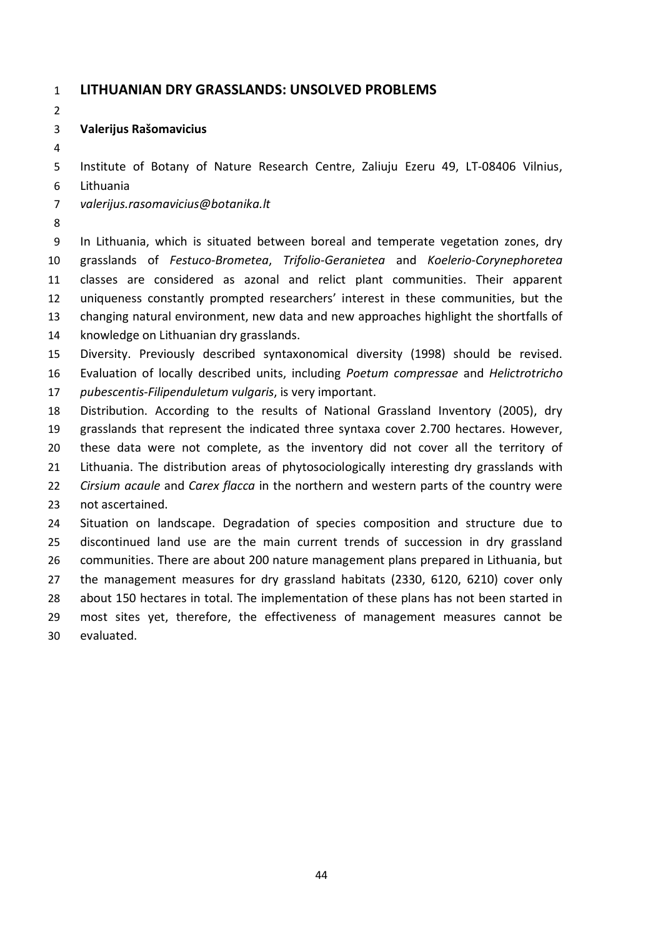#### **LITHUANIAN DRY GRASSLANDS: UNSOLVED PROBLEMS**

#### **Valerijus Rašomavicius**

Institute of Botany of Nature Research Centre, Zaliuju Ezeru 49, LT-08406 Vilnius,

- Lithuania
- *valerijus.rasomavicius@botanika.lt*
- 

 In Lithuania, which is situated between boreal and temperate vegetation zones, dry grasslands of *Festuco*-*Brometea*, *Trifolio*-*Geranietea* and *Koelerio*-*Corynephoretea* classes are considered as azonal and relict plant communities. Their apparent uniqueness constantly prompted researchers' interest in these communities, but the changing natural environment, new data and new approaches highlight the shortfalls of knowledge on Lithuanian dry grasslands.

- Diversity. Previously described syntaxonomical diversity (1998) should be revised. Evaluation of locally described units, including *Poetum compressae* and *Helictrotricho*
- *pubescentis*-*Filipenduletum vulgaris*, is very important.

 Distribution. According to the results of National Grassland Inventory (2005), dry grasslands that represent the indicated three syntaxa cover 2.700 hectares. However, these data were not complete, as the inventory did not cover all the territory of Lithuania. The distribution areas of phytosociologically interesting dry grasslands with *Cirsium acaule* and *Carex flacca* in the northern and western parts of the country were not ascertained. Situation on landscape. Degradation of species composition and structure due to discontinued land use are the main current trends of succession in dry grassland

 communities. There are about 200 nature management plans prepared in Lithuania, but the management measures for dry grassland habitats (2330, 6120, 6210) cover only about 150 hectares in total. The implementation of these plans has not been started in most sites yet, therefore, the effectiveness of management measures cannot be

evaluated.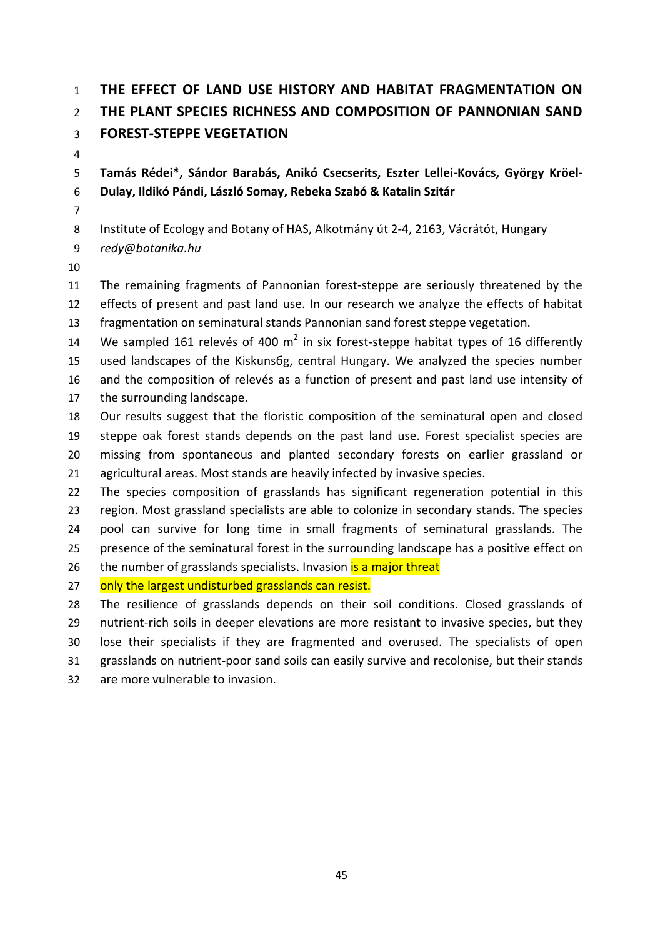# **THE EFFECT OF LAND USE HISTORY AND HABITAT FRAGMENTATION ON THE PLANT SPECIES RICHNESS AND COMPOSITION OF PANNONIAN SAND FOREST-STEPPE VEGETATION**

 **Tamás Rédei\*, Sándor Barabás, Anikó Csecserits, Eszter Lellei-Kovács, György Kröel-Dulay, Ildikó Pándi, László Somay, Rebeka Szabó & Katalin Szitár**

Institute of Ecology and Botany of HAS, Alkotmány út 2-4, 2163, Vácrátót, Hungary

- *redy@botanika.hu*
- 

 The remaining fragments of Pannonian forest-steppe are seriously threatened by the effects of present and past land use. In our research we analyze the effects of habitat fragmentation on seminatural stands Pannonian sand forest steppe vegetation.

14 We sampled 161 relevés of 400  $m^2$  in six forest-steppe habitat types of 16 differently used landscapes of the Kiskunsбg, central Hungary. We analyzed the species number and the composition of relevés as a function of present and past land use intensity of the surrounding landscape.

 Our results suggest that the floristic composition of the seminatural open and closed steppe oak forest stands depends on the past land use. Forest specialist species are missing from spontaneous and planted secondary forests on earlier grassland or agricultural areas. Most stands are heavily infected by invasive species.

 The species composition of grasslands has significant regeneration potential in this region. Most grassland specialists are able to colonize in secondary stands. The species pool can survive for long time in small fragments of seminatural grasslands. The presence of the seminatural forest in the surrounding landscape has a positive effect on 26 the number of grasslands specialists. Invasion is a major threat

27 only the largest undisturbed grasslands can resist.

 The resilience of grasslands depends on their soil conditions. Closed grasslands of nutrient-rich soils in deeper elevations are more resistant to invasive species, but they lose their specialists if they are fragmented and overused. The specialists of open grasslands on nutrient-poor sand soils can easily survive and recolonise, but their stands are more vulnerable to invasion.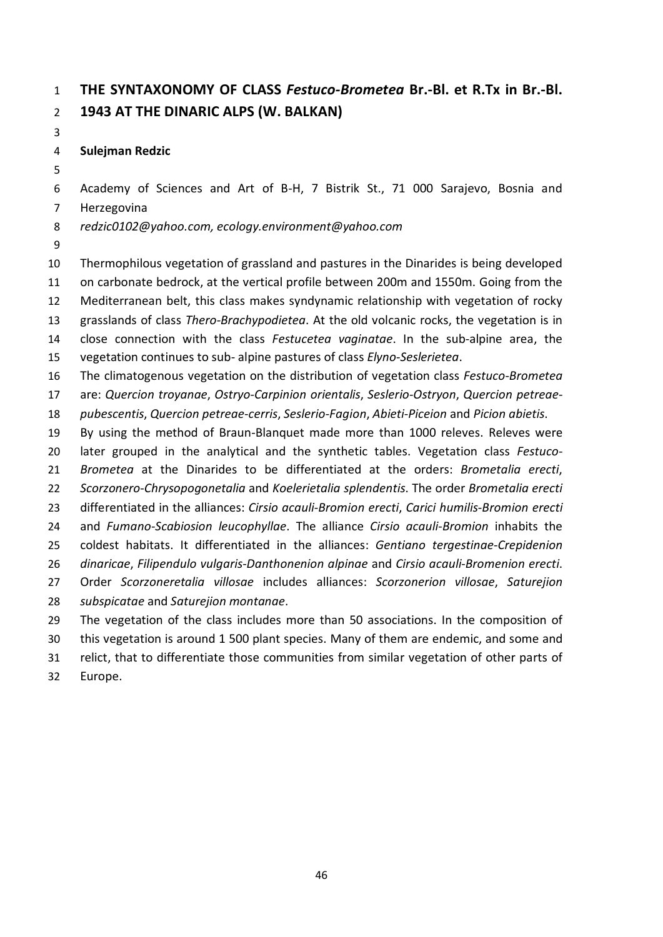## **THE SYNTAXONOMY OF CLASS** *Festuco-Brometea* **Br.-Bl. et R.Tx in Br.-Bl. 1943 AT THE DINARIC ALPS (W. BALKAN)**

### **Sulejman Redzic**

Academy of Sciences and Art of B-H, 7 Bistrik St., 71 000 Sarajevo, Bosnia and

Herzegovina

*redzic0102@yahoo.com, ecology.environment@yahoo.com*

 Thermophilous vegetation of grassland and pastures in the Dinarides is being developed on carbonate bedrock, at the vertical profile between 200m and 1550m. Going from the Mediterranean belt, this class makes syndynamic relationship with vegetation of rocky grasslands of class *Thero-Brachypodietea*. At the old volcanic rocks, the vegetation is in close connection with the class *Festucetea vaginatae*. In the sub-alpine area, the vegetation continues to sub- alpine pastures of class *Elyno*-*Seslerietea*. The climatogenous vegetation on the distribution of vegetation class *Festuco*-*Brometea* are: *Quercion troyanae*, *Ostryo*-*Carpinion orientalis*, *Seslerio*-*Ostryon*, *Quercion petreae*- *pubescentis*, *Quercion petreae*-*cerris*, *Seslerio*-*Fagion*, *Abieti*-*Piceion* and *Picion abietis*. By using the method of Braun-Blanquet made more than 1000 releves. Releves were later grouped in the analytical and the synthetic tables. Vegetation class *Festuco*- *Brometea* at the Dinarides to be differentiated at the orders: *Brometalia erecti*, *Scorzonero*-*Chrysopogonetalia* and *Koelerietalia splendentis*. The order *Brometalia erecti* differentiated in the alliances: *Cirsio acauli*-*Bromion erecti*, *Carici humilis*-*Bromion erecti* and *Fumano*-*Scabiosion leucophyllae*. The alliance *Cirsio acauli*-*Bromion* inhabits the coldest habitats. It differentiated in the alliances: *Gentiano tergestinae*-*Crepidenion dinaricae*, *Filipendulo vulgaris*-*Danthonenion alpinae* and *Cirsio acauli*-*Bromenion erecti*. Order *Scorzoneretalia villosae* includes alliances: *Scorzonerion villosae*, *Saturejion subspicatae* and *Saturejion montanae*.

- The vegetation of the class includes more than 50 associations. In the composition of
- this vegetation is around 1 500 plant species. Many of them are endemic, and some and
- relict, that to differentiate those communities from similar vegetation of other parts of
- Europe.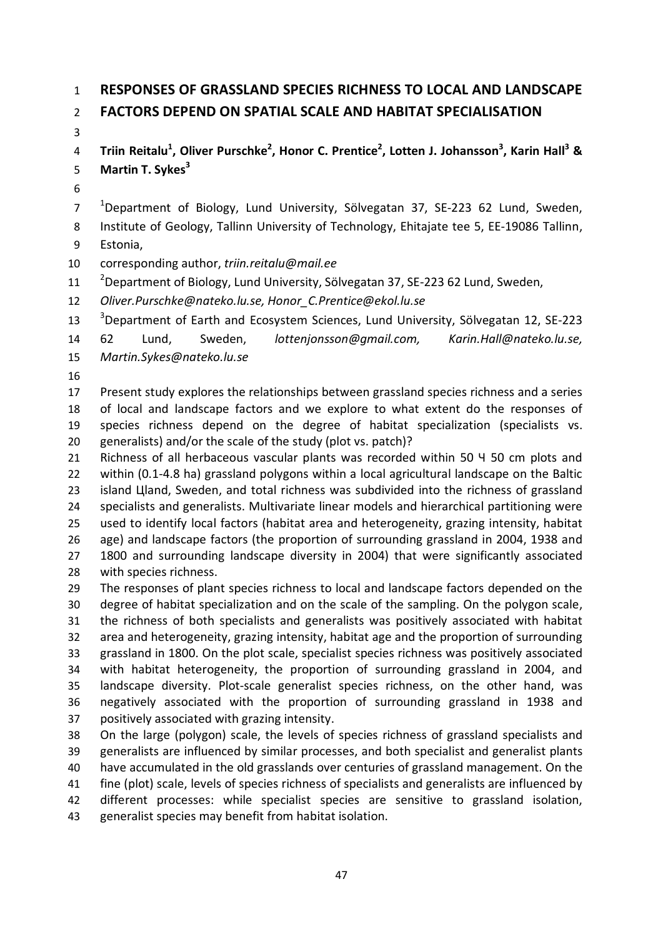### **RESPONSES OF GRASSLAND SPECIES RICHNESS TO LOCAL AND LANDSCAPE FACTORS DEPEND ON SPATIAL SCALE AND HABITAT SPECIALISATION**

4 Triin Reitalu<sup>1</sup>, Oliver Purschke<sup>2</sup>, Honor C. Prentice<sup>2</sup>, Lotten J. Johansson<sup>3</sup>, Karin Hall<sup>3</sup> & **Martin T. Sykes<sup>3</sup>**

 <sup>1</sup> Department of Biology, Lund University, Sölvegatan 37, SE-223 62 Lund, Sweden, Institute of Geology, Tallinn University of Technology, Ehitajate tee 5, EE-19086 Tallinn,

- Estonia,
- corresponding author, *triin.reitalu@mail.ee*
- $^{-2}$ Department of Biology, Lund University, Sölvegatan 37, SE-223 62 Lund, Sweden,
- *Oliver.Purschke@nateko.lu.se, Honor\_C.Prentice@ekol.lu.se*
- <sup>3</sup> Department of Earth and Ecosystem Sciences, Lund University, Sölvegatan 12, SE-223

 62 Lund, Sweden, *lottenjonsson@gmail.com, Karin.Hall@nateko.lu.se, Martin.Sykes@nateko.lu.se*

 Present study explores the relationships between grassland species richness and a series of local and landscape factors and we explore to what extent do the responses of species richness depend on the degree of habitat specialization (specialists vs. generalists) and/or the scale of the study (plot vs. patch)?

 Richness of all herbaceous vascular plants was recorded within 50 Ч 50 cm plots and 22 within (0.1-4.8 ha) grassland polygons within a local agricultural landscape on the Baltic 23 island Цland, Sweden, and total richness was subdivided into the richness of grassland specialists and generalists. Multivariate linear models and hierarchical partitioning were used to identify local factors (habitat area and heterogeneity, grazing intensity, habitat age) and landscape factors (the proportion of surrounding grassland in 2004, 1938 and 1800 and surrounding landscape diversity in 2004) that were significantly associated with species richness.

 The responses of plant species richness to local and landscape factors depended on the degree of habitat specialization and on the scale of the sampling. On the polygon scale, the richness of both specialists and generalists was positively associated with habitat area and heterogeneity, grazing intensity, habitat age and the proportion of surrounding grassland in 1800. On the plot scale, specialist species richness was positively associated with habitat heterogeneity, the proportion of surrounding grassland in 2004, and landscape diversity. Plot-scale generalist species richness, on the other hand, was negatively associated with the proportion of surrounding grassland in 1938 and positively associated with grazing intensity.

 On the large (polygon) scale, the levels of species richness of grassland specialists and generalists are influenced by similar processes, and both specialist and generalist plants have accumulated in the old grasslands over centuries of grassland management. On the fine (plot) scale, levels of species richness of specialists and generalists are influenced by different processes: while specialist species are sensitive to grassland isolation, generalist species may benefit from habitat isolation.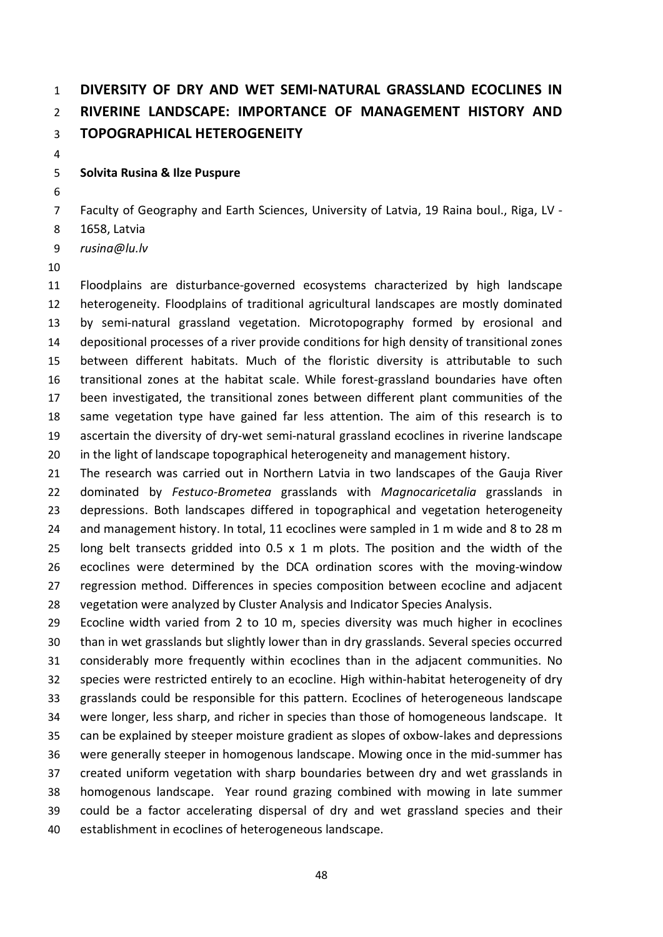# **DIVERSITY OF DRY AND WET SEMI-NATURAL GRASSLAND ECOCLINES IN RIVERINE LANDSCAPE: IMPORTANCE OF MANAGEMENT HISTORY AND TOPOGRAPHICAL HETEROGENEITY**

#### **Solvita Rusina & Ilze Puspure**

Faculty of Geography and Earth Sciences, University of Latvia, 19 Raina boul., Riga, LV -

- 1658, Latvia
- *rusina@lu.lv*
- 

 Floodplains are disturbance-governed ecosystems characterized by high landscape heterogeneity. Floodplains of traditional agricultural landscapes are mostly dominated by semi-natural grassland vegetation. Microtopography formed by erosional and depositional processes of a river provide conditions for high density of transitional zones between different habitats. Much of the floristic diversity is attributable to such transitional zones at the habitat scale. While forest-grassland boundaries have often been investigated, the transitional zones between different plant communities of the same vegetation type have gained far less attention. The aim of this research is to ascertain the diversity of dry-wet semi-natural grassland ecoclines in riverine landscape in the light of landscape topographical heterogeneity and management history.

 The research was carried out in Northern Latvia in two landscapes of the Gauja River dominated by *Festuco*-*Brometea* grasslands with *Magnocaricetalia* grasslands in depressions. Both landscapes differed in topographical and vegetation heterogeneity and management history. In total, 11 ecoclines were sampled in 1 m wide and 8 to 28 m long belt transects gridded into 0.5 x 1 m plots. The position and the width of the ecoclines were determined by the DCA ordination scores with the moving-window regression method. Differences in species composition between ecocline and adjacent vegetation were analyzed by Cluster Analysis and Indicator Species Analysis.

 Ecocline width varied from 2 to 10 m, species diversity was much higher in ecoclines than in wet grasslands but slightly lower than in dry grasslands. Several species occurred considerably more frequently within ecoclines than in the adjacent communities. No species were restricted entirely to an ecocline. High within-habitat heterogeneity of dry grasslands could be responsible for this pattern. Ecoclines of heterogeneous landscape were longer, less sharp, and richer in species than those of homogeneous landscape. It can be explained by steeper moisture gradient as slopes of oxbow-lakes and depressions were generally steeper in homogenous landscape. Mowing once in the mid-summer has created uniform vegetation with sharp boundaries between dry and wet grasslands in homogenous landscape. Year round grazing combined with mowing in late summer could be a factor accelerating dispersal of dry and wet grassland species and their establishment in ecoclines of heterogeneous landscape.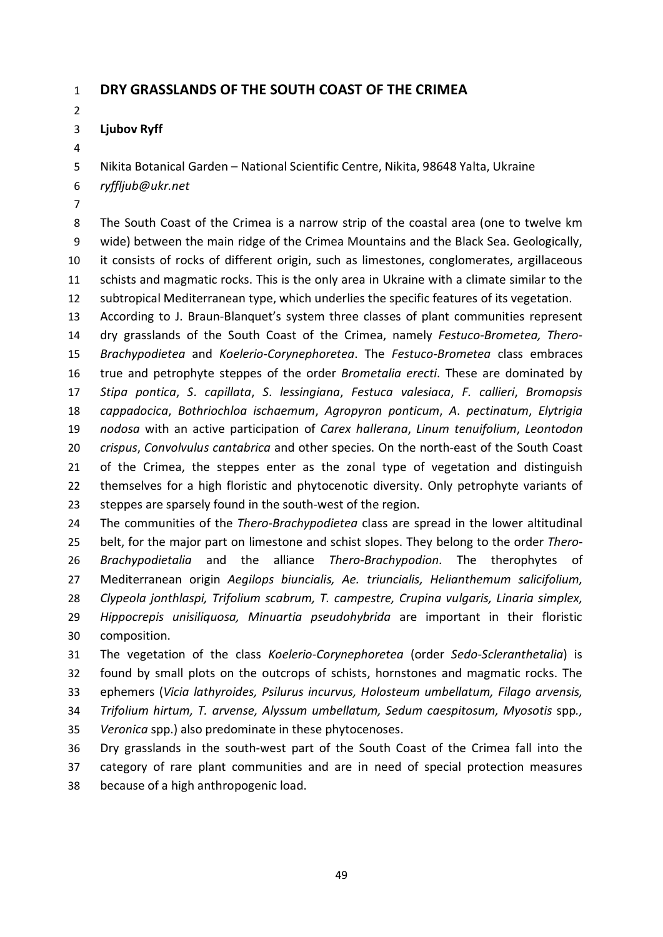### **DRY GRASSLANDS OF THE SOUTH COAST OF THE CRIMEA**

### **Ljubov Ryff**

Nikita Botanical Garden – National Scientific Centre, Nikita, 98648 Yalta, Ukraine

- *ryffljub@ukr.net*
- 

 The South Coast of the Crimea is a narrow strip of the coastal area (one to twelve km wide) between the main ridge of the Crimea Mountains and the Black Sea. Geologically, it consists of rocks of different origin, such as limestones, conglomerates, argillaceous schists and magmatic rocks. This is the only area in Ukraine with a climate similar to the subtropical Mediterranean type, which underlies the specific features of its vegetation.

 According to J. Braun-Blanquet's system three classes of plant communities represent dry grasslands of the South Coast of the Crimea, namely *Festuco-Brometea, Thero*- *Brachypodietea* and *Koelerio*-*Corynephoretea*. The *Festuco*-*Brometea* class embraces true and petrophyte steppes of the order *Brometalia erecti*. These are dominated by *Stipa pontica*, *S*. *capillata*, *S*. *lessingiana*, *Festuca valesiaca*, *F. callieri*, *Bromopsis cappadocica*, *Bothriochloa ischaemum*, *Agropyron ponticum*, *A*. *pectinatum*, *Elytrigia nodosa* with an active participation of *Carex hallerana*, *Linum tenuifolium*, *Leontodon crispus*, *Convolvulus cantabrica* and other species. On the north-east of the South Coast of the Crimea, the steppes enter as the zonal type of vegetation and distinguish 22 themselves for a high floristic and phytocenotic diversity. Only petrophyte variants of 23 steppes are sparsely found in the south-west of the region.

 The communities of the *Thero*-*Brachypodietea* class are spread in the lower altitudinal belt, for the major part on limestone and schist slopes. They belong to the order *Thero*- *Brachypodietalia* and the alliance *Thero*-*Brachypodion*. The therophytes of Mediterranean origin *Aegilops biuncialis, Ae. triuncialis, Helianthemum salicifolium, Clypeola jonthlaspi, Trifolium scabrum, T. campestre, Crupina vulgaris, Linaria simplex, Hippocrepis unisiliquosa, Minuartia pseudohybrida* are important in their floristic composition.

 The vegetation of the class *Koelerio*-*Corynephoretea* (order *Sedo*-*Scleranthetalia*) is found by small plots on the outcrops of schists, hornstones and magmatic rocks. The ephemers (*Vicia lathyroides, Psilurus incurvus, Holosteum umbellatum, Filago arvensis, Trifolium hirtum, T. arvense, Alyssum umbellatum, Sedum caespitosum, Myosotis* spp*.,* 

*Veronica* spp.) also predominate in these phytocenoses.

 Dry grasslands in the south-west part of the South Coast of the Crimea fall into the category of rare plant communities and are in need of special protection measures because of a high anthropogenic load.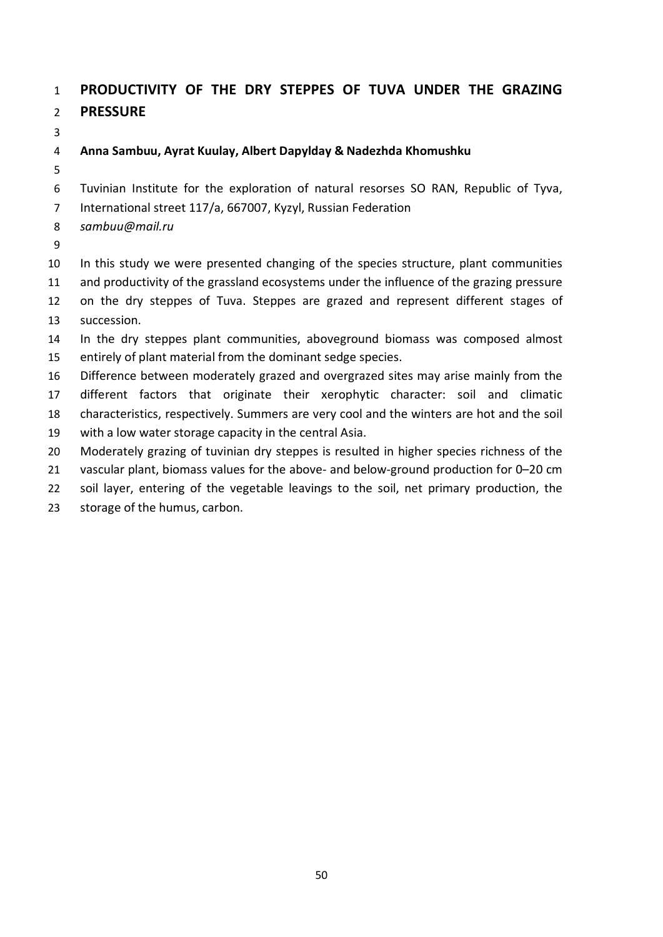## **PRODUCTIVITY OF THE DRY STEPPES OF TUVA UNDER THE GRAZING PRESSURE**

### **Anna Sambuu, Ayrat Kuulay, Albert Dapylday & Nadezhda Khomushku**

Tuvinian Institute for the exploration of natural resorses SO RAN, Republic of Tyva,

International street 117/a, 667007, Kyzyl, Russian Federation

- *sambuu@mail.ru*
- 

 In this study we were presented changing of the species structure, plant communities and productivity of the grassland ecosystems under the influence of the grazing pressure

- on the dry steppes of Tuva. Steppes are grazed and represent different stages of succession.
- In the dry steppes plant communities, aboveground biomass was composed almost entirely of plant material from the dominant sedge species.
- Difference between moderately grazed and overgrazed sites may arise mainly from the different factors that originate their xerophytic character: soil and climatic characteristics, respectively. Summers are very cool and the winters are hot and the soil with a low water storage capacity in the central Asia.
- Moderately grazing of tuvinian dry steppes is resulted in higher species richness of the
- vascular plant, biomass values for the above- and below-ground production for 0–20 cm
- soil layer, entering of the vegetable leavings to the soil, net primary production, the
- storage of the humus, carbon.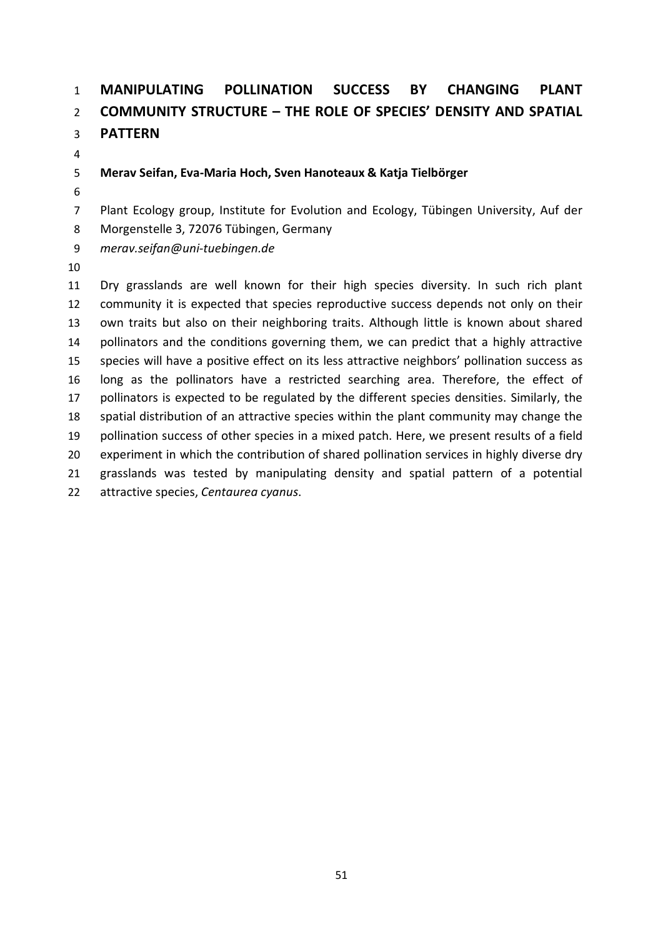# **MANIPULATING POLLINATION SUCCESS BY CHANGING PLANT COMMUNITY STRUCTURE – THE ROLE OF SPECIES' DENSITY AND SPATIAL PATTERN**

### **Merav Seifan, Eva-Maria Hoch, Sven Hanoteaux & Katja Tielbörger**

Plant Ecology group, Institute for Evolution and Ecology, Tübingen University, Auf der

Morgenstelle 3, 72076 Tübingen, Germany

*merav.seifan@uni-tuebingen.de*

 Dry grasslands are well known for their high species diversity. In such rich plant community it is expected that species reproductive success depends not only on their own traits but also on their neighboring traits. Although little is known about shared pollinators and the conditions governing them, we can predict that a highly attractive species will have a positive effect on its less attractive neighbors' pollination success as long as the pollinators have a restricted searching area. Therefore, the effect of 17 pollinators is expected to be regulated by the different species densities. Similarly, the spatial distribution of an attractive species within the plant community may change the pollination success of other species in a mixed patch. Here, we present results of a field 20 experiment in which the contribution of shared pollination services in highly diverse dry grasslands was tested by manipulating density and spatial pattern of a potential attractive species, *Centaurea cyanus*.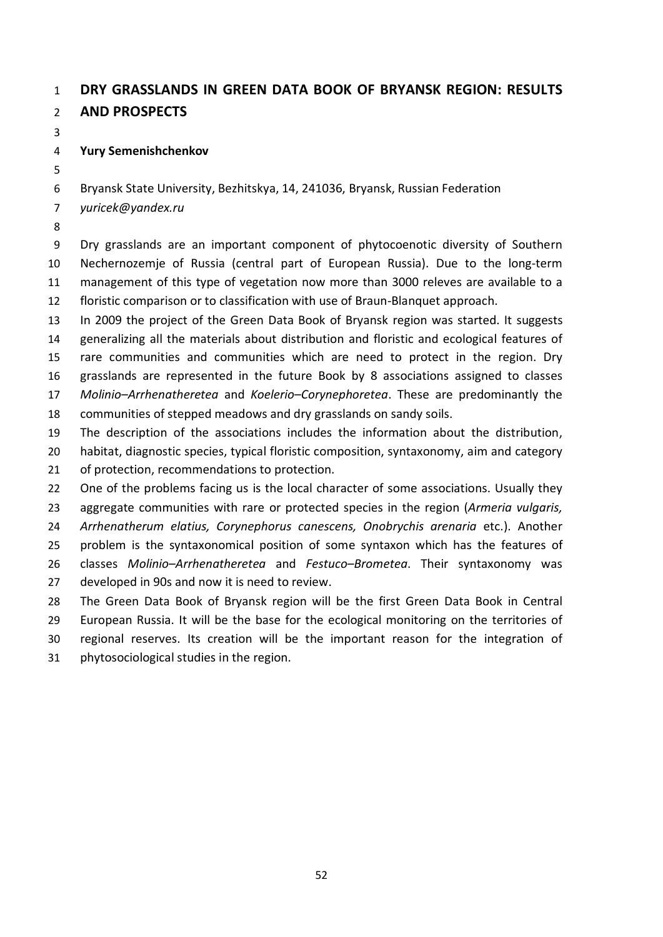### **DRY GRASSLANDS IN GREEN DATA BOOK OF BRYANSK REGION: RESULTS AND PROSPECTS**

### **Yury Semenishchenkov**

Bryansk State University, Bezhitskya, 14, 241036, Bryansk, Russian Federation

*yuricek@yandex.ru*

 Dry grasslands are an important component of phytocoenotic diversity of Southern Nechernozemje of Russia (central part of European Russia). Due to the long-term management of this type of vegetation now more than 3000 releves are available to a floristic comparison or to classification with use of Braun-Blanquet approach.

 In 2009 the project of the Green Data Book of Bryansk region was started. It suggests generalizing all the materials about distribution and floristic and ecological features of rare communities and communities which are need to protect in the region. Dry grasslands are represented in the future Book by 8 associations assigned to classes *Molinio–Arrhenatheretea* and *Koelerio–Corynephoretea*. These are predominantly the

communities of stepped meadows and dry grasslands on sandy soils.

 The description of the associations includes the information about the distribution, 20 habitat, diagnostic species, typical floristic composition, syntaxonomy, aim and category

21 of protection, recommendations to protection.

22 One of the problems facing us is the local character of some associations. Usually they aggregate communities with rare or protected species in the region (*Armeria vulgaris, Arrhenatherum elatius, Corynephorus canescens, Onobrychis arenaria* etc.). Another problem is the syntaxonomical position of some syntaxon which has the features of classes *Molinio–Arrhenatheretea* and *Festuco–Brometea*. Their syntaxonomy was developed in 90s and now it is need to review.

 The Green Data Book of Bryansk region will be the first Green Data Book in Central European Russia. It will be the base for the ecological monitoring on the territories of regional reserves. Its creation will be the important reason for the integration of

phytosociological studies in the region.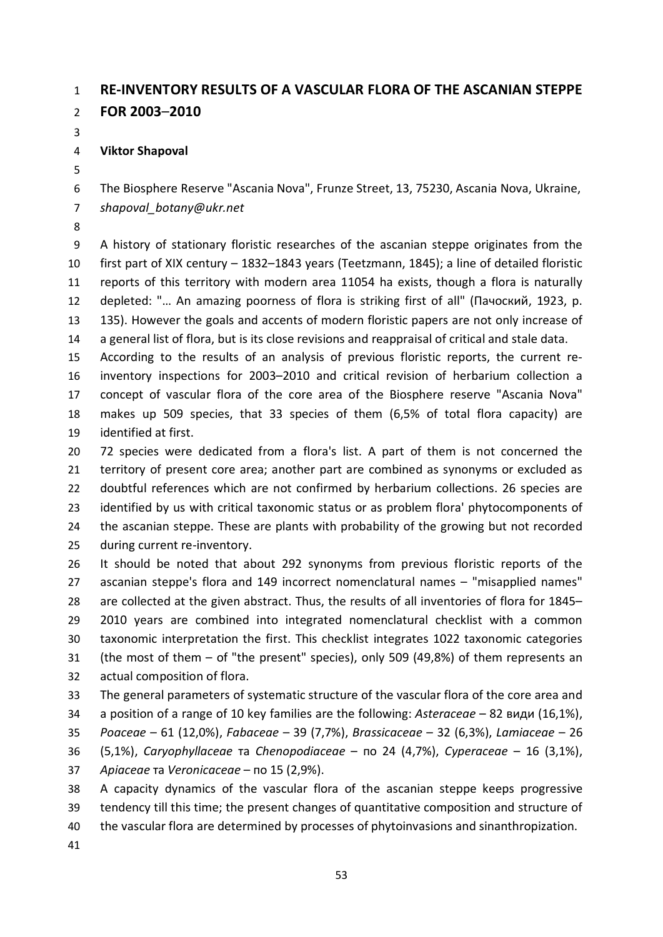# **RE-INVENTORY RESULTS OF A VASCULAR FLORA OF THE ASCANIAN STEPPE**

**FOR 2003**–**2010**

### **Viktor Shapoval**

 The Biosphere Reserve "Asсania Nova", Frunze Street, 13, 75230, Asсania Nova, Ukraine, *shapoval\_botany@ukr.net*

 A history of stationary floristic researches of the ascanian steppe originates from the first part of XIX century – 1832–1843 years (Teetzmann, 1845); a line of detailed floristic reports of this territory with modern area 11054 ha exists, though a flora is naturally depleted: "… An amazing poorness of flora is striking first of all" (Пачоский, 1923, p. 135). However the goals and accents of modern floristic papers are not only increase of a general list of flora, but is its close revisions and reappraisal of critical and stale data.

 According to the results of an analysis of previous floristic reports, the current re- inventory inspections for 2003–2010 and critical revision of herbarium collection a concept of vascular flora of the core area of the Biosphere reserve "Ascania Nova" makes up 509 species, that 33 species of them (6,5% of total flora capacity) are identified at first.

 72 species were dedicated from a flora's list. A part of them is not concerned the territory of present core area; another part are combined as synonyms or excluded as doubtful references which are not confirmed by herbarium collections. 26 species are 23 identified by us with critical taxonomic status or as problem flora' phytocomponents of 24 the ascanian steppe. These are plants with probability of the growing but not recorded during current re-inventory.

 It should be noted that about 292 synonyms from previous floristic reports of the ascanian steppe's flora and 149 incorrect nomenclatural names – "misapplied names" are collected at the given abstract. Thus, the results of all inventories of flora for 1845– 2010 years are combined into integrated nomenclatural checklist with a common taxonomic interpretation the first. This checklist integrates 1022 taxonomic categories (the most of them – of "the present" species), only 509 (49,8%) of them represents an actual composition of flora.

The general parameters of systematic structure of the vascular flora of the core area and

 a position of a range of 10 key families are the following: *Asteraceae* – 82 види (16,1%), *Poaceae* – 61 (12,0%), *Fabaceae* – 39 (7,7%), *Brassicaceae* – 32 (6,3%), *Lamiaceae* – 26

 (5,1%), *Caryophyllaceae* та *Chenopodiaceae* – по 24 (4,7%), *Cyperaceae* – 16 (3,1%), *Apiaceae* та *Veronicaceae* – по 15 (2,9%).

 A capacity dynamics of the vascular flora of the ascanian steppe keeps progressive tendency till this time; the present changes of quantitative composition and structure of the vascular flora are determined by processes of phytoinvasions and sinanthropization.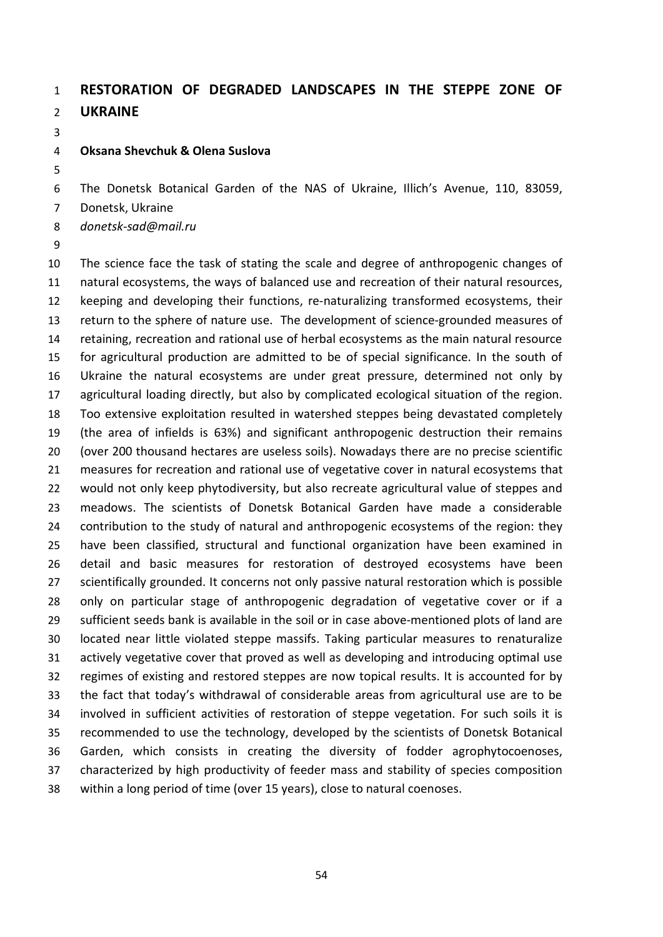## **RESTORATION OF DEGRADED LANDSCAPES IN THE STEPPE ZONE OF UKRAINE**

#### **Oksana Shevchuk & Olena Suslova**

The Donetsk Botanical Garden of the NAS of Ukraine, Illich's Avenue, 110, 83059,

Donetsk, Ukraine

*donetsk-sad@mail.ru*

 The science face the task of stating the scale and degree of anthropogenic changes of natural ecosystems, the ways of balanced use and recreation of their natural resources, keeping and developing their functions, re-naturalizing transformed ecosystems, their return to the sphere of nature use. The development of science-grounded measures of retaining, recreation and rational use of herbal ecosystems as the main natural resource for agricultural production are admitted to be of special significance. In the south of Ukraine the natural ecosystems are under great pressure, determined not only by agricultural loading directly, but also by complicated ecological situation of the region. Too extensive exploitation resulted in watershed steppes being devastated completely (the area of infields is 63%) and significant anthropogenic destruction their remains (over 200 thousand hectares are useless soils). Nowadays there are no precise scientific measures for recreation and rational use of vegetative cover in natural ecosystems that would not only keep phytodiversity, but also recreate agricultural value of steppes and meadows. The scientists of Donetsk Botanical Garden have made a considerable contribution to the study of natural and anthropogenic ecosystems of the region: they have been classified, structural and functional organization have been examined in detail and basic measures for restoration of destroyed ecosystems have been 27 scientifically grounded. It concerns not only passive natural restoration which is possible only on particular stage of anthropogenic degradation of vegetative cover or if a sufficient seeds bank is available in the soil or in case above-mentioned plots of land are located near little violated steppe massifs. Taking particular measures to renaturalize actively vegetative cover that proved as well as developing and introducing optimal use regimes of existing and restored steppes are now topical results. It is accounted for by the fact that today's withdrawal of considerable areas from agricultural use are to be involved in sufficient activities of restoration of steppe vegetation. For such soils it is recommended to use the technology, developed by the scientists of Donetsk Botanical Garden, which consists in creating the diversity of fodder agrophytocoenoses, characterized by high productivity of feeder mass and stability of species composition within a long period of time (over 15 years), close to natural coenoses.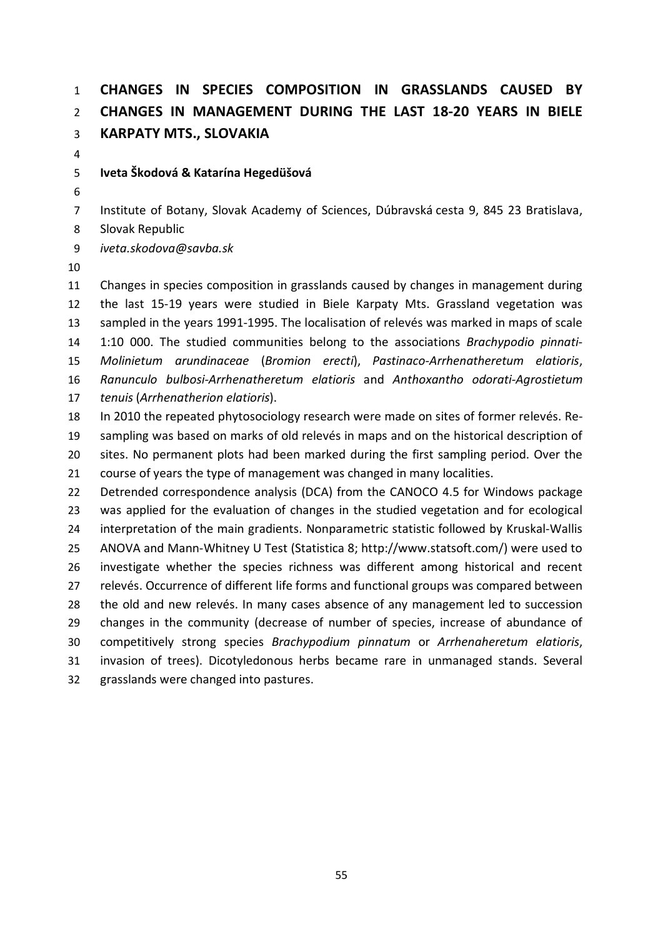# **CHANGES IN SPECIES COMPOSITION IN GRASSLANDS CAUSED BY CHANGES IN MANAGEMENT DURING THE LAST 18-20 YEARS IN BIELE KARPATY MTS., SLOVAKIA**

### **Iveta Škodová & Katarína Hegedüšová**

 Institute of Botany, Slovak Academy of Sciences, Dúbravská cesta 9, 845 23 Bratislava, Slovak Republic

*iveta.skodova@savba.sk*

 Changes in species composition in grasslands caused by changes in management during the last 15-19 years were studied in Biele Karpaty Mts. Grassland vegetation was sampled in the years 1991-1995. The localisation of relevés was marked in maps of scale 1:10 000. The studied communities belong to the associations *Brachypodio pinnati- Molinietum arundinaceae* (*Bromion erecti*), *Pastinaco-Arrhenatheretum elatioris*, *Ranunculo bulbosi-Arrhenatheretum elatioris* and *Anthoxantho odorati-Agrostietum tenuis* (*Arrhenatherion elatioris*).

 In 2010 the repeated phytosociology research were made on sites of former relevés. Re- sampling was based on marks of old relevés in maps and on the historical description of sites. No permanent plots had been marked during the first sampling period. Over the course of years the type of management was changed in many localities.

 Detrended correspondence analysis (DCA) from the CANOCO 4.5 for Windows package was applied for the evaluation of changes in the studied vegetation and for ecological interpretation of the main gradients. Nonparametric statistic followed by Kruskal-Wallis ANOVA and Mann-Whitney U Test (Statistica 8; http://www.statsoft.com/) were used to investigate whether the species richness was different among historical and recent relevés. Occurrence of different life forms and functional groups was compared between the old and new relevés. In many cases absence of any management led to succession changes in the community (decrease of number of species, increase of abundance of competitively strong species *Brachypodium pinnatum* or *Arrhenaheretum elatioris*, invasion of trees). Dicotyledonous herbs became rare in unmanaged stands. Several grasslands were changed into pastures.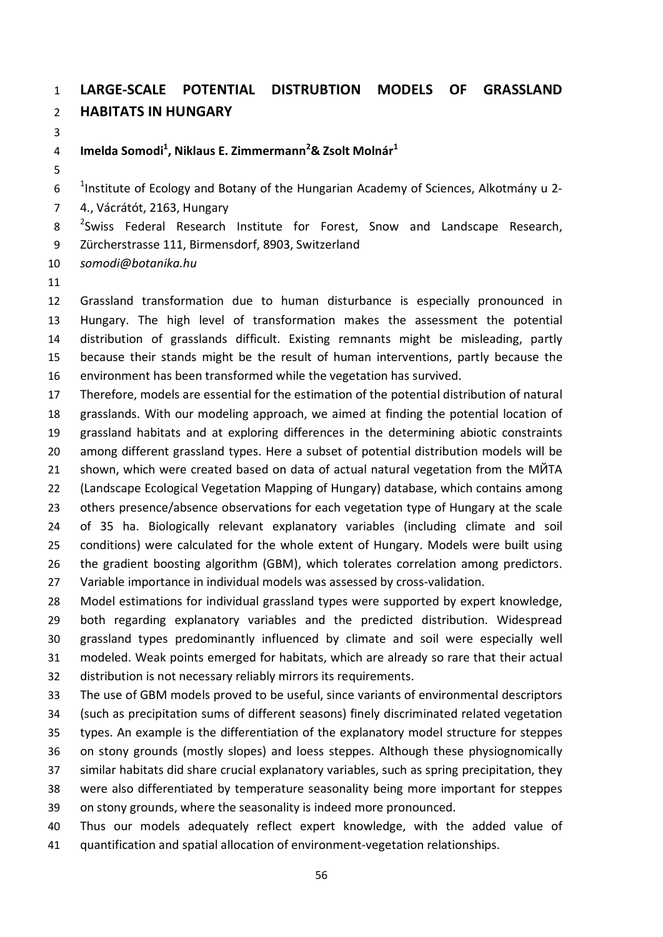## **LARGE-SCALE POTENTIAL DISTRUBTION MODELS OF GRASSLAND HABITATS IN HUNGARY**

**Imelda Somodi1 , Niklaus E. Zimmermann<sup>2</sup> & Zsolt Molnár<sup>1</sup>**

 $10^{-1}$  Institute of Ecology and Botany of the Hungarian Academy of Sciences, Alkotmány u 2-

4., Vácrátót, 2163, Hungary

 $2^2$ Swiss Federal Research Institute for Forest, Snow and Landscape Research, Zürcherstrasse 111, Birmensdorf, 8903, Switzerland

*somodi@botanika.hu*

 Grassland transformation due to human disturbance is especially pronounced in Hungary. The high level of transformation makes the assessment the potential distribution of grasslands difficult. Existing remnants might be misleading, partly because their stands might be the result of human interventions, partly because the environment has been transformed while the vegetation has survived.

 Therefore, models are essential for the estimation of the potential distribution of natural grasslands. With our modeling approach, we aimed at finding the potential location of grassland habitats and at exploring differences in the determining abiotic constraints among different grassland types. Here a subset of potential distribution models will be shown, which were created based on data of actual natural vegetation from the MЙTA (Landscape Ecological Vegetation Mapping of Hungary) database, which contains among others presence/absence observations for each vegetation type of Hungary at the scale of 35 ha. Biologically relevant explanatory variables (including climate and soil conditions) were calculated for the whole extent of Hungary. Models were built using the gradient boosting algorithm (GBM), which tolerates correlation among predictors. Variable importance in individual models was assessed by cross-validation.

 Model estimations for individual grassland types were supported by expert knowledge, both regarding explanatory variables and the predicted distribution. Widespread grassland types predominantly influenced by climate and soil were especially well modeled. Weak points emerged for habitats, which are already so rare that their actual distribution is not necessary reliably mirrors its requirements.

 The use of GBM models proved to be useful, since variants of environmental descriptors (such as precipitation sums of different seasons) finely discriminated related vegetation types. An example is the differentiation of the explanatory model structure for steppes on stony grounds (mostly slopes) and loess steppes. Although these physiognomically similar habitats did share crucial explanatory variables, such as spring precipitation, they were also differentiated by temperature seasonality being more important for steppes on stony grounds, where the seasonality is indeed more pronounced. Thus our models adequately reflect expert knowledge, with the added value of

quantification and spatial allocation of environment-vegetation relationships.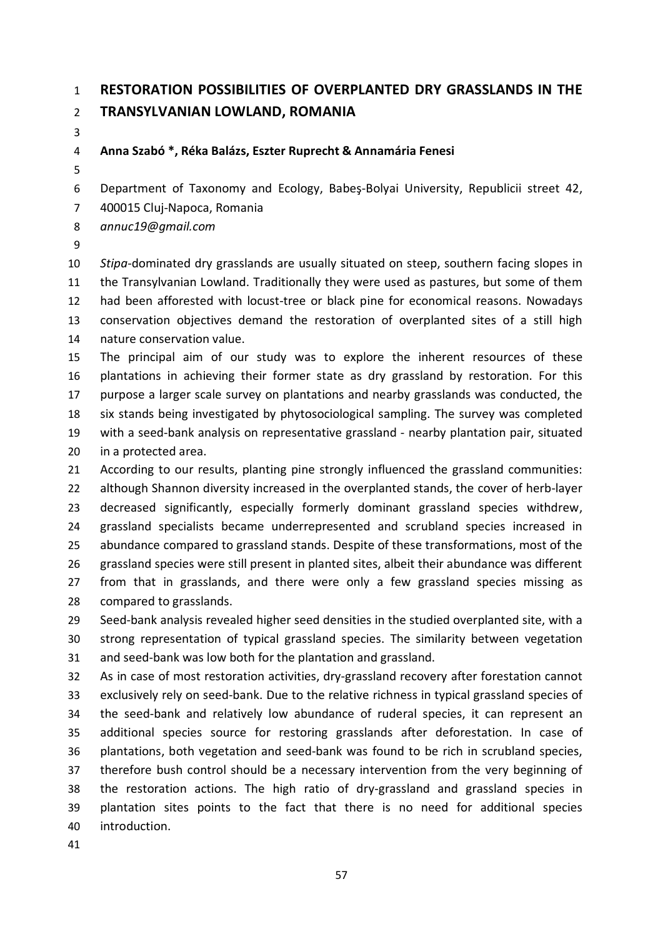## **RESTORATION POSSIBILITIES OF OVERPLANTED DRY GRASSLANDS IN THE TRANSYLVANIAN LOWLAND, ROMANIA**

### **Anna Szabó \*, Réka Balázs, Eszter Ruprecht & Annamária Fenesi**

Department of Taxonomy and Ecology, Babeş-Bolyai University, Republicii street 42,

400015 Cluj-Napoca, Romania

*annuc19@gmail.com*

 *Stipa*-dominated dry grasslands are usually situated on steep, southern facing slopes in the Transylvanian Lowland. Traditionally they were used as pastures, but some of them had been afforested with locust-tree or black pine for economical reasons. Nowadays conservation objectives demand the restoration of overplanted sites of a still high nature conservation value.

 The principal aim of our study was to explore the inherent resources of these plantations in achieving their former state as dry grassland by restoration. For this purpose a larger scale survey on plantations and nearby grasslands was conducted, the six stands being investigated by phytosociological sampling. The survey was completed with a seed-bank analysis on representative grassland - nearby plantation pair, situated in a protected area.

 According to our results, planting pine strongly influenced the grassland communities: although Shannon diversity increased in the overplanted stands, the cover of herb-layer decreased significantly, especially formerly dominant grassland species withdrew, grassland specialists became underrepresented and scrubland species increased in abundance compared to grassland stands. Despite of these transformations, most of the grassland species were still present in planted sites, albeit their abundance was different from that in grasslands, and there were only a few grassland species missing as compared to grasslands.

 Seed-bank analysis revealed higher seed densities in the studied overplanted site, with a strong representation of typical grassland species. The similarity between vegetation and seed-bank was low both for the plantation and grassland.

 As in case of most restoration activities, dry-grassland recovery after forestation cannot exclusively rely on seed-bank. Due to the relative richness in typical grassland species of the seed-bank and relatively low abundance of ruderal species, it can represent an additional species source for restoring grasslands after deforestation. In case of plantations, both vegetation and seed-bank was found to be rich in scrubland species, therefore bush control should be a necessary intervention from the very beginning of the restoration actions. The high ratio of dry-grassland and grassland species in plantation sites points to the fact that there is no need for additional species introduction.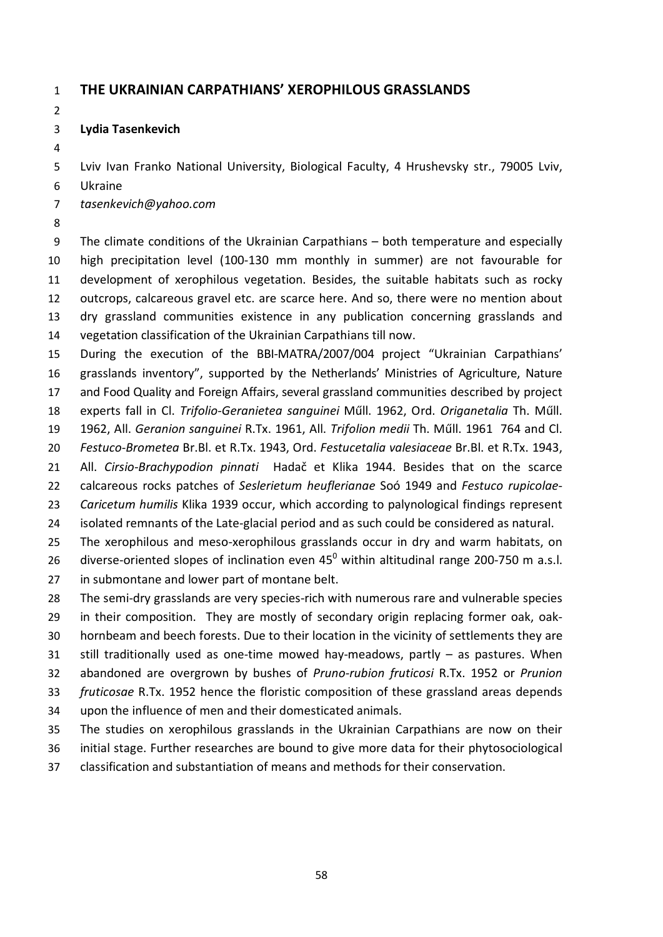### **THE UKRAINIAN CARPATHIANS' XEROPHILOUS GRASSLANDS**

#### **Lydia Tasenkevich**

Lviv Ivan Franko National University, Biological Faculty, 4 Hrushevsky str., 79005 Lviv,

Ukraine

*tasenkevich@yahoo.com*

 The climate conditions of the Ukrainian Carpathians – both temperature and especially high precipitation level (100-130 mm monthly in summer) are not favourable for development of xerophilous vegetation. Besides, the suitable habitats such as rocky outcrops, calcareous gravel etc. are scarce here. And so, there were no mention about dry grassland communities existence in any publication concerning grasslands and vegetation classification of the Ukrainian Carpathians till now.

 During the execution of the BBI-MATRA/2007/004 project "Ukrainian Carpathians' grasslands inventory", supported by the Netherlands' Ministries of Agriculture, Nature and Food Quality and Foreign Affairs, several grassland communities described by project

- experts fall in Cl. *Trifolio-Geranietea sanguinei* Műll. 1962, Ord. *Origanetalia* Th. Műll.
- 1962, All. *Geranion sanguinei* R.Tx. 1961, All. *Trifolion medii* Th. Műll. 1961 764 and Cl.

 *Festuco-Brometea* Br.Bl. et R.Tx. 1943, Ord. *Festucetalia valesiaceae* Br.Bl. et R.Tx. 1943, All. *Cirsio-Brachypodion pinnati* Hadač et Klika 1944. Besides that on the scarce

calcareous rocks patches of *Seslerietum heuflerianae* Soó 1949 and *Festuco rupicolae*-

*Caricetum humilis* Klika 1939 occur, which according to palynological findings represent

isolated remnants of the Late-glacial period and as such could be considered as natural.

The xerophilous and meso-xerophilous grasslands occur in dry and warm habitats, on

26 diverse-oriented slopes of inclination even  $45^{\circ}$  within altitudinal range 200-750 m a.s.l. in submontane and lower part of montane belt.

The semi-dry grasslands are very species-rich with numerous rare and vulnerable species

in their composition. They are mostly of secondary origin replacing former oak, oak-

hornbeam and beech forests. Due to their location in the vicinity of settlements they are

still traditionally used as one-time mowed hay-meadows, partly – as pastures. When

 abandoned are overgrown by bushes of *Pruno-rubion fruticosi* R.Tx. 1952 or *Prunion fruticosae* R.Tx. 1952 hence the floristic composition of these grassland areas depends

- 
- upon the influence of men and their domesticated animals.

 The studies on xerophilous grasslands in the Ukrainian Carpathians are now on their initial stage. Further researches are bound to give more data for their phytosociological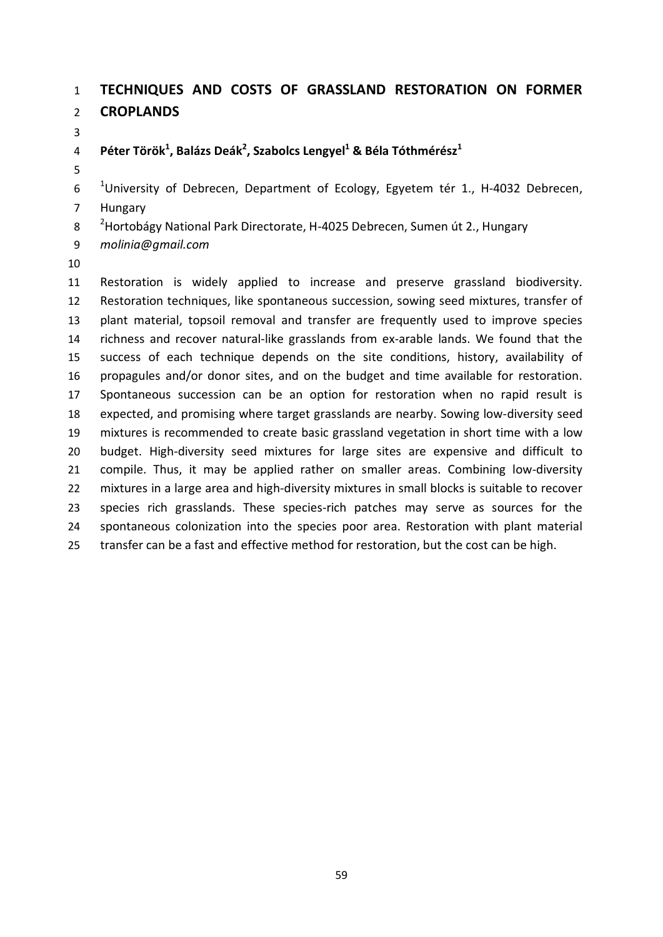### **TECHNIQUES AND COSTS OF GRASSLAND RESTORATION ON FORMER CROPLANDS**

### 4 Péter Török<sup>1</sup>, Balázs Deák<sup>2</sup>, Szabolcs Lengyel<sup>1</sup> & Béla Tóthmérész<sup>1</sup>

 <sup>1</sup> University of Debrecen, Department of Ecology, Egyetem tér 1., H-4032 Debrecen, Hungary

- 
- 8 <sup>2</sup> Hortobágy National Park Directorate, H-4025 Debrecen, Sumen út 2., Hungary
- *molinia@gmail.com*
- 

 Restoration is widely applied to increase and preserve grassland biodiversity. Restoration techniques, like spontaneous succession, sowing seed mixtures, transfer of plant material, topsoil removal and transfer are frequently used to improve species richness and recover natural-like grasslands from ex-arable lands. We found that the success of each technique depends on the site conditions, history, availability of propagules and/or donor sites, and on the budget and time available for restoration. Spontaneous succession can be an option for restoration when no rapid result is expected, and promising where target grasslands are nearby. Sowing low-diversity seed mixtures is recommended to create basic grassland vegetation in short time with a low budget. High-diversity seed mixtures for large sites are expensive and difficult to compile. Thus, it may be applied rather on smaller areas. Combining low-diversity mixtures in a large area and high-diversity mixtures in small blocks is suitable to recover species rich grasslands. These species-rich patches may serve as sources for the spontaneous colonization into the species poor area. Restoration with plant material transfer can be a fast and effective method for restoration, but the cost can be high.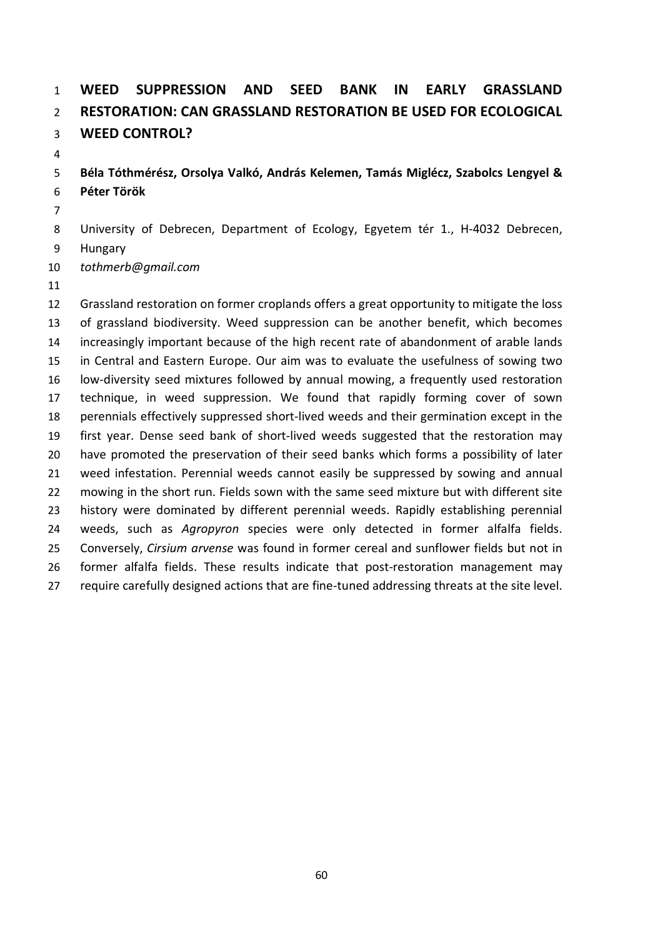# **WEED SUPPRESSION AND SEED BANK IN EARLY GRASSLAND RESTORATION: CAN GRASSLAND RESTORATION BE USED FOR ECOLOGICAL WEED CONTROL?**

### **Béla Tóthmérész, Orsolya Valkó, András Kelemen, Tamás Miglécz, Szabolcs Lengyel & Péter Török**

University of Debrecen, Department of Ecology, Egyetem tér 1., H-4032 Debrecen,

- Hungary
- *tothmerb@gmail.com*
- 

 Grassland restoration on former croplands offers a great opportunity to mitigate the loss of grassland biodiversity. Weed suppression can be another benefit, which becomes increasingly important because of the high recent rate of abandonment of arable lands in Central and Eastern Europe. Our aim was to evaluate the usefulness of sowing two low-diversity seed mixtures followed by annual mowing, a frequently used restoration technique, in weed suppression. We found that rapidly forming cover of sown perennials effectively suppressed short-lived weeds and their germination except in the first year. Dense seed bank of short-lived weeds suggested that the restoration may have promoted the preservation of their seed banks which forms a possibility of later weed infestation. Perennial weeds cannot easily be suppressed by sowing and annual mowing in the short run. Fields sown with the same seed mixture but with different site history were dominated by different perennial weeds. Rapidly establishing perennial weeds, such as *Agropyron* species were only detected in former alfalfa fields. Conversely, *Cirsium arvense* was found in former cereal and sunflower fields but not in former alfalfa fields. These results indicate that post-restoration management may require carefully designed actions that are fine-tuned addressing threats at the site level.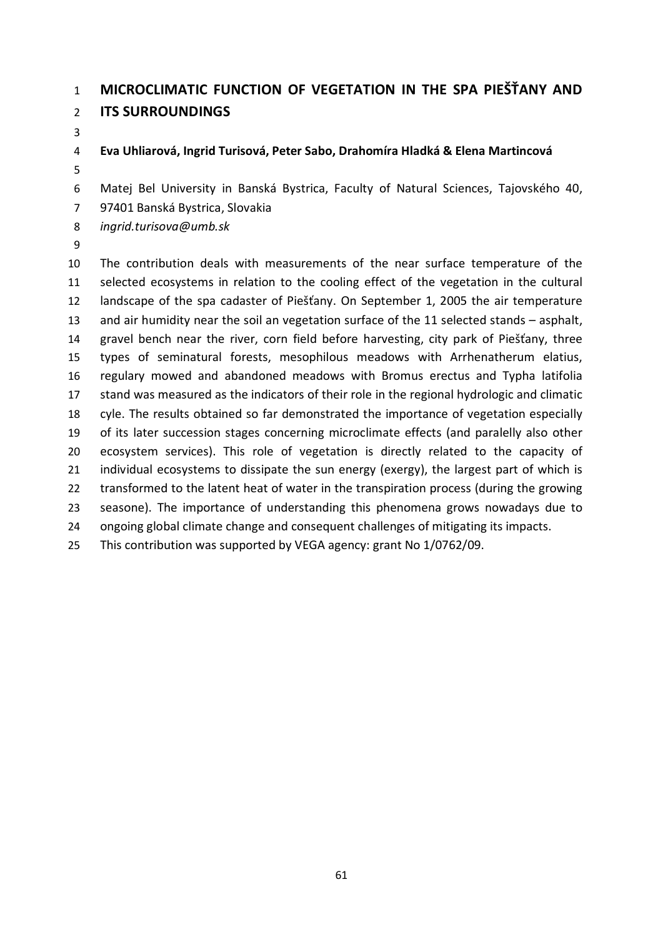## **MICROCLIMATIC FUNCTION OF VEGETATION IN THE SPA PIEŠŤANY AND ITS SURROUNDINGS**

### **Eva Uhliarová, Ingrid Turisová, Peter Sabo, Drahomíra Hladká & Elena Martincová**

Matej Bel University in Banská Bystrica, Faculty of Natural Sciences, Tajovského 40,

97401 Banská Bystrica, Slovakia

*ingrid.turisova@umb.sk*

 The contribution deals with measurements of the near surface temperature of the selected ecosystems in relation to the cooling effect of the vegetation in the cultural landscape of the spa cadaster of Piešťany. On September 1, 2005 the air temperature and air humidity near the soil an vegetation surface of the 11 selected stands – asphalt, gravel bench near the river, corn field before harvesting, city park of Piešťany, three types of seminatural forests, mesophilous meadows with Arrhenatherum elatius, regulary mowed and abandoned meadows with Bromus erectus and Typha latifolia stand was measured as the indicators of their role in the regional hydrologic and climatic cyle. The results obtained so far demonstrated the importance of vegetation especially of its later succession stages concerning microclimate effects (and paralelly also other ecosystem services). This role of vegetation is directly related to the capacity of 21 individual ecosystems to dissipate the sun energy (exergy), the largest part of which is transformed to the latent heat of water in the transpiration process (during the growing seasone). The importance of understanding this phenomena grows nowadays due to ongoing global climate change and consequent challenges of mitigating its impacts. This contribution was supported by VEGA agency: grant No 1/0762/09.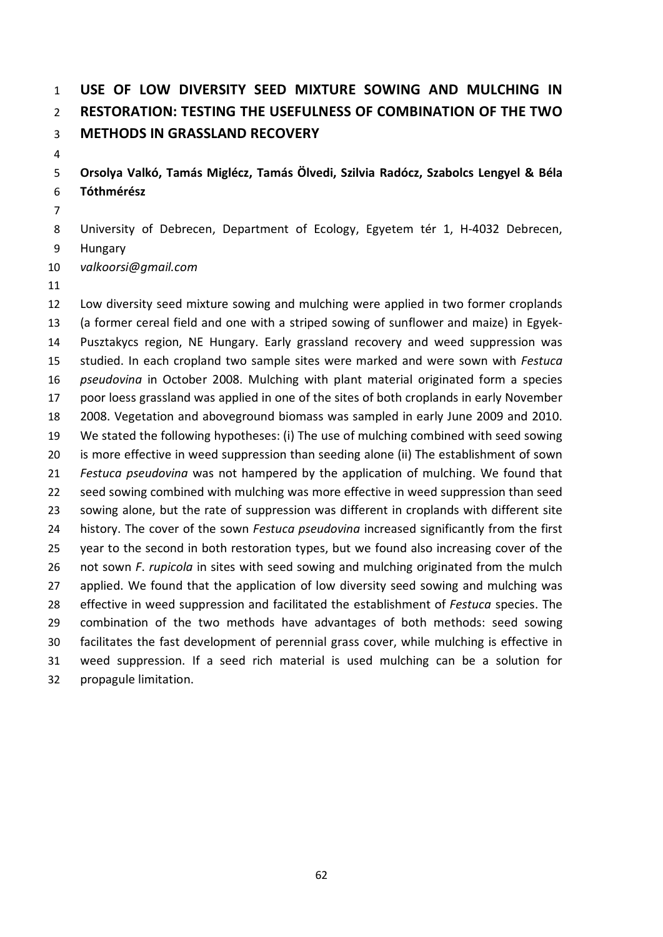# **USE OF LOW DIVERSITY SEED MIXTURE SOWING AND MULCHING IN RESTORATION: TESTING THE USEFULNESS OF COMBINATION OF THE TWO METHODS IN GRASSLAND RECOVERY**

### **Orsolya Valkó, Tamás Miglécz, Tamás Ölvedi, Szilvia Radócz, Szabolcs Lengyel & Béla Tóthmérész**

- University of Debrecen, Department of Ecology, Egyetem tér 1, H-4032 Debrecen,
- Hungary
- *valkoorsi@gmail.com*
- 

 Low diversity seed mixture sowing and mulching were applied in two former croplands (a former cereal field and one with a striped sowing of sunflower and maize) in Egyek- Pusztakуcs region, NE Hungary. Early grassland recovery and weed suppression was studied. In each cropland two sample sites were marked and were sown with *Festuca pseudovina* in October 2008. Mulching with plant material originated form a species poor loess grassland was applied in one of the sites of both croplands in early November 2008. Vegetation and aboveground biomass was sampled in early June 2009 and 2010. We stated the following hypotheses: (i) The use of mulching combined with seed sowing is more effective in weed suppression than seeding alone (ii) The establishment of sown *Festuca pseudovina* was not hampered by the application of mulching. We found that seed sowing combined with mulching was more effective in weed suppression than seed sowing alone, but the rate of suppression was different in croplands with different site history. The cover of the sown *Festuca pseudovina* increased significantly from the first year to the second in both restoration types, but we found also increasing cover of the not sown *F*. *rupicola* in sites with seed sowing and mulching originated from the mulch 27 applied. We found that the application of low diversity seed sowing and mulching was effective in weed suppression and facilitated the establishment of *Festuca* species. The combination of the two methods have advantages of both methods: seed sowing facilitates the fast development of perennial grass cover, while mulching is effective in weed suppression. If a seed rich material is used mulching can be a solution for propagule limitation.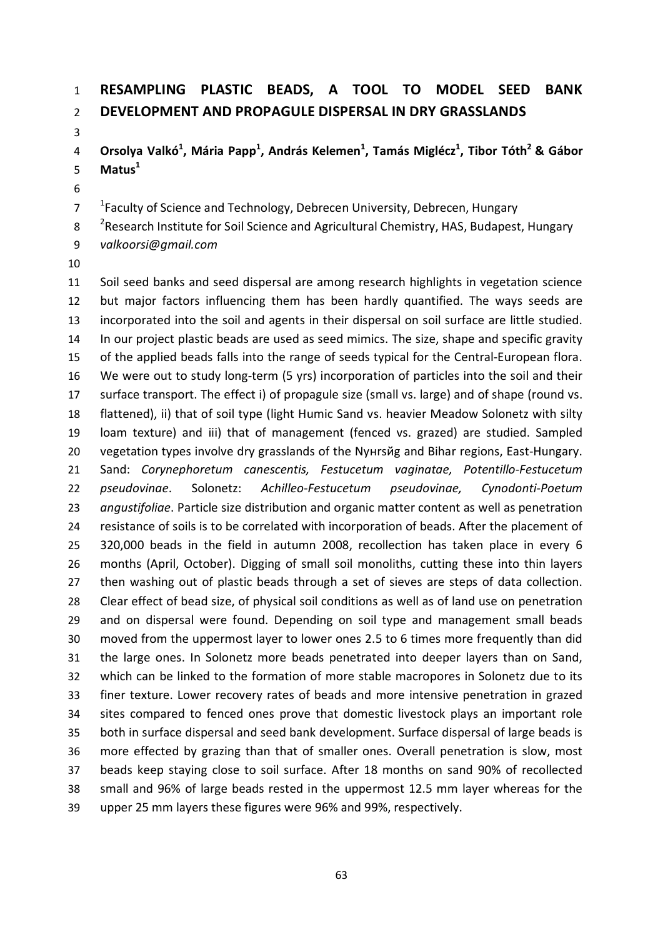## **RESAMPLING PLASTIC BEADS, A TOOL TO MODEL SEED BANK DEVELOPMENT AND PROPAGULE DISPERSAL IN DRY GRASSLANDS**

**Orsolya Valkó<sup>1</sup> , Mária Papp<sup>1</sup> , András Kelemen<sup>1</sup> , Tamás Miglécz<sup>1</sup> , Tibor Tóth<sup>2</sup> & Gábor Matus<sup>1</sup>**

<sup>1</sup> Faculty of Science and Technology, Debrecen University, Debrecen, Hungary

8 <sup>2</sup> Research Institute for Soil Science and Agricultural Chemistry, HAS, Budapest, Hungary

- *valkoorsi@gmail.com*
- 

 Soil seed banks and seed dispersal are among research highlights in vegetation science but major factors influencing them has been hardly quantified. The ways seeds are incorporated into the soil and agents in their dispersal on soil surface are little studied. 14 In our project plastic beads are used as seed mimics. The size, shape and specific gravity of the applied beads falls into the range of seeds typical for the Central-European flora. We were out to study long-term (5 yrs) incorporation of particles into the soil and their surface transport. The effect i) of propagule size (small vs. large) and of shape (round vs. flattened), ii) that of soil type (light Humic Sand vs. heavier Meadow Solonetz with silty loam texture) and iii) that of management (fenced vs. grazed) are studied. Sampled vegetation types involve dry grasslands of the Nyнrsйg and Bihar regions, East-Hungary. Sand: *Corynephoretum canescentis, Festucetum vaginatae, Potentillo-Festucetum pseudovinae*. Solonetz: *Achilleo-Festucetum pseudovinae, Cynodonti-Poetum angustifoliae*. Particle size distribution and organic matter content as well as penetration resistance of soils is to be correlated with incorporation of beads. After the placement of 320,000 beads in the field in autumn 2008, recollection has taken place in every 6 months (April, October). Digging of small soil monoliths, cutting these into thin layers then washing out of plastic beads through a set of sieves are steps of data collection. Clear effect of bead size, of physical soil conditions as well as of land use on penetration and on dispersal were found. Depending on soil type and management small beads moved from the uppermost layer to lower ones 2.5 to 6 times more frequently than did the large ones. In Solonetz more beads penetrated into deeper layers than on Sand, which can be linked to the formation of more stable macropores in Solonetz due to its finer texture. Lower recovery rates of beads and more intensive penetration in grazed sites compared to fenced ones prove that domestic livestock plays an important role both in surface dispersal and seed bank development. Surface dispersal of large beads is more effected by grazing than that of smaller ones. Overall penetration is slow, most beads keep staying close to soil surface. After 18 months on sand 90% of recollected small and 96% of large beads rested in the uppermost 12.5 mm layer whereas for the upper 25 mm layers these figures were 96% and 99%, respectively.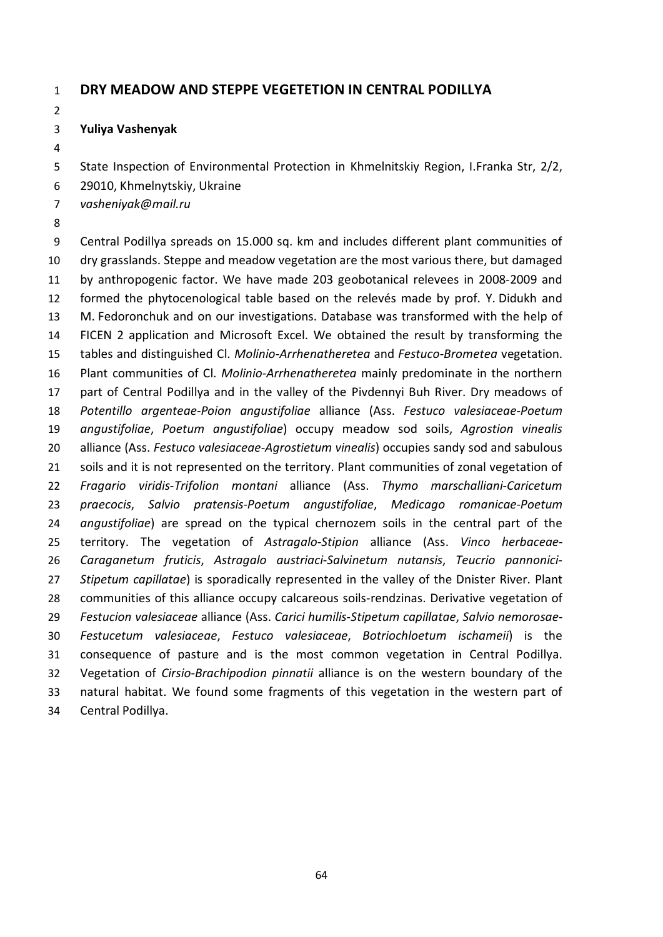#### **DRY MEADOW AND STEPPE VEGETETION IN CENTRAL PODILLYA**

#### **Yuliya Vashenyak**

State Inspection of Environmental Protection in Khmelnitskiy Region, I.Franka Str, 2/2,

29010, Khmelnytskiy, Ukraine

*vasheniyak@mail.ru*

 Central Podillya spreads on 15.000 sq. km and includes different plant communities of dry grasslands. Steppe and meadow vegetation are the most various there, but damaged by anthropogenic factor. We have made 203 geobotanical relevees in 2008-2009 and formed the phytocenological table based on the relevés made by prof. Y. Didukh and M. Fedoronchuk and on our investigations. Database was transformed with the help of FICEN 2 application and Microsoft Excel. We obtained the result by transforming the tables and distinguished Cl. *Molinio*-*Arrhenatheretea* and *Festuco*-*Brometea* vegetation. Plant communities of Cl. *Molinio*-*Arrhenatheretea* mainly predominate in the northern part of Central Podillya and in the valley of the Pivdennyi Buh River. Dry meadows of *Potentillo argenteae*-*Poion angustifoliae* alliance (Ass. *Festuco valesiaceae*-*Poetum angustifoliae*, *Poetum angustifoliae*) occupy meadow sod soils, *Agrostion vinealis* alliance (Ass. *Festuco valesiaceae*-*Agrostietum vinealis*) occupies sandy sod and sabulous 21 soils and it is not represented on the territory. Plant communities of zonal vegetation of *Fragario viridis*-*Trifolion montani* alliance (Ass. *Thymo marschalliani*-*Caricetum praecocis*, *Salvio pratensis*-*Poetum angustifoliae*, *Medicago romanicae*-*Poetum angustifoliae*) are spread on the typical chernozem soils in the central part of the territory. The vegetation of *Astragalo*-*Stipion* alliance (Ass. *Vinco herbaceae*- *Caraganetum fruticis*, *Astragalo austriaci*-*Salvinetum nutansis*, *Teucrio pannonici*- *Stipetum capillatae*) is sporadically represented in the valley of the Dnister River. Plant communities of this alliance occupy calcareous soils-rendzinas. Derivative vegetation of *Festucion valesiaceae* alliance (Ass. *Carici humilis*-*Stipetum capillatae*, *Salvio nemorosae*- *Festucetum valesiaceae*, *Festuco valesiaceae*, *Botriochloetum ischameii*) is the consequence of pasture and is the most common vegetation in Central Podillya. Vegetation of *Cirsio*-*Brachipodion pinnatii* alliance is on the western boundary of the natural habitat. We found some fragments of this vegetation in the western part of Central Podillya.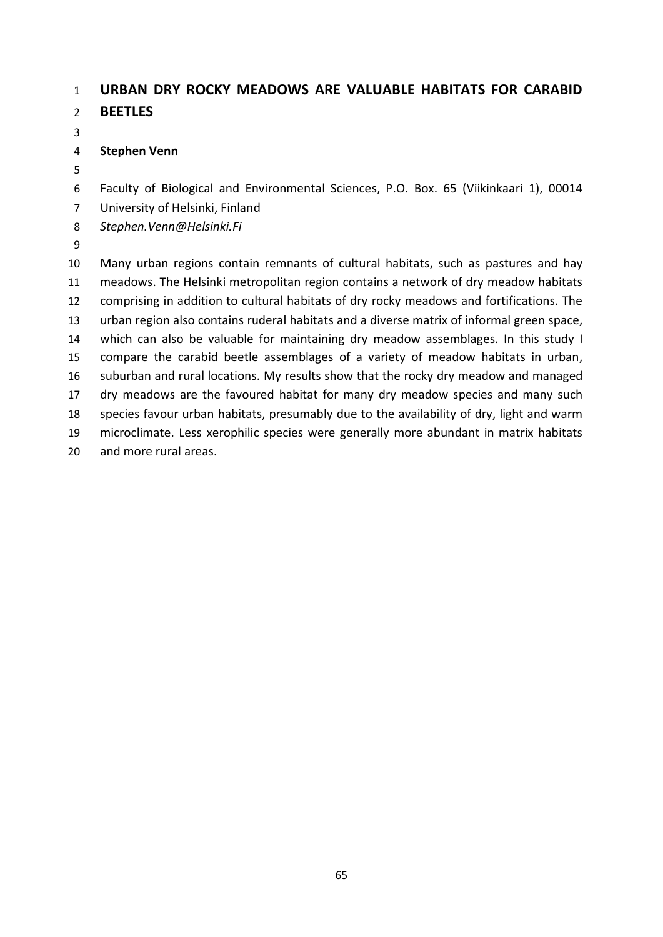### **URBAN DRY ROCKY MEADOWS ARE VALUABLE HABITATS FOR CARABID**

- **BEETLES**
- 

### **Stephen Venn**

Faculty of Biological and Environmental Sciences, P.O. Box. 65 (Viikinkaari 1), 00014

- University of Helsinki, Finland
- *Stephen.Venn@Helsinki.Fi*
- 

 Many urban regions contain remnants of cultural habitats, such as pastures and hay meadows. The Helsinki metropolitan region contains a network of dry meadow habitats comprising in addition to cultural habitats of dry rocky meadows and fortifications. The urban region also contains ruderal habitats and a diverse matrix of informal green space, which can also be valuable for maintaining dry meadow assemblages. In this study I compare the carabid beetle assemblages of a variety of meadow habitats in urban, suburban and rural locations. My results show that the rocky dry meadow and managed dry meadows are the favoured habitat for many dry meadow species and many such species favour urban habitats, presumably due to the availability of dry, light and warm microclimate. Less xerophilic species were generally more abundant in matrix habitats and more rural areas.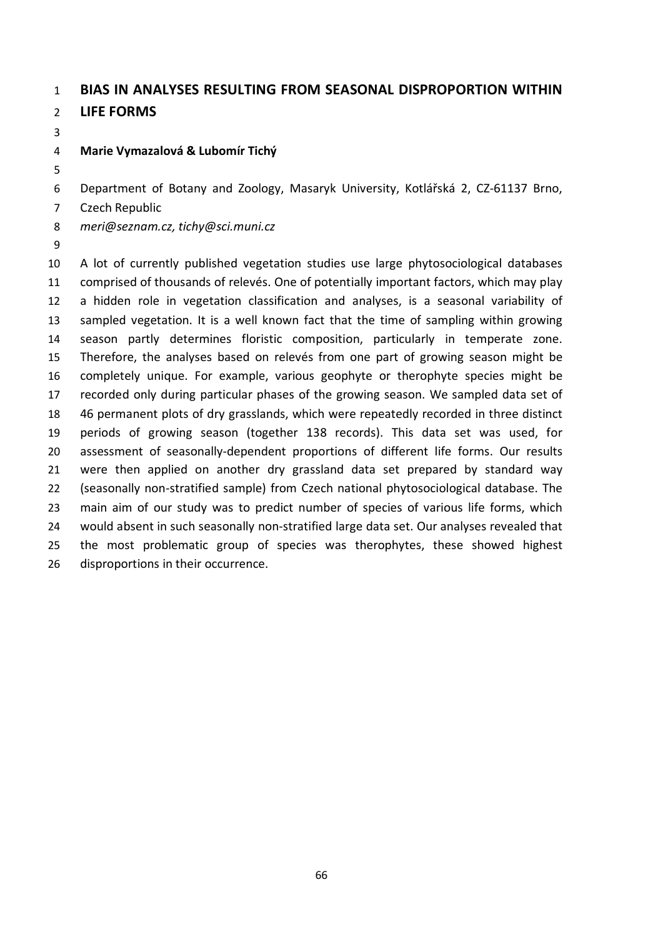### **BIAS IN ANALYSES RESULTING FROM SEASONAL DISPROPORTION WITHIN LIFE FORMS**

**Marie Vymazalová & Lubomír Tichý**

- Department of Botany and Zoology, Masaryk University, Kotlářská 2, CZ-61137 Brno,
- Czech Republic
- *meri@seznam.cz, tichy@sci.muni.cz*
- 

 A lot of currently published vegetation studies use large phytosociological databases comprised of thousands of relevés. One of potentially important factors, which may play a hidden role in vegetation classification and analyses, is a seasonal variability of sampled vegetation. It is a well known fact that the time of sampling within growing season partly determines floristic composition, particularly in temperate zone. Therefore, the analyses based on relevés from one part of growing season might be completely unique. For example, various geophyte or therophyte species might be recorded only during particular phases of the growing season. We sampled data set of 46 permanent plots of dry grasslands, which were repeatedly recorded in three distinct periods of growing season (together 138 records). This data set was used, for assessment of seasonally-dependent proportions of different life forms. Our results were then applied on another dry grassland data set prepared by standard way (seasonally non-stratified sample) from Czech national phytosociological database. The main aim of our study was to predict number of species of various life forms, which would absent in such seasonally non-stratified large data set. Our analyses revealed that the most problematic group of species was therophytes, these showed highest disproportions in their occurrence.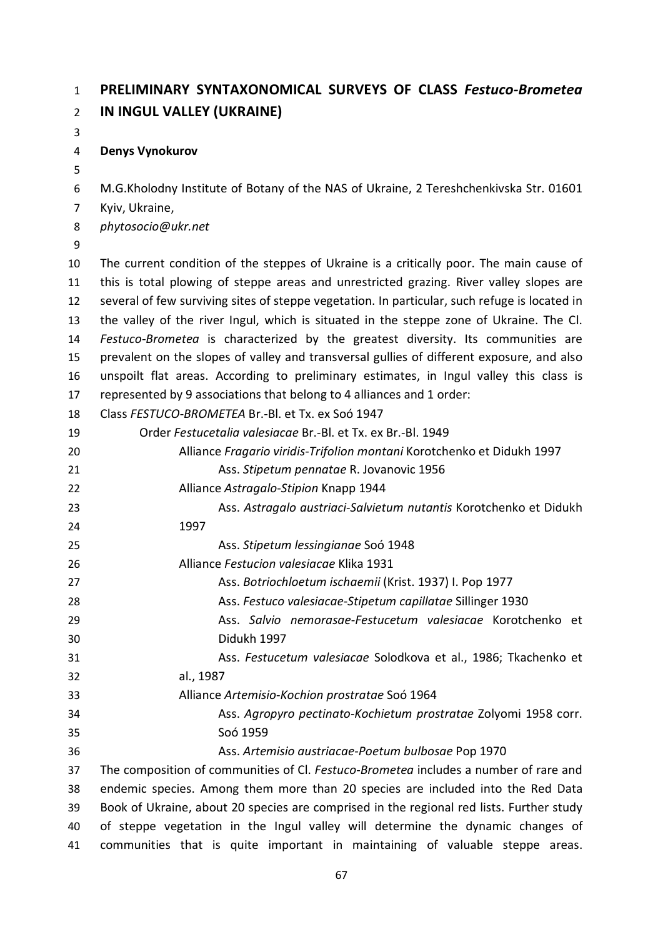## **PRELIMINARY SYNTAXONOMICAL SURVEYS OF CLASS** *Festuco-Brometea* **IN INGUL VALLEY (UKRAINE)**

### **Denys Vynokurov**

M.G.Kholodny Institute of Botany of the NAS of Ukraine, 2 Tereshchenkivska Str. 01601

Kyiv, Ukraine,

*phytosocio@ukr.net*

 The current condition of the steppes of Ukraine is a critically poor. The main cause of this is total plowing of steppe areas and unrestricted grazing. River valley slopes are several of few surviving sites of steppe vegetation. In particular, such refuge is located in the valley of the river Ingul, which is situated in the steppe zone of Ukraine. The Cl. *Festuco-Brometea* is characterized by the greatest diversity. Its communities are prevalent on the slopes of valley and transversal gullies of different exposure, and also unspoilt flat areas. According to preliminary estimates, in Ingul valley this class is represented by 9 associations that belong to 4 alliances and 1 order:

Class *FESTUCO*-*BROMETEA* Br.-Bl. et Tx. ex Soó 1947

- Order *Festucetalia valesiacae* Br.-Bl. et Tx. ex Br.-Bl. 1949
- Alliance *Fragario viridis*-*Trifolion montani* Korotchenko et Didukh 1997
- Ass. *Stipetum pennatae* R. Jovanovic 1956
- Alliance *Astragalo*-*Stipion* Knapp 1944
- Ass. *Astragalo austriaci*-*Salvietum nutantis* Korotchenko et Didukh 1997
- Ass. *Stipetum lessingianae* Soó 1948
- Alliance *Festucion valesiacae* Klika 1931
- Ass. *Botriochloetum ischaemii* (Krist. 1937) І. Pop 1977
- Ass. *Festuco valesiacae*-*Stipetum capillatae* Sillinger 1930
- Ass. *Salvio nemorasae*-*Festucetum valesiacae* Korotchenko et Didukh 1997
- Ass. *Festucetum valesiacae* Solodkova et al., 1986; Tkachenko et
- al., 1987
- Alliance *Artemisio*-*Kochion prostratae* Soó 1964
- Ass. *Agropyro pectinato*-*Kochietum prostratae* Zolyomi 1958 corr. Soó 1959

Ass. *Artemisio austriacae*-*Poetum bulbosae* Pop 1970

 The composition of communities of Cl. *Festuco*-*Brometea* includes a number of rare and endemic species. Among them more than 20 species are included into the Red Data Book of Ukraine, about 20 species are comprised in the regional red lists. Further study of steppe vegetation in the Ingul valley will determine the dynamic changes of communities that is quite important in maintaining of valuable steppe areas.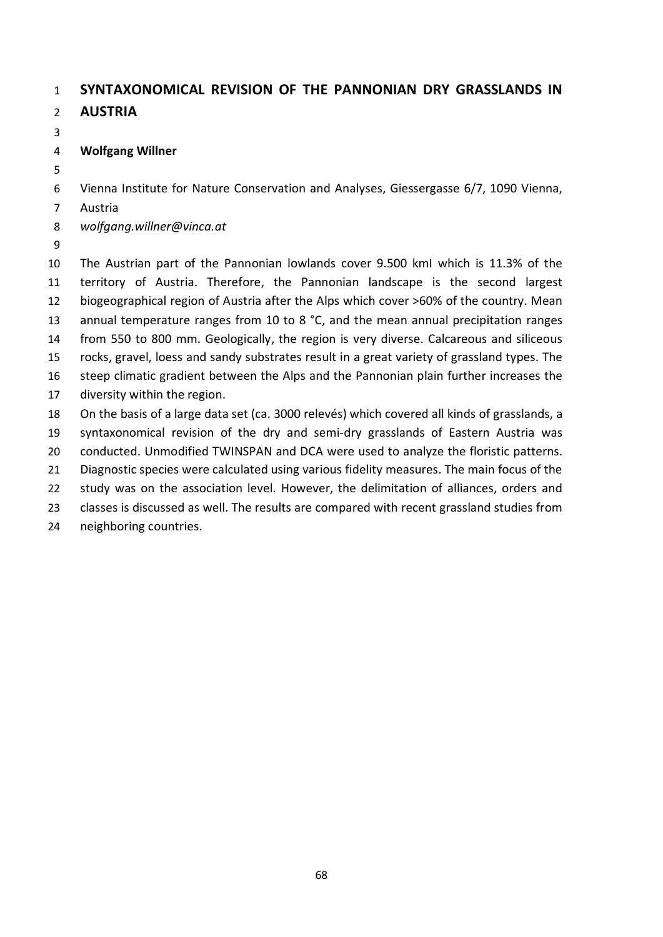### **SYNTAXONOMICAL REVISION OF THE PANNONIAN DRY GRASSLANDS IN AUSTRIA**

### **Wolfgang Willner**

Vienna Institute for Nature Conservation and Analyses, Giessergasse 6/7, 1090 Vienna,

Austria

*wolfgang.willner@vinca.at*

 The Austrian part of the Pannonian lowlands cover 9.500 kmІ which is 11.3% of the territory of Austria. Therefore, the Pannonian landscape is the second largest biogeographical region of Austria after the Alps which cover >60% of the country. Mean 13 annual temperature ranges from 10 to 8 °C, and the mean annual precipitation ranges from 550 to 800 mm. Geologically, the region is very diverse. Calcareous and siliceous rocks, gravel, loess and sandy substrates result in a great variety of grassland types. The steep climatic gradient between the Alps and the Pannonian plain further increases the diversity within the region. On the basis of a large data set (ca. 3000 relevés) which covered all kinds of grasslands, a syntaxonomical revision of the dry and semi-dry grasslands of Eastern Austria was conducted. Unmodified TWINSPAN and DCA were used to analyze the floristic patterns. Diagnostic species were calculated using various fidelity measures. The main focus of the study was on the association level. However, the delimitation of alliances, orders and

classes is discussed as well. The results are compared with recent grassland studies from

neighboring countries.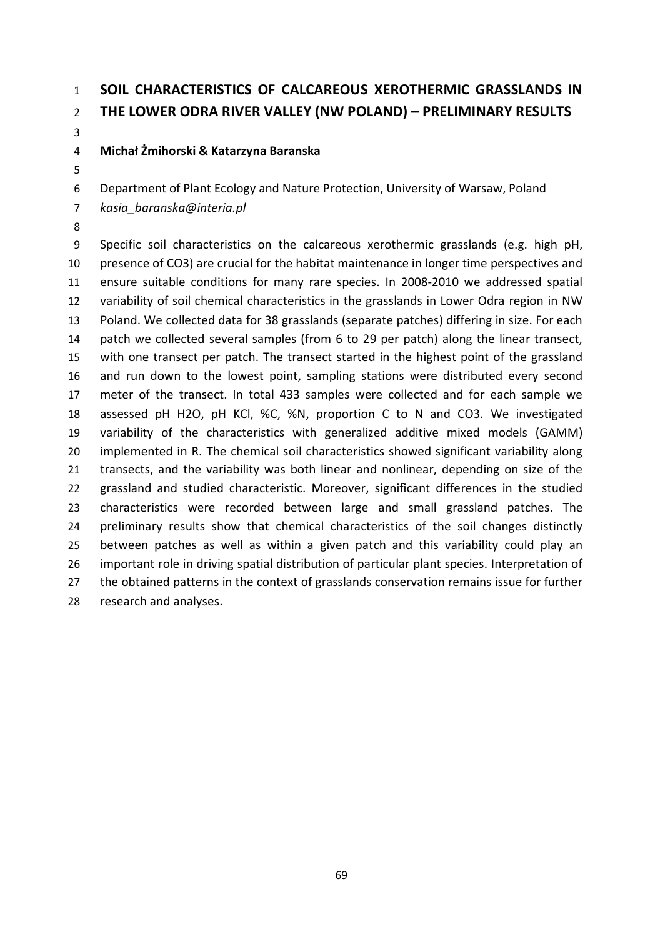# **SOIL CHARACTERISTICS OF CALCAREOUS XEROTHERMIC GRASSLANDS IN THE LOWER ODRA RIVER VALLEY (NW POLAND) – PRELIMINARY RESULTS**

**Michał Żmihorski & Katarzyna Baranska**

Department of Plant Ecology and Nature Protection, University of Warsaw, Poland

*kasia\_baranska@interia.pl*

 Specific soil characteristics on the calcareous xerothermic grasslands (e.g. high pH, presence of CO3) are crucial for the habitat maintenance in longer time perspectives and ensure suitable conditions for many rare species. In 2008-2010 we addressed spatial variability of soil chemical characteristics in the grasslands in Lower Odra region in NW Poland. We collected data for 38 grasslands (separate patches) differing in size. For each patch we collected several samples (from 6 to 29 per patch) along the linear transect, with one transect per patch. The transect started in the highest point of the grassland and run down to the lowest point, sampling stations were distributed every second meter of the transect. In total 433 samples were collected and for each sample we assessed pH H2O, pH KCl, %C, %N, proportion C to N and CO3. We investigated variability of the characteristics with generalized additive mixed models (GAMM) implemented in R. The chemical soil characteristics showed significant variability along transects, and the variability was both linear and nonlinear, depending on size of the grassland and studied characteristic. Moreover, significant differences in the studied characteristics were recorded between large and small grassland patches. The 24 preliminary results show that chemical characteristics of the soil changes distinctly between patches as well as within a given patch and this variability could play an important role in driving spatial distribution of particular plant species. Interpretation of 27 the obtained patterns in the context of grasslands conservation remains issue for further research and analyses.